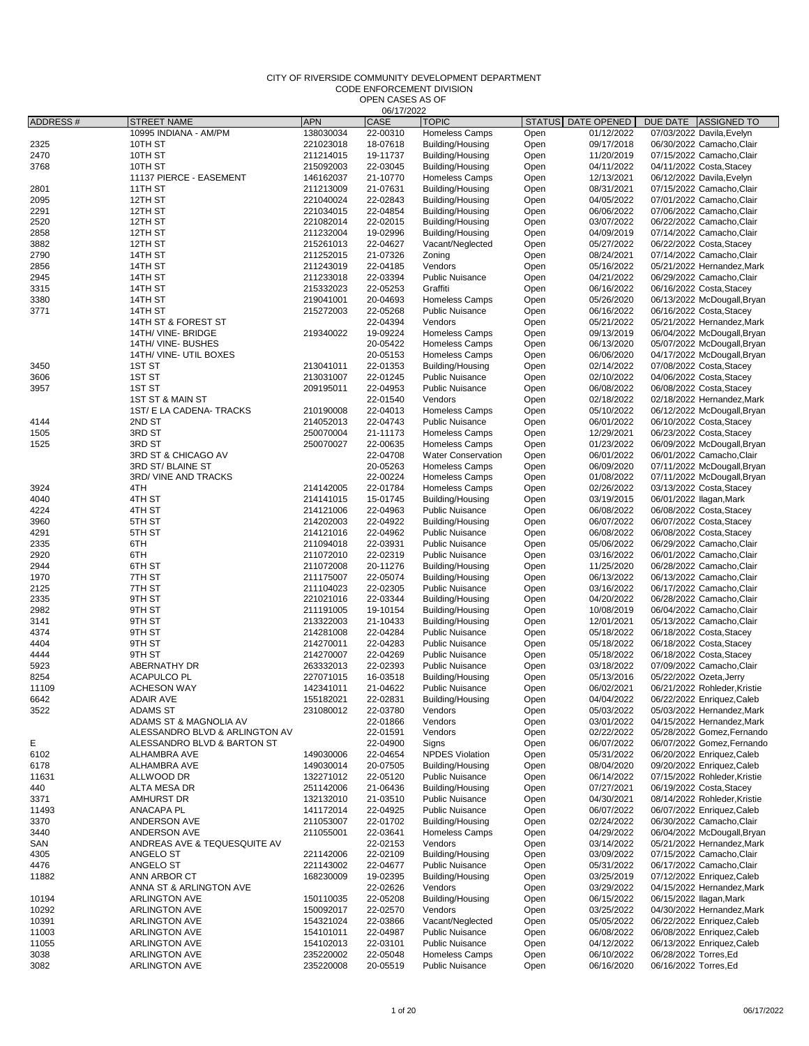CODE ENFORCEMENT DIVISION

| OPEN CASES AS OF |
|------------------|
| 06/17/2022       |

| ADDRESS#     | <b>STREET NAME</b>             | <b>APN</b> | CASE                 | <b>TOPIC</b>                                    | <b>STATUS</b> | DATE OPENED |                         | DUE DATE ASSIGNED TO         |
|--------------|--------------------------------|------------|----------------------|-------------------------------------------------|---------------|-------------|-------------------------|------------------------------|
|              | 10995 INDIANA - AM/PM          | 138030034  | 22-00310             | <b>Homeless Camps</b>                           | Open          | 01/12/2022  |                         | 07/03/2022 Davila, Evelyn    |
| 2325         | 10TH ST                        | 221023018  | 18-07618             | Building/Housing                                | Open          | 09/17/2018  |                         | 06/30/2022 Camacho, Clair    |
| 2470         | 10TH ST                        | 211214015  | 19-11737             | Building/Housing                                | Open          | 11/20/2019  |                         | 07/15/2022 Camacho, Clair    |
| 3768         | 10TH ST                        | 215092003  | 22-03045             | Building/Housing                                | Open          | 04/11/2022  |                         | 04/11/2022 Costa, Stacey     |
|              | 11137 PIERCE - EASEMENT        | 146162037  | 21-10770             | <b>Homeless Camps</b>                           | Open          | 12/13/2021  |                         | 06/12/2022 Davila, Evelyn    |
| 2801         | 11TH ST                        | 211213009  | 21-07631             | Building/Housing                                | Open          | 08/31/2021  |                         | 07/15/2022 Camacho, Clair    |
| 2095         | 12TH ST                        | 221040024  | 22-02843             | Building/Housing                                | Open          | 04/05/2022  |                         | 07/01/2022 Camacho, Clair    |
| 2291         | 12TH ST                        | 221034015  | 22-04854             | Building/Housing                                | Open          | 06/06/2022  |                         | 07/06/2022 Camacho, Clair    |
| 2520         | 12TH ST                        | 221082014  | 22-02015             | Building/Housing                                | Open          | 03/07/2022  |                         | 06/22/2022 Camacho, Clair    |
| 2858         | 12TH ST                        | 211232004  | 19-02996             | Building/Housing                                | Open          | 04/09/2019  |                         | 07/14/2022 Camacho, Clair    |
| 3882         | 12TH ST                        | 215261013  | 22-04627             | Vacant/Neglected                                | Open          | 05/27/2022  |                         | 06/22/2022 Costa, Stacey     |
| 2790         | 14TH ST                        | 211252015  | 21-07326             | Zoning                                          | Open          | 08/24/2021  |                         | 07/14/2022 Camacho, Clair    |
| 2856         | 14TH ST                        | 211243019  | 22-04185             | Vendors                                         | Open          | 05/16/2022  |                         | 05/21/2022 Hernandez, Mark   |
| 2945         | 14TH ST                        | 211233018  | 22-03394             | <b>Public Nuisance</b>                          | Open          | 04/21/2022  |                         | 06/29/2022 Camacho, Clair    |
| 3315         | 14TH ST                        | 215332023  | 22-05253             | Graffiti                                        |               | 06/16/2022  |                         | 06/16/2022 Costa, Stacey     |
| 3380         | 14TH ST                        | 219041001  | 20-04693             |                                                 | Open<br>Open  | 05/26/2020  |                         | 06/13/2022 McDougall, Bryan  |
| 3771         | 14TH ST                        | 215272003  | 22-05268             | <b>Homeless Camps</b><br><b>Public Nuisance</b> |               | 06/16/2022  |                         | 06/16/2022 Costa, Stacey     |
|              |                                |            |                      |                                                 | Open          |             |                         |                              |
|              | 14TH ST & FOREST ST            |            | 22-04394             | Vendors                                         | Open          | 05/21/2022  |                         | 05/21/2022 Hernandez, Mark   |
|              | 14TH/ VINE- BRIDGE             | 219340022  | 19-09224             | <b>Homeless Camps</b>                           | Open          | 09/13/2019  |                         | 06/04/2022 McDougall, Bryan  |
|              | 14TH/ VINE- BUSHES             |            | 20-05422             | <b>Homeless Camps</b>                           | Open          | 06/13/2020  |                         | 05/07/2022 McDougall, Bryan  |
|              | 14TH/ VINE- UTIL BOXES         |            | 20-05153             | <b>Homeless Camps</b>                           | Open          | 06/06/2020  |                         | 04/17/2022 McDougall, Bryan  |
| 3450         | 1ST ST                         | 213041011  | 22-01353             | Building/Housing                                | Open          | 02/14/2022  |                         | 07/08/2022 Costa, Stacey     |
| 3606         | 1ST ST                         | 213031007  | 22-01245             | <b>Public Nuisance</b>                          | Open          | 02/10/2022  |                         | 04/06/2022 Costa, Stacey     |
| 3957         | 1ST ST                         | 209195011  | 22-04953             | <b>Public Nuisance</b>                          | Open          | 06/08/2022  |                         | 06/08/2022 Costa, Stacey     |
|              | 1ST ST & MAIN ST               |            | 22-01540             | Vendors                                         | Open          | 02/18/2022  |                         | 02/18/2022 Hernandez, Mark   |
|              | 1ST/ E LA CADENA- TRACKS       | 210190008  | 22-04013             | <b>Homeless Camps</b>                           | Open          | 05/10/2022  |                         | 06/12/2022 McDougall, Bryan  |
| 4144         | 2ND ST                         | 214052013  | 22-04743             | <b>Public Nuisance</b>                          | Open          | 06/01/2022  |                         | 06/10/2022 Costa, Stacey     |
| 1505         | 3RD ST                         | 250070004  | 21-11173             | <b>Homeless Camps</b>                           | Open          | 12/29/2021  |                         | 06/23/2022 Costa, Stacey     |
| 1525         | 3RD ST                         | 250070027  | 22-00635             | <b>Homeless Camps</b>                           | Open          | 01/23/2022  |                         | 06/09/2022 McDougall, Bryan  |
|              | 3RD ST & CHICAGO AV            |            | 22-04708             | <b>Water Conservation</b>                       | Open          | 06/01/2022  |                         | 06/01/2022 Camacho, Clair    |
|              | 3RD ST/BLAINE ST               |            | 20-05263             | <b>Homeless Camps</b>                           | Open          | 06/09/2020  |                         | 07/11/2022 McDougall, Bryan  |
|              | 3RD/ VINE AND TRACKS           |            | 22-00224             | <b>Homeless Camps</b>                           | Open          | 01/08/2022  |                         | 07/11/2022 McDougall, Bryan  |
| 3924         | 4TH                            | 214142005  | 22-01784             | <b>Homeless Camps</b>                           | Open          | 02/26/2022  |                         | 03/13/2022 Costa, Stacey     |
| 4040         | 4TH ST                         | 214141015  | 15-01745             | Building/Housing                                | Open          | 03/19/2015  | 06/01/2022 Ilagan, Mark |                              |
| 4224         | 4TH ST                         | 214121006  | 22-04963             | <b>Public Nuisance</b>                          | Open          | 06/08/2022  |                         | 06/08/2022 Costa, Stacey     |
| 3960         | 5TH ST                         | 214202003  | 22-04922             | Building/Housing                                | Open          | 06/07/2022  |                         | 06/07/2022 Costa, Stacey     |
| 4291         | 5TH ST                         | 214121016  | 22-04962             | <b>Public Nuisance</b>                          | Open          | 06/08/2022  |                         | 06/08/2022 Costa, Stacey     |
| 2335         | 6TH                            | 211094018  | 22-03931             | <b>Public Nuisance</b>                          | Open          | 05/06/2022  |                         | 06/29/2022 Camacho, Clair    |
| 2920         | 6TH                            | 211072010  | 22-02319             | <b>Public Nuisance</b>                          | Open          | 03/16/2022  |                         | 06/01/2022 Camacho, Clair    |
| 2944         | 6TH ST                         | 211072008  | 20-11276             | Building/Housing                                | Open          | 11/25/2020  |                         | 06/28/2022 Camacho, Clair    |
| 1970         | 7TH ST                         | 211175007  | 22-05074             | Building/Housing                                | Open          | 06/13/2022  |                         | 06/13/2022 Camacho, Clair    |
| 2125         | 7TH ST                         | 211104023  | 22-02305             | <b>Public Nuisance</b>                          | Open          | 03/16/2022  |                         | 06/17/2022 Camacho, Clair    |
| 2335         | 9TH ST                         | 221021016  | 22-03344             |                                                 |               | 04/20/2022  |                         | 06/28/2022 Camacho, Clair    |
|              | 9TH ST                         |            |                      | Building/Housing<br>Building/Housing            | Open          | 10/08/2019  |                         | 06/04/2022 Camacho, Clair    |
| 2982<br>3141 | 9TH ST                         | 211191005  | 19-10154<br>21-10433 |                                                 | Open          | 12/01/2021  |                         | 05/13/2022 Camacho, Clair    |
|              |                                | 213322003  |                      | Building/Housing                                | Open          |             |                         | 06/18/2022 Costa, Stacey     |
| 4374         | 9TH ST                         | 214281008  | 22-04284             | <b>Public Nuisance</b>                          | Open          | 05/18/2022  |                         |                              |
| 4404         | 9TH ST                         | 214270011  | 22-04283             | <b>Public Nuisance</b>                          | Open          | 05/18/2022  |                         | 06/18/2022 Costa, Stacey     |
| 4444         | 9TH ST                         | 214270007  | 22-04269             | <b>Public Nuisance</b>                          | Open          | 05/18/2022  |                         | 06/18/2022 Costa, Stacey     |
| 5923         | ABERNATHY DR                   | 263332013  | 22-02393             | <b>Public Nuisance</b>                          | Open          | 03/18/2022  |                         | 07/09/2022 Camacho, Clair    |
| 8254         | <b>ACAPULCO PL</b>             | 227071015  | 16-03518             | Building/Housing                                | Open          | 05/13/2016  | 05/22/2022 Ozeta, Jerry |                              |
| 11109        | <b>ACHESON WAY</b>             | 142341011  | 21-04622             | <b>Public Nuisance</b>                          | Open          | 06/02/2021  |                         | 06/21/2022 Rohleder, Kristie |
| 6642         | <b>ADAIR AVE</b>               | 155182021  | 22-02831             | Building/Housing                                | Open          | 04/04/2022  |                         | 06/22/2022 Enriquez, Caleb   |
| 3522         | ADAMS ST                       | 231080012  | 22-03780             | Vendors                                         | Open          | 05/03/2022  |                         | 05/03/2022 Hernandez, Mark   |
|              | ADAMS ST & MAGNOLIA AV         |            | 22-01866             | Vendors                                         | Open          | 03/01/2022  |                         | 04/15/2022 Hernandez, Mark   |
|              | ALESSANDRO BLVD & ARLINGTON AV |            | 22-01591             | Vendors                                         | Open          | 02/22/2022  |                         | 05/28/2022 Gomez, Fernando   |
| Ε            | ALESSANDRO BLVD & BARTON ST    |            | 22-04900             | Signs                                           | Open          | 06/07/2022  |                         | 06/07/2022 Gomez, Fernando   |
| 6102         | ALHAMBRA AVE                   | 149030006  | 22-04654             | <b>NPDES Violation</b>                          | Open          | 05/31/2022  |                         | 06/20/2022 Enriquez, Caleb   |
| 6178         | ALHAMBRA AVE                   | 149030014  | 20-07505             | Building/Housing                                | Open          | 08/04/2020  |                         | 09/20/2022 Enriquez, Caleb   |
| 11631        | ALLWOOD DR                     | 132271012  | 22-05120             | <b>Public Nuisance</b>                          | Open          | 06/14/2022  |                         | 07/15/2022 Rohleder, Kristie |
| 440          | ALTA MESA DR                   | 251142006  | 21-06436             | Building/Housing                                | Open          | 07/27/2021  |                         | 06/19/2022 Costa, Stacey     |
| 3371         | AMHURST DR                     | 132132010  | 21-03510             | <b>Public Nuisance</b>                          | Open          | 04/30/2021  |                         | 08/14/2022 Rohleder, Kristie |
| 11493        | ANACAPA PL                     | 141172014  | 22-04925             | <b>Public Nuisance</b>                          | Open          | 06/07/2022  |                         | 06/07/2022 Enriquez, Caleb   |
| 3370         | ANDERSON AVE                   | 211053007  | 22-01702             | Building/Housing                                | Open          | 02/24/2022  |                         | 06/30/2022 Camacho, Clair    |
| 3440         | ANDERSON AVE                   | 211055001  | 22-03641             | Homeless Camps                                  | Open          | 04/29/2022  |                         | 06/04/2022 McDougall, Bryan  |
| SAN          | ANDREAS AVE & TEQUESQUITE AV   |            | 22-02153             | Vendors                                         | Open          | 03/14/2022  |                         | 05/21/2022 Hernandez, Mark   |
| 4305         | ANGELO ST                      | 221142006  | 22-02109             | Building/Housing                                | Open          | 03/09/2022  |                         | 07/15/2022 Camacho, Clair    |
| 4476         | ANGELO ST                      | 221143002  | 22-04677             | <b>Public Nuisance</b>                          | Open          | 05/31/2022  |                         | 06/17/2022 Camacho, Clair    |
| 11882        | ANN ARBOR CT                   | 168230009  | 19-02395             | Building/Housing                                | Open          | 03/25/2019  |                         | 07/12/2022 Enriquez, Caleb   |
|              | ANNA ST & ARLINGTON AVE        |            | 22-02626             | Vendors                                         | Open          | 03/29/2022  |                         | 04/15/2022 Hernandez, Mark   |
| 10194        | <b>ARLINGTON AVE</b>           | 150110035  | 22-05208             | Building/Housing                                | Open          | 06/15/2022  | 06/15/2022 Ilagan, Mark |                              |
| 10292        | <b>ARLINGTON AVE</b>           | 150092017  | 22-02570             | Vendors                                         | Open          | 03/25/2022  |                         | 04/30/2022 Hernandez, Mark   |
| 10391        | <b>ARLINGTON AVE</b>           | 154321024  | 22-03866             | Vacant/Neglected                                | Open          | 05/05/2022  |                         | 06/22/2022 Enriquez, Caleb   |
| 11003        | <b>ARLINGTON AVE</b>           | 154101011  | 22-04987             | <b>Public Nuisance</b>                          | Open          | 06/08/2022  |                         | 06/08/2022 Enriquez, Caleb   |
| 11055        | <b>ARLINGTON AVE</b>           | 154102013  | 22-03101             | <b>Public Nuisance</b>                          | Open          | 04/12/2022  |                         | 06/13/2022 Enriquez, Caleb   |
| 3038         | <b>ARLINGTON AVE</b>           | 235220002  | 22-05048             | Homeless Camps                                  | Open          | 06/10/2022  | 06/28/2022 Torres, Ed   |                              |
| 3082         | ARLINGTON AVE                  | 235220008  | 20-05519             | <b>Public Nuisance</b>                          |               |             | 06/16/2022 Torres, Ed   |                              |
|              |                                |            |                      |                                                 | Open          | 06/16/2020  |                         |                              |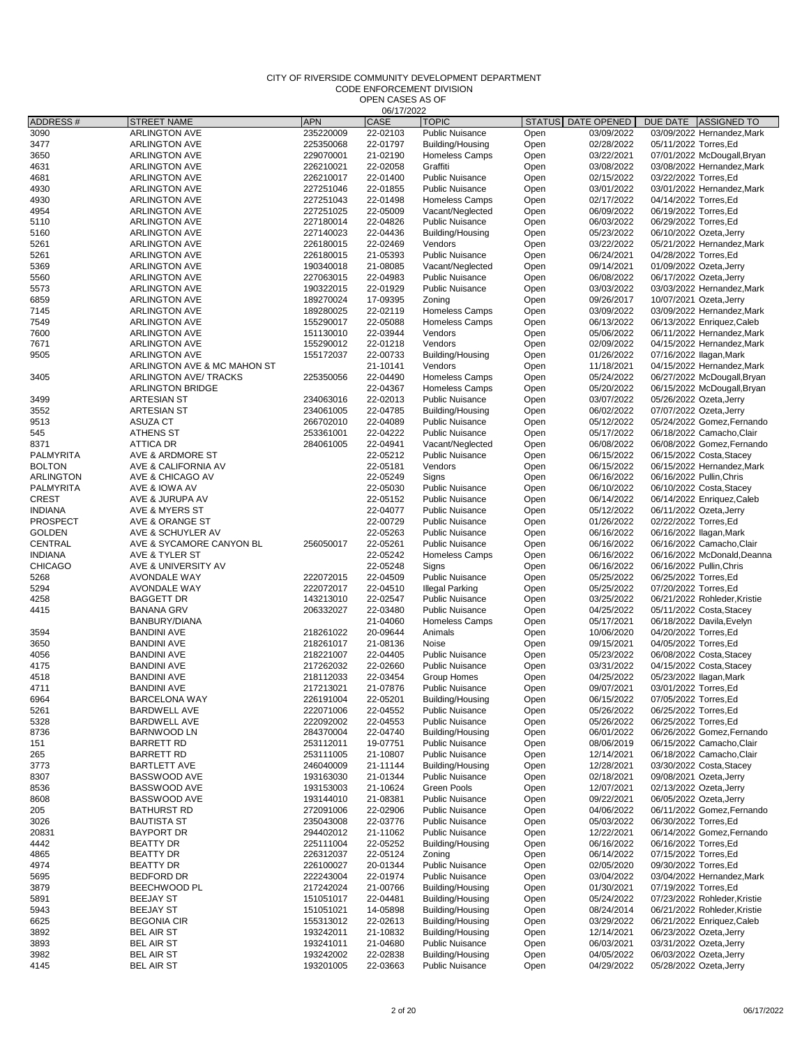CODE ENFORCEMENT DIVISION

| <b>ADDRESS#</b>  | <b>STREET NAME</b>          | <b>APN</b> | <b>UUI 172022</b><br>CASE | <b>TOPIC</b>           | <b>STATUS</b> | DATE OPENED | DUE DATE ASSIGNED TO         |  |
|------------------|-----------------------------|------------|---------------------------|------------------------|---------------|-------------|------------------------------|--|
| 3090             | <b>ARLINGTON AVE</b>        | 235220009  | 22-02103                  | <b>Public Nuisance</b> | Open          | 03/09/2022  | 03/09/2022 Hernandez, Mark   |  |
| 3477             | <b>ARLINGTON AVE</b>        | 225350068  | 22-01797                  | Building/Housing       | Open          | 02/28/2022  | 05/11/2022 Torres, Ed        |  |
| 3650             | <b>ARLINGTON AVE</b>        | 229070001  | 21-02190                  | <b>Homeless Camps</b>  | Open          | 03/22/2021  | 07/01/2022 McDougall, Bryan  |  |
| 4631             | <b>ARLINGTON AVE</b>        | 226210021  | 22-02058                  | Graffiti               | Open          | 03/08/2022  | 03/08/2022 Hernandez, Mark   |  |
| 4681             | <b>ARLINGTON AVE</b>        | 226210017  | 22-01400                  | <b>Public Nuisance</b> | Open          | 02/15/2022  | 03/22/2022 Torres, Ed        |  |
| 4930             | <b>ARLINGTON AVE</b>        | 227251046  | 22-01855                  | <b>Public Nuisance</b> | Open          | 03/01/2022  | 03/01/2022 Hernandez, Mark   |  |
| 4930             | <b>ARLINGTON AVE</b>        | 227251043  | 22-01498                  | <b>Homeless Camps</b>  | Open          | 02/17/2022  | 04/14/2022 Torres, Ed        |  |
| 4954             | <b>ARLINGTON AVE</b>        | 227251025  | 22-05009                  | Vacant/Neglected       | Open          | 06/09/2022  | 06/19/2022 Torres, Ed        |  |
|                  |                             |            |                           |                        |               |             |                              |  |
| 5110             | <b>ARLINGTON AVE</b>        | 227180014  | 22-04826                  | <b>Public Nuisance</b> | Open          | 06/03/2022  | 06/29/2022 Torres, Ed        |  |
| 5160             | <b>ARLINGTON AVE</b>        | 227140023  | 22-04436                  | Building/Housing       | Open          | 05/23/2022  | 06/10/2022 Ozeta, Jerry      |  |
| 5261             | <b>ARLINGTON AVE</b>        | 226180015  | 22-02469                  | Vendors                | Open          | 03/22/2022  | 05/21/2022 Hernandez.Mark    |  |
| 5261             | <b>ARLINGTON AVE</b>        | 226180015  | 21-05393                  | <b>Public Nuisance</b> | Open          | 06/24/2021  | 04/28/2022 Torres, Ed        |  |
| 5369             | <b>ARLINGTON AVE</b>        | 190340018  | 21-08085                  | Vacant/Neglected       | Open          | 09/14/2021  | 01/09/2022 Ozeta, Jerry      |  |
| 5560             | <b>ARLINGTON AVE</b>        | 227063015  | 22-04983                  | <b>Public Nuisance</b> | Open          | 06/08/2022  | 06/17/2022 Ozeta, Jerry      |  |
| 5573             | <b>ARLINGTON AVE</b>        | 190322015  | 22-01929                  | <b>Public Nuisance</b> | Open          | 03/03/2022  | 03/03/2022 Hernandez, Mark   |  |
| 6859             | <b>ARLINGTON AVE</b>        | 189270024  | 17-09395                  | Zoning                 | Open          | 09/26/2017  | 10/07/2021 Ozeta, Jerry      |  |
| 7145             | <b>ARLINGTON AVE</b>        | 189280025  | 22-02119                  | Homeless Camps         | Open          | 03/09/2022  | 03/09/2022 Hernandez, Mark   |  |
| 7549             | <b>ARLINGTON AVE</b>        | 155290017  | 22-05088                  | <b>Homeless Camps</b>  | Open          | 06/13/2022  | 06/13/2022 Enriquez, Caleb   |  |
| 7600             | <b>ARLINGTON AVE</b>        | 151130010  | 22-03944                  | Vendors                | Open          | 05/06/2022  | 06/11/2022 Hernandez, Mark   |  |
| 7671             | <b>ARLINGTON AVE</b>        | 155290012  | 22-01218                  | Vendors                | Open          | 02/09/2022  | 04/15/2022 Hernandez, Mark   |  |
| 9505             | <b>ARLINGTON AVE</b>        | 155172037  | 22-00733                  | Building/Housing       | Open          | 01/26/2022  | 07/16/2022 Ilagan, Mark      |  |
|                  | ARLINGTON AVE & MC MAHON ST |            | 21-10141                  | Vendors                | Open          | 11/18/2021  | 04/15/2022 Hernandez, Mark   |  |
| 3405             | ARLINGTON AVE/ TRACKS       | 225350056  | 22-04490                  | Homeless Camps         | Open          | 05/24/2022  | 06/27/2022 McDougall, Bryan  |  |
|                  | <b>ARLINGTON BRIDGE</b>     |            | 22-04367                  | <b>Homeless Camps</b>  | Open          | 05/20/2022  | 06/15/2022 McDougall, Bryan  |  |
| 3499             | <b>ARTESIAN ST</b>          | 234063016  | 22-02013                  | <b>Public Nuisance</b> | Open          | 03/07/2022  | 05/26/2022 Ozeta, Jerry      |  |
| 3552             | <b>ARTESIAN ST</b>          | 234061005  | 22-04785                  | Building/Housing       | Open          | 06/02/2022  | 07/07/2022 Ozeta, Jerry      |  |
| 9513             | <b>ASUZA CT</b>             | 266702010  | 22-04089                  | <b>Public Nuisance</b> | Open          | 05/12/2022  | 05/24/2022 Gomez, Fernando   |  |
| 545              | <b>ATHENS ST</b>            | 253361001  | 22-04222                  | <b>Public Nuisance</b> | Open          | 05/17/2022  | 06/18/2022 Camacho, Clair    |  |
| 8371             | <b>ATTICA DR</b>            | 284061005  | 22-04941                  | Vacant/Neglected       | Open          | 06/08/2022  | 06/08/2022 Gomez, Fernando   |  |
| PALMYRITA        | AVE & ARDMORE ST            |            | 22-05212                  | <b>Public Nuisance</b> | Open          | 06/15/2022  | 06/15/2022 Costa, Stacey     |  |
| <b>BOLTON</b>    | AVE & CALIFORNIA AV         |            | 22-05181                  | Vendors                | Open          | 06/15/2022  | 06/15/2022 Hernandez.Mark    |  |
| <b>ARLINGTON</b> | AVE & CHICAGO AV            |            | 22-05249                  | Signs                  | Open          | 06/16/2022  | 06/16/2022 Pullin, Chris     |  |
| <b>PALMYRITA</b> | AVE & IOWA AV               |            | 22-05030                  | <b>Public Nuisance</b> | Open          | 06/10/2022  | 06/10/2022 Costa, Stacey     |  |
| <b>CREST</b>     | AVE & JURUPA AV             |            | 22-05152                  | <b>Public Nuisance</b> | Open          | 06/14/2022  | 06/14/2022 Enriquez, Caleb   |  |
| <b>INDIANA</b>   | AVE & MYERS ST              |            | 22-04077                  | <b>Public Nuisance</b> | Open          | 05/12/2022  | 06/11/2022 Ozeta, Jerry      |  |
| <b>PROSPECT</b>  | AVE & ORANGE ST             |            | 22-00729                  | <b>Public Nuisance</b> | Open          | 01/26/2022  | 02/22/2022 Torres, Ed        |  |
| <b>GOLDEN</b>    | AVE & SCHUYLER AV           |            | 22-05263                  | <b>Public Nuisance</b> | Open          | 06/16/2022  | 06/16/2022 Ilagan, Mark      |  |
| <b>CENTRAL</b>   | AVE & SYCAMORE CANYON BL    | 256050017  | 22-05261                  | <b>Public Nuisance</b> | Open          | 06/16/2022  | 06/16/2022 Camacho, Clair    |  |
| <b>INDIANA</b>   | AVE & TYLER ST              |            | 22-05242                  | <b>Homeless Camps</b>  | Open          | 06/16/2022  | 06/16/2022 McDonald, Deanna  |  |
| <b>CHICAGO</b>   | AVE & UNIVERSITY AV         |            | 22-05248                  | Signs                  | Open          | 06/16/2022  | 06/16/2022 Pullin, Chris     |  |
| 5268             | AVONDALE WAY                | 222072015  | 22-04509                  | <b>Public Nuisance</b> | Open          | 05/25/2022  | 06/25/2022 Torres, Ed        |  |
| 5294             | <b>AVONDALE WAY</b>         | 222072017  | 22-04510                  | <b>Illegal Parking</b> | Open          | 05/25/2022  | 07/20/2022 Torres, Ed        |  |
| 4258             | <b>BAGGETT DR</b>           | 143213010  | 22-02547                  | <b>Public Nuisance</b> |               | 03/25/2022  | 06/21/2022 Rohleder, Kristie |  |
|                  | <b>BANANA GRV</b>           | 206332027  | 22-03480                  | <b>Public Nuisance</b> | Open          | 04/25/2022  | 05/11/2022 Costa, Stacey     |  |
| 4415             |                             |            |                           |                        | Open          |             |                              |  |
|                  | BANBURY/DIANA               |            | 21-04060                  | <b>Homeless Camps</b>  | Open          | 05/17/2021  | 06/18/2022 Davila, Evelyn    |  |
| 3594             | <b>BANDINI AVE</b>          | 218261022  | 20-09644                  | Animals                | Open          | 10/06/2020  | 04/20/2022 Torres, Ed        |  |
| 3650             | <b>BANDINI AVE</b>          | 218261017  | 21-08136                  | Noise                  | Open          | 09/15/2021  | 04/05/2022 Torres, Ed        |  |
| 4056             | <b>BANDINI AVE</b>          | 218221007  | 22-04405                  | <b>Public Nuisance</b> | Open          | 05/23/2022  | 06/08/2022 Costa, Stacey     |  |
| 4175             | <b>BANDINI AVE</b>          | 217262032  | 22-02660                  | <b>Public Nuisance</b> | Open          | 03/31/2022  | 04/15/2022 Costa, Stacey     |  |
| 4518             | <b>BANDINI AVE</b>          | 218112033  | 22-03454                  | <b>Group Homes</b>     | Open          | 04/25/2022  | 05/23/2022 Ilagan, Mark      |  |
| 4711             | <b>BANDINI AVE</b>          | 217213021  | 21-07876                  | <b>Public Nuisance</b> | Open          | 09/07/2021  | 03/01/2022 Torres, Ed        |  |
| 6964             | <b>BARCELONA WAY</b>        | 226191004  | 22-05201                  | Building/Housing       | Open          | 06/15/2022  | 07/05/2022 Torres, Ed        |  |
| 5261             | <b>BARDWELL AVE</b>         | 222071006  | 22-04552                  | <b>Public Nuisance</b> | Open          | 05/26/2022  | 06/25/2022 Torres, Ed        |  |
| 5328             | <b>BARDWELL AVE</b>         | 222092002  | 22-04553                  | <b>Public Nuisance</b> | Open          | 05/26/2022  | 06/25/2022 Torres, Ed        |  |
| 8736             | <b>BARNWOOD LN</b>          | 284370004  | 22-04740                  | Building/Housing       | Open          | 06/01/2022  | 06/26/2022 Gomez, Fernando   |  |
| 151              | <b>BARRETT RD</b>           | 253112011  | 19-07751                  | <b>Public Nuisance</b> | Open          | 08/06/2019  | 06/15/2022 Camacho, Clair    |  |
| 265              | <b>BARRETT RD</b>           | 253111005  | 21-10807                  | <b>Public Nuisance</b> | Open          | 12/14/2021  | 06/18/2022 Camacho, Clair    |  |
| 3773             | <b>BARTLETT AVE</b>         | 246040009  | 21-11144                  | Building/Housing       | Open          | 12/28/2021  | 03/30/2022 Costa, Stacey     |  |
| 8307             | BASSWOOD AVE                | 193163030  | 21-01344                  | <b>Public Nuisance</b> | Open          | 02/18/2021  | 09/08/2021 Ozeta, Jerry      |  |
| 8536             | BASSWOOD AVE                | 193153003  | 21-10624                  | Green Pools            | Open          | 12/07/2021  | 02/13/2022 Ozeta, Jerry      |  |
| 8608             | BASSWOOD AVE                | 193144010  | 21-08381                  | <b>Public Nuisance</b> | Open          | 09/22/2021  | 06/05/2022 Ozeta, Jerry      |  |
| 205              | <b>BATHURST RD</b>          | 272091006  | 22-02906                  | <b>Public Nuisance</b> | Open          | 04/06/2022  | 06/11/2022 Gomez, Fernando   |  |
| 3026             | <b>BAUTISTA ST</b>          | 235043008  | 22-03776                  | Public Nuisance        | Open          | 05/03/2022  | 06/30/2022 Torres, Ed        |  |
| 20831            | <b>BAYPORT DR</b>           | 294402012  | 21-11062                  | <b>Public Nuisance</b> | Open          | 12/22/2021  | 06/14/2022 Gomez, Fernando   |  |
| 4442             | <b>BEATTY DR</b>            | 225111004  | 22-05252                  | Building/Housing       | Open          | 06/16/2022  | 06/16/2022 Torres, Ed        |  |
| 4865             | <b>BEATTY DR</b>            | 226312037  | 22-05124                  | Zoning                 | Open          | 06/14/2022  | 07/15/2022 Torres, Ed        |  |
| 4974             | <b>BEATTY DR</b>            | 226100027  | 20-01344                  | <b>Public Nuisance</b> | Open          | 02/05/2020  | 09/30/2022 Torres, Ed        |  |
| 5695             | <b>BEDFORD DR</b>           | 222243004  | 22-01974                  | <b>Public Nuisance</b> | Open          | 03/04/2022  | 03/04/2022 Hernandez, Mark   |  |
| 3879             | BEECHWOOD PL                | 217242024  | 21-00766                  | Building/Housing       | Open          | 01/30/2021  | 07/19/2022 Torres, Ed        |  |
| 5891             | <b>BEEJAY ST</b>            | 151051017  | 22-04481                  | Building/Housing       | Open          | 05/24/2022  | 07/23/2022 Rohleder, Kristie |  |
| 5943             | <b>BEEJAY ST</b>            | 151051021  | 14-05898                  | Building/Housing       | Open          | 08/24/2014  | 06/21/2022 Rohleder, Kristie |  |
| 6625             | <b>BEGONIA CIR</b>          | 155313012  | 22-02613                  | Building/Housing       | Open          | 03/29/2022  | 06/21/2022 Enriquez, Caleb   |  |
| 3892             | <b>BEL AIR ST</b>           | 193242011  | 21-10832                  | Building/Housing       | Open          | 12/14/2021  | 06/23/2022 Ozeta, Jerry      |  |
| 3893             | <b>BEL AIR ST</b>           | 193241011  | 21-04680                  | <b>Public Nuisance</b> | Open          | 06/03/2021  | 03/31/2022 Ozeta, Jerry      |  |
| 3982             | <b>BEL AIR ST</b>           | 193242002  | 22-02838                  | Building/Housing       | Open          | 04/05/2022  | 06/03/2022 Ozeta, Jerry      |  |
| 4145             | <b>BEL AIR ST</b>           | 193201005  | 22-03663                  | <b>Public Nuisance</b> | Open          | 04/29/2022  | 05/28/2022 Ozeta, Jerry      |  |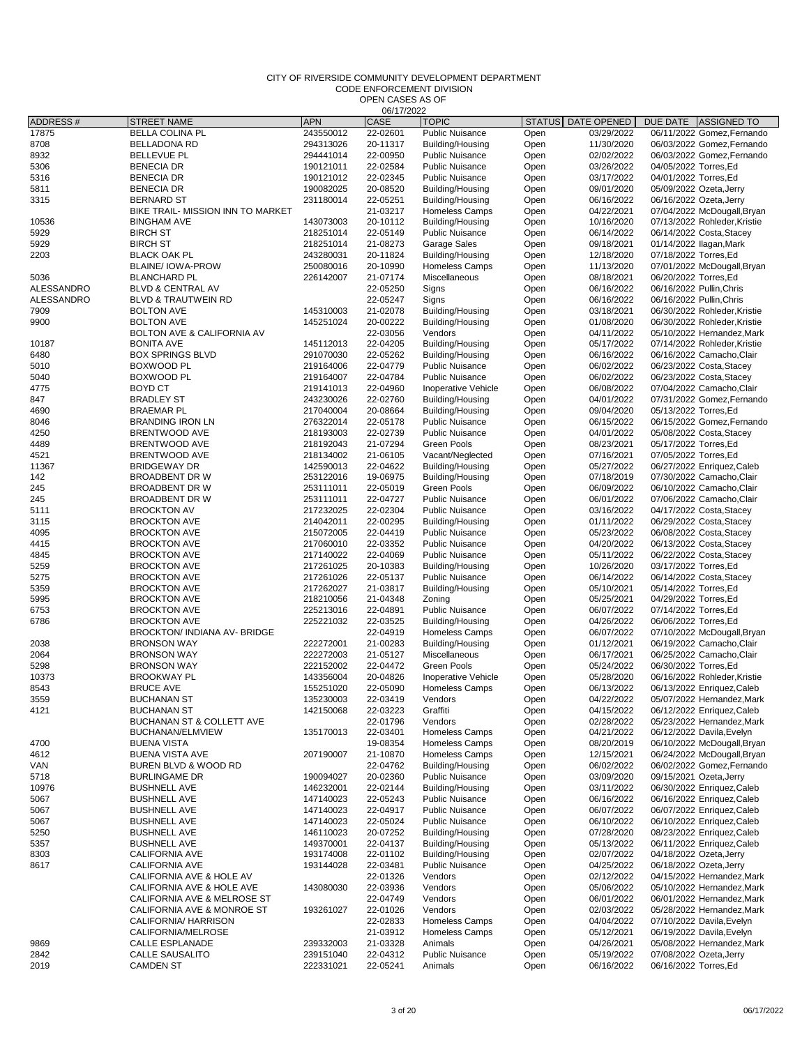CODE ENFORCEMENT DIVISION

|                   |                                            |            | 06/17/2022           |                        |                    |            |                                |
|-------------------|--------------------------------------------|------------|----------------------|------------------------|--------------------|------------|--------------------------------|
| ADDRESS#          | <b>STREET NAME</b>                         | <b>APN</b> | <b>CASE</b>          | <b>TOPIC</b>           | STATUS DATE OPENED |            | DUE DATE<br><b>ASSIGNED TO</b> |
| 17875             | <b>BELLA COLINA PL</b>                     | 243550012  | 22-02601             | <b>Public Nuisance</b> | Open               | 03/29/2022 | 06/11/2022 Gomez, Fernando     |
| 8708              | <b>BELLADONA RD</b>                        | 294313026  | 20-11317             | Building/Housing       | Open               | 11/30/2020 | 06/03/2022 Gomez, Fernando     |
| 8932              | <b>BELLEVUE PL</b>                         | 294441014  | 22-00950             | <b>Public Nuisance</b> | Open               | 02/02/2022 | 06/03/2022 Gomez, Fernando     |
| 5306              | <b>BENECIA DR</b>                          | 190121011  | 22-02584             | <b>Public Nuisance</b> | Open               | 03/26/2022 | 04/05/2022 Torres, Ed          |
| 5316              | <b>BENECIA DR</b>                          | 190121012  | 22-02345             | <b>Public Nuisance</b> | Open               | 03/17/2022 | 04/01/2022 Torres, Ed          |
| 5811              | <b>BENECIA DR</b>                          | 190082025  | 20-08520             | Building/Housing       | Open               | 09/01/2020 | 05/09/2022 Ozeta, Jerry        |
| 3315              | <b>BERNARD ST</b>                          | 231180014  | 22-05251             | Building/Housing       | Open               | 06/16/2022 | 06/16/2022 Ozeta, Jerry        |
|                   | BIKE TRAIL- MISSION INN TO MARKET          |            | 21-03217             | <b>Homeless Camps</b>  | Open               | 04/22/2021 | 07/04/2022 McDougall, Bryan    |
| 10536             | <b>BINGHAM AVE</b>                         | 143073003  | 20-10112             | Building/Housing       | Open               | 10/16/2020 | 07/13/2022 Rohleder, Kristie   |
| 5929              | <b>BIRCH ST</b>                            | 218251014  | 22-05149             | <b>Public Nuisance</b> | Open               | 06/14/2022 | 06/14/2022 Costa, Stacey       |
| 5929              | <b>BIRCH ST</b>                            | 218251014  | 21-08273             | Garage Sales           | Open               | 09/18/2021 | 01/14/2022 Ilagan, Mark        |
| 2203              | <b>BLACK OAK PL</b>                        | 243280031  | 20-11824             | Building/Housing       | Open               | 12/18/2020 | 07/18/2022 Torres, Ed          |
|                   | <b>BLAINE/ IOWA-PROW</b>                   | 250080016  | 20-10990             | <b>Homeless Camps</b>  | Open               | 11/13/2020 | 07/01/2022 McDougall, Bryan    |
| 5036              | <b>BLANCHARD PL</b>                        | 226142007  | 21-07174             | Miscellaneous          | Open               | 08/18/2021 | 06/20/2022 Torres.Ed           |
| <b>ALESSANDRO</b> | BLVD & CENTRAL AV                          |            | 22-05250             | Signs                  | Open               | 06/16/2022 | 06/16/2022 Pullin, Chris       |
| ALESSANDRO        | <b>BLVD &amp; TRAUTWEIN RD</b>             |            | 22-05247             | Signs                  | Open               | 06/16/2022 | 06/16/2022 Pullin, Chris       |
| 7909              | <b>BOLTON AVE</b>                          | 145310003  | 21-02078             | Building/Housing       | Open               | 03/18/2021 | 06/30/2022 Rohleder, Kristie   |
| 9900              | <b>BOLTON AVE</b>                          | 145251024  | 20-00222             |                        |                    | 01/08/2020 | 06/30/2022 Rohleder, Kristie   |
|                   |                                            |            |                      | Building/Housing       | Open               |            |                                |
|                   | BOLTON AVE & CALIFORNIA AV                 |            | 22-03056             | Vendors                | Open               | 04/11/2022 | 05/10/2022 Hernandez, Mark     |
| 10187             | <b>BONITA AVE</b>                          | 145112013  | 22-04205             | Building/Housing       | Open               | 05/17/2022 | 07/14/2022 Rohleder, Kristie   |
| 6480              | <b>BOX SPRINGS BLVD</b>                    | 291070030  | 22-05262             | Building/Housing       | Open               | 06/16/2022 | 06/16/2022 Camacho, Clair      |
| 5010              | <b>BOXWOOD PL</b>                          | 219164006  | 22-04779             | <b>Public Nuisance</b> | Open               | 06/02/2022 | 06/23/2022 Costa, Stacey       |
| 5040              | BOXWOOD PL                                 | 219164007  | 22-04784             | <b>Public Nuisance</b> | Open               | 06/02/2022 | 06/23/2022 Costa, Stacey       |
| 4775              | <b>BOYD CT</b>                             | 219141013  | 22-04960             | Inoperative Vehicle    | Open               | 06/08/2022 | 07/04/2022 Camacho, Clair      |
| 847               | <b>BRADLEY ST</b>                          | 243230026  | 22-02760             | Building/Housing       | Open               | 04/01/2022 | 07/31/2022 Gomez, Fernando     |
| 4690              | <b>BRAEMAR PL</b>                          | 217040004  | 20-08664             | Building/Housing       | Open               | 09/04/2020 | 05/13/2022 Torres, Ed          |
| 8046              | <b>BRANDING IRON LN</b>                    | 276322014  | 22-05178             | <b>Public Nuisance</b> | Open               | 06/15/2022 | 06/15/2022 Gomez, Fernando     |
| 4250              | BRENTWOOD AVE                              | 218193003  | 22-02739             | <b>Public Nuisance</b> | Open               | 04/01/2022 | 05/08/2022 Costa, Stacey       |
| 4489              | BRENTWOOD AVE                              | 218192043  | 21-07294             | <b>Green Pools</b>     | Open               | 08/23/2021 | 05/17/2022 Torres, Ed          |
| 4521              | BRENTWOOD AVE                              | 218134002  | 21-06105             | Vacant/Neglected       | Open               | 07/16/2021 | 07/05/2022 Torres, Ed          |
| 11367             | <b>BRIDGEWAY DR</b>                        | 142590013  | 22-04622             | Building/Housing       | Open               | 05/27/2022 | 06/27/2022 Enriquez, Caleb     |
| 142               | BROADBENT DR W                             | 253122016  | 19-06975             | Building/Housing       | Open               | 07/18/2019 | 07/30/2022 Camacho, Clair      |
| 245               | BROADBENT DR W                             | 253111011  | 22-05019             | Green Pools            | Open               | 06/09/2022 | 06/10/2022 Camacho, Clair      |
| 245               | <b>BROADBENT DRW</b>                       | 253111011  | 22-04727             | <b>Public Nuisance</b> | Open               | 06/01/2022 | 07/06/2022 Camacho, Clair      |
| 5111              | <b>BROCKTON AV</b>                         | 217232025  | 22-02304             | <b>Public Nuisance</b> | Open               | 03/16/2022 | 04/17/2022 Costa, Stacey       |
| 3115              | <b>BROCKTON AVE</b>                        | 214042011  | 22-00295             | Building/Housing       | Open               | 01/11/2022 | 06/29/2022 Costa, Stacey       |
| 4095              | <b>BROCKTON AVE</b>                        | 215072005  | 22-04419             | <b>Public Nuisance</b> | Open               | 05/23/2022 | 06/08/2022 Costa, Stacey       |
| 4415              | <b>BROCKTON AVE</b>                        | 217060010  | 22-03352             | <b>Public Nuisance</b> | Open               | 04/20/2022 | 06/13/2022 Costa, Stacey       |
|                   |                                            |            |                      |                        |                    | 05/11/2022 | 06/22/2022 Costa, Stacey       |
| 4845<br>5259      | <b>BROCKTON AVE</b><br><b>BROCKTON AVE</b> | 217140022  | 22-04069<br>20-10383 | <b>Public Nuisance</b> | Open               | 10/26/2020 | 03/17/2022 Torres, Ed          |
|                   |                                            | 217261025  |                      | Building/Housing       | Open               |            |                                |
| 5275              | <b>BROCKTON AVE</b>                        | 217261026  | 22-05137             | <b>Public Nuisance</b> | Open               | 06/14/2022 | 06/14/2022 Costa, Stacey       |
| 5359              | <b>BROCKTON AVE</b>                        | 217262027  | 21-03817             | Building/Housing       | Open               | 05/10/2021 | 05/14/2022 Torres, Ed          |
| 5995              | <b>BROCKTON AVE</b>                        | 218210056  | 21-04348             | Zoning                 | Open               | 05/25/2021 | 04/29/2022 Torres, Ed          |
| 6753              | <b>BROCKTON AVE</b>                        | 225213016  | 22-04891             | <b>Public Nuisance</b> | Open               | 06/07/2022 | 07/14/2022 Torres, Ed          |
| 6786              | <b>BROCKTON AVE</b>                        | 225221032  | 22-03525             | Building/Housing       | Open               | 04/26/2022 | 06/06/2022 Torres, Ed          |
|                   | BROCKTON/ INDIANA AV- BRIDGE               |            | 22-04919             | <b>Homeless Camps</b>  | Open               | 06/07/2022 | 07/10/2022 McDougall, Bryan    |
| 2038              | <b>BRONSON WAY</b>                         | 222272001  | 21-00283             | Building/Housing       | Open               | 01/12/2021 | 06/19/2022 Camacho, Clair      |
| 2064              | <b>BRONSON WAY</b>                         | 222272003  | 21-05127             | Miscellaneous          | Open               | 06/17/2021 | 06/25/2022 Camacho, Clair      |
| 5298              | <b>BRONSON WAY</b>                         | 222152002  | 22-04472             | Green Pools            | Open               | 05/24/2022 | 06/30/2022 Torres, Ed          |
| 10373             | <b>BROOKWAY PL</b>                         | 143356004  | 20-04826             | Inoperative Vehicle    | Open               | 05/28/2020 | 06/16/2022 Rohleder, Kristie   |
| 8543              | <b>BRUCE AVE</b>                           | 155251020  | 22-05090             | <b>Homeless Camps</b>  | Open               | 06/13/2022 | 06/13/2022 Enriquez, Caleb     |
| 3559              | <b>BUCHANAN ST</b>                         | 135230003  | 22-03419             | Vendors                | Open               | 04/22/2022 | 05/07/2022 Hernandez, Mark     |
| 4121              | <b>BUCHANAN ST</b>                         | 142150068  | 22-03223             | Graffiti               | Open               | 04/15/2022 | 06/12/2022 Enriquez, Caleb     |
|                   | BUCHANAN ST & COLLETT AVE                  |            | 22-01796             | Vendors                | Open               | 02/28/2022 | 05/23/2022 Hernandez, Mark     |
|                   | BUCHANAN/ELMVIEW                           | 135170013  | 22-03401             | Homeless Camps         | Open               | 04/21/2022 | 06/12/2022 Davila, Evelyn      |
| 4700              | <b>BUENA VISTA</b>                         |            | 19-08354             | Homeless Camps         | Open               | 08/20/2019 | 06/10/2022 McDougall, Bryan    |
| 4612              | <b>BUENA VISTA AVE</b>                     | 207190007  | 21-10870             | <b>Homeless Camps</b>  | Open               | 12/15/2021 | 06/24/2022 McDougall, Bryan    |
| VAN               | BUREN BLVD & WOOD RD                       |            | 22-04762             | Building/Housing       | Open               | 06/02/2022 | 06/02/2022 Gomez.Fernando      |
| 5718              | <b>BURLINGAME DR</b>                       | 190094027  | 20-02360             | <b>Public Nuisance</b> | Open               | 03/09/2020 | 09/15/2021 Ozeta, Jerry        |
| 10976             | <b>BUSHNELL AVE</b>                        | 146232001  | 22-02144             | Building/Housing       | Open               | 03/11/2022 | 06/30/2022 Enriquez, Caleb     |
| 5067              | <b>BUSHNELL AVE</b>                        | 147140023  | 22-05243             | <b>Public Nuisance</b> | Open               | 06/16/2022 | 06/16/2022 Enriquez, Caleb     |
| 5067              | <b>BUSHNELL AVE</b>                        | 147140023  | 22-04917             | <b>Public Nuisance</b> | Open               | 06/07/2022 | 06/07/2022 Enriquez, Caleb     |
| 5067              | <b>BUSHNELL AVE</b>                        | 147140023  | 22-05024             | <b>Public Nuisance</b> | Open               | 06/10/2022 | 06/10/2022 Enriquez, Caleb     |
| 5250              | <b>BUSHNELL AVE</b>                        | 146110023  | 20-07252             | Building/Housing       | Open               | 07/28/2020 | 08/23/2022 Enriquez, Caleb     |
| 5357              | <b>BUSHNELL AVE</b>                        | 149370001  | 22-04137             | Building/Housing       | Open               | 05/13/2022 | 06/11/2022 Enriquez, Caleb     |
| 8303              | <b>CALIFORNIA AVE</b>                      | 193174008  | 22-01102             | Building/Housing       | Open               | 02/07/2022 | 04/18/2022 Ozeta, Jerry        |
| 8617              | <b>CALIFORNIA AVE</b>                      | 193144028  | 22-03481             | <b>Public Nuisance</b> | Open               | 04/25/2022 | 06/18/2022 Ozeta, Jerry        |
|                   | CALIFORNIA AVE & HOLE AV                   |            | 22-01326             | Vendors                | Open               | 02/12/2022 | 04/15/2022 Hernandez, Mark     |
|                   | CALIFORNIA AVE & HOLE AVE                  | 143080030  | 22-03936             | Vendors                | Open               | 05/06/2022 | 05/10/2022 Hernandez, Mark     |
|                   | CALIFORNIA AVE & MELROSE ST                |            | 22-04749             | Vendors                | Open               | 06/01/2022 | 06/01/2022 Hernandez, Mark     |
|                   |                                            |            | 22-01026             |                        |                    | 02/03/2022 | 05/28/2022 Hernandez, Mark     |
|                   | CALIFORNIA AVE & MONROE ST                 | 193261027  | 22-02833             | Vendors                | Open               |            |                                |
|                   | CALIFORNIA/ HARRISON                       |            |                      | Homeless Camps         | Open               | 04/04/2022 | 07/10/2022 Davila, Evelyn      |
|                   | CALIFORNIA/MELROSE                         |            | 21-03912             | Homeless Camps         | Open               | 05/12/2021 | 06/19/2022 Davila, Evelyn      |
| 9869              | CALLE ESPLANADE                            | 239332003  | 21-03328             | Animals                | Open               | 04/26/2021 | 05/08/2022 Hernandez, Mark     |
| 2842              | CALLE SAUSALITO                            | 239151040  | 22-04312             | <b>Public Nuisance</b> | Open               | 05/19/2022 | 07/08/2022 Ozeta, Jerry        |
| 2019              | <b>CAMDEN ST</b>                           | 222331021  | 22-05241             | Animals                | Open               | 06/16/2022 | 06/16/2022 Torres, Ed          |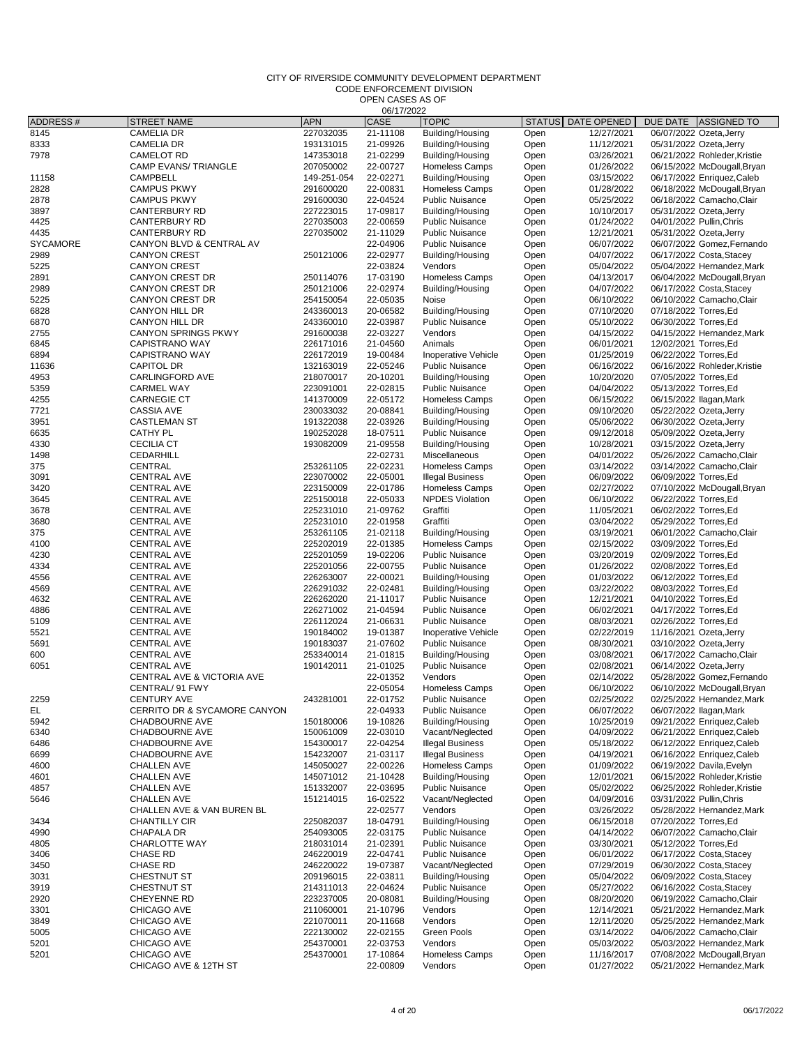|                  | <b>OUITROITE DEVELUI MEITE</b><br>CODE ENFORCEMENT DIVISION |                        |                      |                                                 |               |                          |                                                           |  |  |  |  |  |  |
|------------------|-------------------------------------------------------------|------------------------|----------------------|-------------------------------------------------|---------------|--------------------------|-----------------------------------------------------------|--|--|--|--|--|--|
| OPEN CASES AS OF |                                                             |                        |                      |                                                 |               |                          |                                                           |  |  |  |  |  |  |
|                  |                                                             |                        | 06/17/2022           |                                                 |               |                          |                                                           |  |  |  |  |  |  |
| <b>ADDRESS#</b>  | <b>STREET NAME</b>                                          | <b>APN</b>             | <b>CASE</b>          | <b>TOPIC</b>                                    | <b>STATUS</b> | DATE OPENED              | DUE DATE<br><b>ASSIGNED TO</b>                            |  |  |  |  |  |  |
| 8145<br>8333     | <b>CAMELIA DR</b><br><b>CAMELIA DR</b>                      | 227032035<br>193131015 | 21-11108<br>21-09926 | Building/Housing<br>Building/Housing            | Open<br>Open  | 12/27/2021<br>11/12/2021 | 06/07/2022 Ozeta, Jerry<br>05/31/2022 Ozeta, Jerry        |  |  |  |  |  |  |
| 7978             | <b>CAMELOT RD</b>                                           | 147353018              | 21-02299             | Building/Housing                                | Open          | 03/26/2021               | 06/21/2022 Rohleder, Kristie                              |  |  |  |  |  |  |
|                  | CAMP EVANS/ TRIANGLE                                        | 207050002              | 22-00727             | <b>Homeless Camps</b>                           | Open          | 01/26/2022               | 06/15/2022 McDougall, Bryan                               |  |  |  |  |  |  |
| 11158            | <b>CAMPBELL</b>                                             | 149-251-054            | 22-02271             | Building/Housing                                | Open          | 03/15/2022               | 06/17/2022 Enriquez, Caleb                                |  |  |  |  |  |  |
| 2828             | <b>CAMPUS PKWY</b>                                          | 291600020              | 22-00831             | <b>Homeless Camps</b>                           | Open          | 01/28/2022               | 06/18/2022 McDougall, Bryan                               |  |  |  |  |  |  |
| 2878             | <b>CAMPUS PKWY</b>                                          | 291600030              | 22-04524             | <b>Public Nuisance</b>                          | Open          | 05/25/2022               | 06/18/2022 Camacho, Clair                                 |  |  |  |  |  |  |
| 3897             | CANTERBURY RD                                               | 227223015              | 17-09817             | Building/Housing                                | Open          | 10/10/2017               | 05/31/2022 Ozeta, Jerry                                   |  |  |  |  |  |  |
| 4425             | <b>CANTERBURY RD</b>                                        | 227035003              | 22-00659             | <b>Public Nuisance</b>                          | Open          | 01/24/2022               | 04/01/2022 Pullin, Chris                                  |  |  |  |  |  |  |
| 4435             | <b>CANTERBURY RD</b>                                        | 227035002              | 21-11029             | <b>Public Nuisance</b>                          | Open          | 12/21/2021               | 05/31/2022 Ozeta, Jerry                                   |  |  |  |  |  |  |
| <b>SYCAMORE</b>  | CANYON BLVD & CENTRAL AV                                    |                        | 22-04906             | <b>Public Nuisance</b>                          | Open          | 06/07/2022               | 06/07/2022 Gomez, Fernando                                |  |  |  |  |  |  |
| 2989             | <b>CANYON CREST</b>                                         | 250121006              | 22-02977             | Building/Housing                                | Open          | 04/07/2022               | 06/17/2022 Costa, Stacey                                  |  |  |  |  |  |  |
| 5225             | <b>CANYON CREST</b>                                         |                        | 22-03824             | Vendors                                         | Open          | 05/04/2022               | 05/04/2022 Hernandez, Mark                                |  |  |  |  |  |  |
| 2891<br>2989     | <b>CANYON CREST DR</b><br>CANYON CREST DR                   | 250114076              | 17-03190<br>22-02974 | Homeless Camps                                  | Open          | 04/13/2017<br>04/07/2022 | 06/04/2022 McDougall, Bryan                               |  |  |  |  |  |  |
| 5225             | CANYON CREST DR                                             | 250121006<br>254150054 | 22-05035             | Building/Housing<br>Noise                       | Open<br>Open  | 06/10/2022               | 06/17/2022 Costa, Stacey<br>06/10/2022 Camacho, Clair     |  |  |  |  |  |  |
| 6828             | CANYON HILL DR                                              | 243360013              | 20-06582             | Building/Housing                                | Open          | 07/10/2020               | 07/18/2022 Torres, Ed                                     |  |  |  |  |  |  |
| 6870             | CANYON HILL DR                                              | 243360010              | 22-03987             | <b>Public Nuisance</b>                          | Open          | 05/10/2022               | 06/30/2022 Torres, Ed                                     |  |  |  |  |  |  |
| 2755             | <b>CANYON SPRINGS PKWY</b>                                  | 291600038              | 22-03227             | Vendors                                         | Open          | 04/15/2022               | 04/15/2022 Hernandez, Mark                                |  |  |  |  |  |  |
| 6845             | <b>CAPISTRANO WAY</b>                                       | 226171016              | 21-04560             | Animals                                         | Open          | 06/01/2021               | 12/02/2021 Torres, Ed                                     |  |  |  |  |  |  |
| 6894             | <b>CAPISTRANO WAY</b>                                       | 226172019              | 19-00484             | Inoperative Vehicle                             | Open          | 01/25/2019               | 06/22/2022 Torres, Ed                                     |  |  |  |  |  |  |
| 11636            | <b>CAPITOL DR</b>                                           | 132163019              | 22-05246             | <b>Public Nuisance</b>                          | Open          | 06/16/2022               | 06/16/2022 Rohleder, Kristie                              |  |  |  |  |  |  |
| 4953             | <b>CARLINGFORD AVE</b>                                      | 218070017              | 20-10201             | Building/Housing                                | Open          | 10/20/2020               | 07/05/2022 Torres, Ed                                     |  |  |  |  |  |  |
| 5359             | <b>CARMEL WAY</b>                                           | 223091001              | 22-02815             | <b>Public Nuisance</b>                          | Open          | 04/04/2022               | 05/13/2022 Torres, Ed                                     |  |  |  |  |  |  |
| 4255             | <b>CARNEGIE CT</b>                                          | 141370009              | 22-05172             | Homeless Camps                                  | Open          | 06/15/2022               | 06/15/2022 Ilagan, Mark                                   |  |  |  |  |  |  |
| 7721             | <b>CASSIA AVE</b>                                           | 230033032              | 20-08841             | Building/Housing                                | Open          | 09/10/2020               | 05/22/2022 Ozeta, Jerry                                   |  |  |  |  |  |  |
| 3951             | <b>CASTLEMAN ST</b>                                         | 191322038              | 22-03926             | Building/Housing                                | Open          | 05/06/2022               | 06/30/2022 Ozeta, Jerry                                   |  |  |  |  |  |  |
| 6635             | <b>CATHY PL</b>                                             | 190252028              | 18-07511             | <b>Public Nuisance</b>                          | Open          | 09/12/2018               | 05/09/2022 Ozeta, Jerry                                   |  |  |  |  |  |  |
| 4330             | <b>CECILIA CT</b>                                           | 193082009              | 21-09558             | Building/Housing                                | Open          | 10/28/2021               | 03/15/2022 Ozeta, Jerry                                   |  |  |  |  |  |  |
| 1498             | <b>CEDARHILL</b>                                            |                        | 22-02731             | Miscellaneous                                   | Open          | 04/01/2022               | 05/26/2022 Camacho, Clair                                 |  |  |  |  |  |  |
| 375              | <b>CENTRAL</b>                                              | 253261105              | 22-02231             | <b>Homeless Camps</b>                           | Open          | 03/14/2022               | 03/14/2022 Camacho, Clair                                 |  |  |  |  |  |  |
| 3091             | <b>CENTRAL AVE</b>                                          | 223070002              | 22-05001             | <b>Illegal Business</b>                         | Open          | 06/09/2022               | 06/09/2022 Torres, Ed                                     |  |  |  |  |  |  |
| 3420             | <b>CENTRAL AVE</b><br><b>CENTRAL AVE</b>                    | 223150009              | 22-01786             | <b>Homeless Camps</b><br><b>NPDES Violation</b> | Open          | 02/27/2022               | 07/10/2022 McDougall, Bryan                               |  |  |  |  |  |  |
| 3645<br>3678     | <b>CENTRAL AVE</b>                                          | 225150018<br>225231010 | 22-05033<br>21-09762 | Graffiti                                        | Open<br>Open  | 06/10/2022<br>11/05/2021 | 06/22/2022 Torres, Ed<br>06/02/2022 Torres, Ed            |  |  |  |  |  |  |
| 3680             | <b>CENTRAL AVE</b>                                          | 225231010              | 22-01958             | Graffiti                                        | Open          | 03/04/2022               | 05/29/2022 Torres, Ed                                     |  |  |  |  |  |  |
| 375              | <b>CENTRAL AVE</b>                                          | 253261105              | 21-02118             | Building/Housing                                | Open          | 03/19/2021               | 06/01/2022 Camacho, Clair                                 |  |  |  |  |  |  |
| 4100             | <b>CENTRAL AVE</b>                                          | 225202019              | 22-01385             | <b>Homeless Camps</b>                           | Open          | 02/15/2022               | 03/09/2022 Torres, Ed                                     |  |  |  |  |  |  |
| 4230             | <b>CENTRAL AVE</b>                                          | 225201059              | 19-02206             | <b>Public Nuisance</b>                          | Open          | 03/20/2019               | 02/09/2022 Torres, Ed                                     |  |  |  |  |  |  |
| 4334             | <b>CENTRAL AVE</b>                                          | 225201056              | 22-00755             | <b>Public Nuisance</b>                          | Open          | 01/26/2022               | 02/08/2022 Torres, Ed                                     |  |  |  |  |  |  |
| 4556             | CENTRAL AVE                                                 | 226263007              | 22-00021             | Building/Housing                                | Open          | 01/03/2022               | 06/12/2022 Torres, Ed                                     |  |  |  |  |  |  |
| 4569             | <b>CENTRAL AVE</b>                                          | 226291032              | 22-02481             | Building/Housing                                | Open          | 03/22/2022               | 08/03/2022 Torres, Ed                                     |  |  |  |  |  |  |
| 4632             | <b>CENTRAL AVE</b>                                          | 226262020              | 21-11017             | <b>Public Nuisance</b>                          | Open          | 12/21/2021               | 04/10/2022 Torres, Ed                                     |  |  |  |  |  |  |
| 4886             | <b>CENTRAL AVE</b>                                          | 226271002              | 21-04594             | <b>Public Nuisance</b>                          | Open          | 06/02/2021               | 04/17/2022 Torres, Ed                                     |  |  |  |  |  |  |
| 5109             | <b>CENTRAL AVE</b>                                          | 226112024              | 21-06631             | <b>Public Nuisance</b>                          | Open          | 08/03/2021               | 02/26/2022 Torres, Ed                                     |  |  |  |  |  |  |
| 5521             | <b>CENTRAL AVE</b>                                          | 190184002              | 19-01387             | Inoperative Vehicle                             | Open          | 02/22/2019               | 11/16/2021 Ozeta, Jerry                                   |  |  |  |  |  |  |
| 5691             | <b>CENTRAL AVE</b>                                          | 190183037              | 21-07602             | <b>Public Nuisance</b>                          | Open          | 08/30/2021               | 03/10/2022 Ozeta, Jerry                                   |  |  |  |  |  |  |
| 600              | <b>CENTRAL AVE</b>                                          | 253340014              | 21-01815             | Building/Housing                                | Open          | 03/08/2021               | 06/17/2022 Camacho, Clair                                 |  |  |  |  |  |  |
| 6051             | <b>CENTRAL AVE</b><br>CENTRAL AVE & VICTORIA AVE            | 190142011              | 21-01025             | <b>Public Nuisance</b>                          | Open          | 02/08/2021               | 06/14/2022 Ozeta, Jerry                                   |  |  |  |  |  |  |
|                  | CENTRAL/ 91 FWY                                             |                        | 22-01352<br>22-05054 | Vendors<br>Homeless Camps                       | Open<br>Open  | 02/14/2022<br>06/10/2022 | 05/28/2022 Gomez, Fernando<br>06/10/2022 McDougall, Bryan |  |  |  |  |  |  |
| 2259             | <b>CENTURY AVE</b>                                          | 243281001              | 22-01752             | <b>Public Nuisance</b>                          | Open          | 02/25/2022               | 02/25/2022 Hernandez, Mark                                |  |  |  |  |  |  |
| EL               | CERRITO DR & SYCAMORE CANYON                                |                        | 22-04933             | <b>Public Nuisance</b>                          | Open          | 06/07/2022               | 06/07/2022 Ilagan, Mark                                   |  |  |  |  |  |  |
| 5942             | <b>CHADBOURNE AVE</b>                                       | 150180006              | 19-10826             | Building/Housing                                | Open          | 10/25/2019               | 09/21/2022 Enriquez, Caleb                                |  |  |  |  |  |  |
| 6340             | <b>CHADBOURNE AVE</b>                                       | 150061009              | 22-03010             | Vacant/Neglected                                | Open          | 04/09/2022               | 06/21/2022 Enriquez, Caleb                                |  |  |  |  |  |  |
| 6486             | CHADBOURNE AVE                                              | 154300017              | 22-04254             | <b>Illegal Business</b>                         | Open          | 05/18/2022               | 06/12/2022 Enriquez, Caleb                                |  |  |  |  |  |  |
| 6699             | <b>CHADBOURNE AVE</b>                                       | 154232007              | 21-03117             | <b>Illegal Business</b>                         | Open          | 04/19/2021               | 06/16/2022 Enriquez, Caleb                                |  |  |  |  |  |  |
| 4600             | <b>CHALLEN AVE</b>                                          | 145050027              | 22-00226             | <b>Homeless Camps</b>                           | Open          | 01/09/2022               | 06/19/2022 Davila, Evelyn                                 |  |  |  |  |  |  |
| 4601             | <b>CHALLEN AVE</b>                                          | 145071012              | 21-10428             | Building/Housing                                | Open          | 12/01/2021               | 06/15/2022 Rohleder, Kristie                              |  |  |  |  |  |  |
| 4857             | <b>CHALLEN AVE</b>                                          | 151332007              | 22-03695             | <b>Public Nuisance</b>                          | Open          | 05/02/2022               | 06/25/2022 Rohleder, Kristie                              |  |  |  |  |  |  |
| 5646             | <b>CHALLEN AVE</b>                                          | 151214015              | 16-02522             | Vacant/Neglected                                | Open          | 04/09/2016               | 03/31/2022 Pullin, Chris                                  |  |  |  |  |  |  |
|                  | CHALLEN AVE & VAN BUREN BL                                  |                        | 22-02577             | Vendors                                         | Open          | 03/26/2022               | 05/28/2022 Hernandez, Mark                                |  |  |  |  |  |  |
| 3434             | <b>CHANTILLY CIR</b>                                        | 225082037              | 18-04791             | Building/Housing                                | Open          | 06/15/2018               | 07/20/2022 Torres.Ed                                      |  |  |  |  |  |  |
| 4990             | <b>CHAPALA DR</b>                                           | 254093005              | 22-03175             | <b>Public Nuisance</b>                          | Open          | 04/14/2022               | 06/07/2022 Camacho, Clair                                 |  |  |  |  |  |  |
| 4805             | <b>CHARLOTTE WAY</b>                                        | 218031014              | 21-02391             | <b>Public Nuisance</b>                          | Open          | 03/30/2021               | 05/12/2022 Torres, Ed                                     |  |  |  |  |  |  |
| 3406             | <b>CHASE RD</b>                                             | 246220019              | 22-04741             | <b>Public Nuisance</b>                          | Open          | 06/01/2022               | 06/17/2022 Costa, Stacey                                  |  |  |  |  |  |  |
| 3450<br>3031     | <b>CHASE RD</b><br>CHESTNUT ST                              | 246220022              | 19-07387<br>22-03811 | Vacant/Neglected                                | Open<br>Open  | 07/29/2019<br>05/04/2022 | 06/30/2022 Costa, Stacey<br>06/09/2022 Costa, Stacey      |  |  |  |  |  |  |
| 3919             | <b>CHESTNUT ST</b>                                          | 209196015<br>214311013 | 22-04624             | Building/Housing<br><b>Public Nuisance</b>      | Open          | 05/27/2022               | 06/16/2022 Costa, Stacey                                  |  |  |  |  |  |  |
| 2920             | <b>CHEYENNE RD</b>                                          | 223237005              | 20-08081             | Building/Housing                                | Open          | 08/20/2020               | 06/19/2022 Camacho, Clair                                 |  |  |  |  |  |  |
| 3301             | CHICAGO AVE                                                 | 211060001              | 21-10796             | Vendors                                         | Open          | 12/14/2021               | 05/21/2022 Hernandez, Mark                                |  |  |  |  |  |  |
| 3849             | CHICAGO AVE                                                 | 221070011              | 20-11668             | Vendors                                         | Open          | 12/11/2020               | 05/25/2022 Hernandez, Mark                                |  |  |  |  |  |  |
| 5005             | CHICAGO AVE                                                 | 222130002              | 22-02155             | Green Pools                                     | Open          | 03/14/2022               | 04/06/2022 Camacho, Clair                                 |  |  |  |  |  |  |
| 5201             | CHICAGO AVE                                                 | 254370001              | 22-03753             | Vendors                                         | Open          | 05/03/2022               | 05/03/2022 Hernandez, Mark                                |  |  |  |  |  |  |
| 5201             | CHICAGO AVE                                                 | 254370001              | 17-10864             | Homeless Camps                                  | Open          | 11/16/2017               | 07/08/2022 McDougall, Bryan                               |  |  |  |  |  |  |

CHICAGO AVE 254370001 17-10864 Homeless Camps Open 11/16/2017 07/08/2022 McDougall,Bryan

05/21/2022 Hernandez,Mark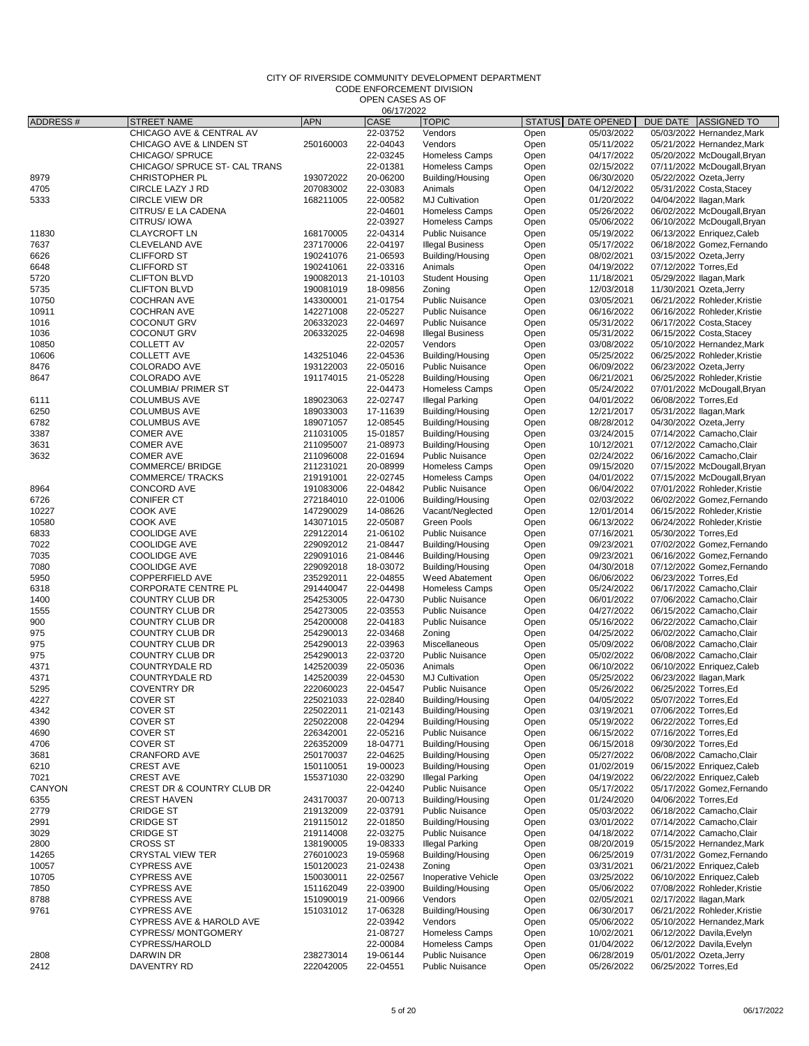#### CITY OF RIVERSIDE COMMUNITY DEVELOPMENT DEPARTMENT CODE ENFORCEMENT DIVISION

|          |                                    |            | 06/17/2022 |                         |                    |            |                         |                              |
|----------|------------------------------------|------------|------------|-------------------------|--------------------|------------|-------------------------|------------------------------|
| ADDRESS# | <b>STREET NAME</b>                 | <b>APN</b> | CASE       | <b>TOPIC</b>            | STATUS DATE OPENED |            | DUE DATE                | <b>ASSIGNED TO</b>           |
|          | CHICAGO AVE & CENTRAL AV           |            | 22-03752   | Vendors                 | Open               | 05/03/2022 |                         | 05/03/2022 Hernandez, Mark   |
|          | <b>CHICAGO AVE &amp; LINDEN ST</b> | 250160003  | 22-04043   | Vendors                 | Open               | 05/11/2022 |                         | 05/21/2022 Hernandez, Mark   |
|          | CHICAGO/ SPRUCE                    |            | 22-03245   | <b>Homeless Camps</b>   | Open               | 04/17/2022 |                         | 05/20/2022 McDougall, Bryan  |
|          | CHICAGO/ SPRUCE ST- CAL TRANS      |            | 22-01381   | <b>Homeless Camps</b>   | Open               | 02/15/2022 |                         | 07/11/2022 McDougall, Bryan  |
| 8979     | <b>CHRISTOPHER PL</b>              | 193072022  | 20-06200   | Building/Housing        | Open               | 06/30/2020 | 05/22/2022 Ozeta, Jerry |                              |
| 4705     | CIRCLE LAZY J RD                   | 207083002  | 22-03083   | Animals                 | Open               | 04/12/2022 |                         | 05/31/2022 Costa, Stacey     |
| 5333     | <b>CIRCLE VIEW DR</b>              | 168211005  | 22-00582   | <b>MJ Cultivation</b>   | Open               | 01/20/2022 | 04/04/2022 Ilagan, Mark |                              |
|          | CITRUS/ E LA CADENA                |            | 22-04601   | <b>Homeless Camps</b>   | Open               | 05/26/2022 |                         | 06/02/2022 McDougall, Bryan  |
|          | CITRUS/IOWA                        |            | 22-03927   | <b>Homeless Camps</b>   | Open               | 05/06/2022 |                         | 06/10/2022 McDougall, Bryan  |
| 11830    | <b>CLAYCROFT LN</b>                | 168170005  | 22-04314   | <b>Public Nuisance</b>  | Open               | 05/19/2022 |                         | 06/13/2022 Enriquez, Caleb   |
| 7637     | <b>CLEVELAND AVE</b>               | 237170006  | 22-04197   | <b>Illegal Business</b> | Open               | 05/17/2022 |                         | 06/18/2022 Gomez, Fernando   |
| 6626     | <b>CLIFFORD ST</b>                 | 190241076  | 21-06593   | Building/Housing        | Open               | 08/02/2021 | 03/15/2022 Ozeta, Jerry |                              |
| 6648     | <b>CLIFFORD ST</b>                 | 190241061  | 22-03316   | Animals                 | Open               | 04/19/2022 | 07/12/2022 Torres.Ed    |                              |
| 5720     | <b>CLIFTON BLVD</b>                | 190082013  | 21-10103   | <b>Student Housing</b>  | Open               | 11/18/2021 | 05/29/2022 Ilagan, Mark |                              |
| 5735     | <b>CLIFTON BLVD</b>                | 190081019  | 18-09856   | Zoning                  | Open               | 12/03/2018 | 11/30/2021 Ozeta, Jerry |                              |
| 10750    | <b>COCHRAN AVE</b>                 | 143300001  | 21-01754   | <b>Public Nuisance</b>  | Open               | 03/05/2021 |                         | 06/21/2022 Rohleder, Kristie |
| 10911    | <b>COCHRAN AVE</b>                 | 142271008  | 22-05227   | <b>Public Nuisance</b>  | Open               | 06/16/2022 |                         | 06/16/2022 Rohleder, Kristie |
| 1016     | <b>COCONUT GRV</b>                 | 206332023  | 22-04697   | <b>Public Nuisance</b>  | Open               | 05/31/2022 |                         | 06/17/2022 Costa, Stacey     |
| 1036     | <b>COCONUT GRV</b>                 | 206332025  | 22-04698   | <b>Illegal Business</b> | Open               | 05/31/2022 |                         | 06/15/2022 Costa, Stacey     |
| 10850    | <b>COLLETT AV</b>                  |            | 22-02057   | Vendors                 | Open               | 03/08/2022 |                         | 05/10/2022 Hernandez, Mark   |
| 10606    | <b>COLLETT AVE</b>                 | 143251046  | 22-04536   | Building/Housing        | Open               | 05/25/2022 |                         | 06/25/2022 Rohleder, Kristie |
| 8476     | COLORADO AVE                       | 193122003  | 22-05016   | <b>Public Nuisance</b>  | Open               | 06/09/2022 | 06/23/2022 Ozeta, Jerry |                              |
| 8647     | <b>COLORADO AVE</b>                | 191174015  | 21-05228   | Building/Housing        | Open               | 06/21/2021 |                         | 06/25/2022 Rohleder, Kristie |
|          | <b>COLUMBIA/ PRIMER ST</b>         |            | 22-04473   | <b>Homeless Camps</b>   | Open               | 05/24/2022 |                         | 07/01/2022 McDougall, Bryan  |
|          |                                    |            |            |                         |                    |            |                         |                              |
| 6111     | <b>COLUMBUS AVE</b>                | 189023063  | 22-02747   | <b>Illegal Parking</b>  | Open               | 04/01/2022 | 06/08/2022 Torres, Ed   |                              |
| 6250     | <b>COLUMBUS AVE</b>                | 189033003  | 17-11639   | Building/Housing        | Open               | 12/21/2017 | 05/31/2022 Ilagan, Mark |                              |
| 6782     | <b>COLUMBUS AVE</b>                | 189071057  | 12-08545   | Building/Housing        | Open               | 08/28/2012 | 04/30/2022 Ozeta, Jerry |                              |
| 3387     | <b>COMER AVE</b>                   | 211031005  | 15-01857   | Building/Housing        | Open               | 03/24/2015 |                         | 07/14/2022 Camacho, Clair    |
| 3631     | <b>COMER AVE</b>                   | 211095007  | 21-08973   | Building/Housing        | Open               | 10/12/2021 |                         | 07/12/2022 Camacho, Clair    |
| 3632     | <b>COMER AVE</b>                   | 211096008  | 22-01694   | <b>Public Nuisance</b>  | Open               | 02/24/2022 |                         | 06/16/2022 Camacho, Clair    |
|          | <b>COMMERCE/ BRIDGE</b>            | 211231021  | 20-08999   | <b>Homeless Camps</b>   | Open               | 09/15/2020 |                         | 07/15/2022 McDougall, Bryan  |
|          | <b>COMMERCE/ TRACKS</b>            | 219191001  | 22-02745   | <b>Homeless Camps</b>   | Open               | 04/01/2022 |                         | 07/15/2022 McDougall, Bryan  |
| 8964     | <b>CONCORD AVE</b>                 | 191083006  | 22-04842   | <b>Public Nuisance</b>  | Open               | 06/04/2022 |                         | 07/01/2022 Rohleder.Kristie  |
| 6726     | <b>CONIFER CT</b>                  | 272184010  | 22-01006   | Building/Housing        | Open               | 02/03/2022 |                         | 06/02/2022 Gomez, Fernando   |
| 10227    | <b>COOK AVE</b>                    | 147290029  | 14-08626   | Vacant/Neglected        | Open               | 12/01/2014 |                         | 06/15/2022 Rohleder, Kristie |
| 10580    | <b>COOK AVE</b>                    | 143071015  | 22-05087   | <b>Green Pools</b>      | Open               | 06/13/2022 |                         | 06/24/2022 Rohleder, Kristie |
| 6833     | <b>COOLIDGE AVE</b>                | 229122014  | 21-06102   | <b>Public Nuisance</b>  | Open               | 07/16/2021 | 05/30/2022 Torres, Ed   |                              |
| 7022     | <b>COOLIDGE AVE</b>                | 229092012  | 21-08447   | Building/Housing        | Open               | 09/23/2021 |                         | 07/02/2022 Gomez, Fernando   |
| 7035     | <b>COOLIDGE AVE</b>                | 229091016  | 21-08446   | Building/Housing        | Open               | 09/23/2021 |                         | 06/16/2022 Gomez, Fernando   |
| 7080     | <b>COOLIDGE AVE</b>                | 229092018  | 18-03072   | Building/Housing        | Open               | 04/30/2018 |                         | 07/12/2022 Gomez, Fernando   |
| 5950     | <b>COPPERFIELD AVE</b>             | 235292011  | 22-04855   | Weed Abatement          | Open               | 06/06/2022 | 06/23/2022 Torres, Ed   |                              |
| 6318     | <b>CORPORATE CENTRE PL</b>         | 291440047  | 22-04498   | <b>Homeless Camps</b>   | Open               | 05/24/2022 |                         | 06/17/2022 Camacho, Clair    |
| 1400     | COUNTRY CLUB DR                    | 254253005  | 22-04730   | <b>Public Nuisance</b>  | Open               | 06/01/2022 |                         | 07/06/2022 Camacho, Clair    |
| 1555     | COUNTRY CLUB DR                    | 254273005  | 22-03553   | <b>Public Nuisance</b>  | Open               | 04/27/2022 |                         | 06/15/2022 Camacho, Clair    |
| 900      | <b>COUNTRY CLUB DR</b>             | 254200008  | 22-04183   | <b>Public Nuisance</b>  | Open               | 05/16/2022 |                         | 06/22/2022 Camacho, Clair    |
| 975      | COUNTRY CLUB DR                    | 254290013  | 22-03468   | Zoning                  | Open               | 04/25/2022 |                         | 06/02/2022 Camacho, Clair    |
| 975      | COUNTRY CLUB DR                    | 254290013  | 22-03963   | Miscellaneous           | Open               | 05/09/2022 |                         | 06/08/2022 Camacho, Clair    |
| 975      | COUNTRY CLUB DR                    | 254290013  | 22-03720   | <b>Public Nuisance</b>  | Open               | 05/02/2022 |                         | 06/08/2022 Camacho, Clair    |
| 4371     | COUNTRYDALE RD                     | 142520039  | 22-05036   | Animals                 | Open               | 06/10/2022 |                         | 06/10/2022 Enriquez, Caleb   |
| 4371     | <b>COUNTRYDALE RD</b>              | 142520039  | 22-04530   | <b>MJ Cultivation</b>   | Open               | 05/25/2022 | 06/23/2022 Ilagan, Mark |                              |
| 5295     | <b>COVENTRY DR</b>                 | 222060023  | 22-04547   | <b>Public Nuisance</b>  | Open               | 05/26/2022 | 06/25/2022 Torres, Ed   |                              |
| 4227     | <b>COVER ST</b>                    | 225021033  | 22-02840   | Building/Housing        | Open               | 04/05/2022 | 05/07/2022 Torres, Ed   |                              |
| 4342     | <b>COVER ST</b>                    | 225022011  | 21-02143   | Building/Housing        | Open               | 03/19/2021 | 07/06/2022 Torres, Ed   |                              |
| 4390     | COVER ST                           | 225022008  | 22-04294   | Building/Housing        | Open               | 05/19/2022 | 06/22/2022 Torres, Ed   |                              |
| 4690     | <b>COVER ST</b>                    | 226342001  | 22-05216   | <b>Public Nuisance</b>  | Open               | 06/15/2022 | 07/16/2022 Torres, Ed   |                              |
| 4706     | <b>COVER ST</b>                    | 226352009  | 18-04771   | Building/Housing        | Open               | 06/15/2018 | 09/30/2022 Torres, Ed   |                              |
| 3681     | <b>CRANFORD AVE</b>                | 250170037  | 22-04625   | Building/Housing        | Open               | 05/27/2022 |                         | 06/08/2022 Camacho, Clair    |
| 6210     | <b>CREST AVE</b>                   | 150110051  | 19-00023   | Building/Housing        | Open               | 01/02/2019 |                         | 06/15/2022 Enriquez, Caleb   |
| 7021     | <b>CREST AVE</b>                   | 155371030  | 22-03290   | <b>Illegal Parking</b>  | Open               | 04/19/2022 |                         | 06/22/2022 Enriquez, Caleb   |
| CANYON   | CREST DR & COUNTRY CLUB DR         |            | 22-04240   | <b>Public Nuisance</b>  | Open               | 05/17/2022 |                         | 05/17/2022 Gomez, Fernando   |
| 6355     | <b>CREST HAVEN</b>                 | 243170037  | 20-00713   | Building/Housing        | Open               | 01/24/2020 | 04/06/2022 Torres, Ed   |                              |
| 2779     | <b>CRIDGE ST</b>                   | 219132009  | 22-03791   | <b>Public Nuisance</b>  | Open               | 05/03/2022 |                         | 06/18/2022 Camacho, Clair    |
| 2991     | <b>CRIDGE ST</b>                   | 219115012  | 22-01850   | Building/Housing        | Open               | 03/01/2022 |                         | 07/14/2022 Camacho, Clair    |
| 3029     | <b>CRIDGE ST</b>                   | 219114008  | 22-03275   | <b>Public Nuisance</b>  | Open               | 04/18/2022 |                         | 07/14/2022 Camacho, Clair    |
| 2800     | <b>CROSS ST</b>                    | 138190005  | 19-08333   | <b>Illegal Parking</b>  | Open               | 08/20/2019 |                         | 05/15/2022 Hernandez, Mark   |
| 14265    | <b>CRYSTAL VIEW TER</b>            | 276010023  | 19-05968   | Building/Housing        | Open               | 06/25/2019 |                         | 07/31/2022 Gomez, Fernando   |
| 10057    | <b>CYPRESS AVE</b>                 | 150120023  | 21-02438   | Zoning                  | Open               | 03/31/2021 |                         | 06/21/2022 Enriquez, Caleb   |
| 10705    | <b>CYPRESS AVE</b>                 | 150030011  | 22-02567   | Inoperative Vehicle     | Open               | 03/25/2022 |                         | 06/10/2022 Enriquez, Caleb   |
| 7850     | <b>CYPRESS AVE</b>                 | 151162049  | 22-03900   | Building/Housing        | Open               | 05/06/2022 |                         | 07/08/2022 Rohleder, Kristie |
| 8788     | <b>CYPRESS AVE</b>                 | 151090019  | 21-00966   | Vendors                 | Open               | 02/05/2021 | 02/17/2022 Ilagan, Mark |                              |
| 9761     | <b>CYPRESS AVE</b>                 | 151031012  | 17-06328   | Building/Housing        | Open               | 06/30/2017 |                         | 06/21/2022 Rohleder, Kristie |
|          | CYPRESS AVE & HAROLD AVE           |            | 22-03942   | Vendors                 | Open               | 05/06/2022 |                         | 05/10/2022 Hernandez, Mark   |
|          | <b>CYPRESS/ MONTGOMERY</b>         |            | 21-08727   | <b>Homeless Camps</b>   | Open               | 10/02/2021 |                         | 06/12/2022 Davila, Evelyn    |
|          | CYPRESS/HAROLD                     |            | 22-00084   | Homeless Camps          | Open               | 01/04/2022 |                         | 06/12/2022 Davila, Evelyn    |
| 2808     | DARWIN DR                          | 238273014  | 19-06144   | <b>Public Nuisance</b>  | Open               | 06/28/2019 | 05/01/2022 Ozeta, Jerry |                              |
| 2412     | DAVENTRY RD                        | 222042005  | 22-04551   | <b>Public Nuisance</b>  | Open               | 05/26/2022 | 06/25/2022 Torres, Ed   |                              |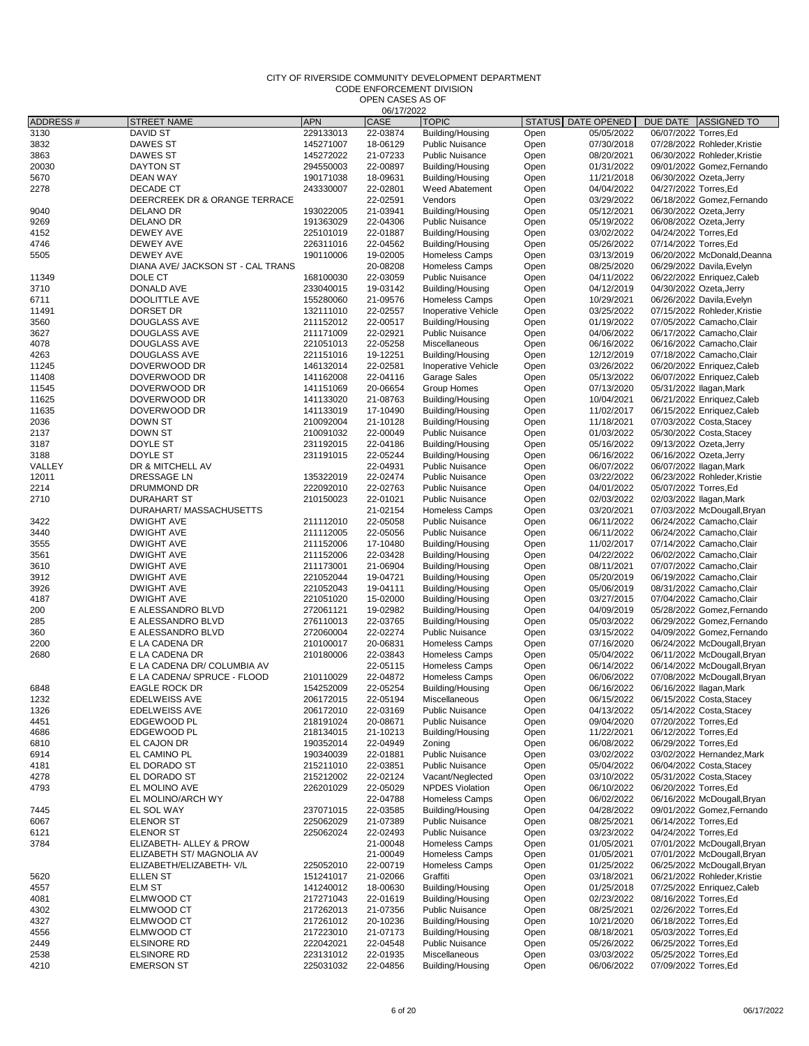CODE ENFORCEMENT DIVISION

|          |                                                            |            | 06/17/2022           |                                  |                    |                          |                         |                                                            |
|----------|------------------------------------------------------------|------------|----------------------|----------------------------------|--------------------|--------------------------|-------------------------|------------------------------------------------------------|
| ADDRESS# | <b>STREET NAME</b>                                         | <b>APN</b> | <b>CASE</b>          | <b>TOPIC</b>                     | STATUS DATE OPENED |                          | DUE DATE                | ASSIGNED TO                                                |
| 3130     | <b>DAVID ST</b>                                            | 229133013  | 22-03874             | Building/Housing                 | Open               | 05/05/2022               | 06/07/2022 Torres, Ed   |                                                            |
| 3832     | DAWES ST                                                   | 145271007  | 18-06129<br>21-07233 | <b>Public Nuisance</b>           | Open               | 07/30/2018               |                         | 07/28/2022 Rohleder, Kristie                               |
| 3863     | DAWES ST                                                   | 145272022  |                      | <b>Public Nuisance</b>           | Open               | 08/20/2021               |                         | 06/30/2022 Rohleder, Kristie                               |
| 20030    | <b>DAYTON ST</b><br><b>DEAN WAY</b>                        | 294550003  | 22-00897             | Building/Housing                 | Open               | 01/31/2022<br>11/21/2018 |                         | 09/01/2022 Gomez, Fernando                                 |
| 5670     |                                                            | 190171038  | 18-09631             | Building/Housing                 | Open               |                          | 06/30/2022 Ozeta, Jerry |                                                            |
| 2278     | DECADE CT<br><b>DEERCREEK DR &amp; ORANGE TERRACE</b>      | 243330007  | 22-02801<br>22-02591 | Weed Abatement<br>Vendors        | Open<br>Open       | 04/04/2022               | 04/27/2022 Torres, Ed   |                                                            |
| 9040     | DELANO DR                                                  | 193022005  | 21-03941             | Building/Housing                 | Open               | 03/29/2022<br>05/12/2021 | 06/30/2022 Ozeta, Jerry | 06/18/2022 Gomez, Fernando                                 |
| 9269     | DELANO DR                                                  | 191363029  | 22-04306             | <b>Public Nuisance</b>           | Open               | 05/19/2022               | 06/08/2022 Ozeta, Jerry |                                                            |
| 4152     | DEWEY AVE                                                  | 225101019  | 22-01887             | Building/Housing                 | Open               | 03/02/2022               | 04/24/2022 Torres, Ed   |                                                            |
| 4746     | DEWEY AVE                                                  | 226311016  | 22-04562             | Building/Housing                 | Open               | 05/26/2022               | 07/14/2022 Torres, Ed   |                                                            |
| 5505     | <b>DEWEY AVE</b>                                           | 190110006  | 19-02005             | <b>Homeless Camps</b>            | Open               | 03/13/2019               |                         | 06/20/2022 McDonald, Deanna                                |
|          | DIANA AVE/ JACKSON ST - CAL TRANS                          |            | 20-08208             | Homeless Camps                   | Open               | 08/25/2020               |                         | 06/29/2022 Davila, Evelyn                                  |
| 11349    | DOLE CT                                                    | 168100030  | 22-03059             | <b>Public Nuisance</b>           | Open               | 04/11/2022               |                         | 06/22/2022 Enriquez, Caleb                                 |
| 3710     | DONALD AVE                                                 | 233040015  | 19-03142             | Building/Housing                 | Open               | 04/12/2019               | 04/30/2022 Ozeta, Jerry |                                                            |
| 6711     | DOOLITTLE AVE                                              | 155280060  | 21-09576             | Homeless Camps                   | Open               | 10/29/2021               |                         | 06/26/2022 Davila, Evelyn                                  |
| 11491    | DORSET DR                                                  | 132111010  | 22-02557             | Inoperative Vehicle              | Open               | 03/25/2022               |                         | 07/15/2022 Rohleder, Kristie                               |
| 3560     | DOUGLASS AVE                                               | 211152012  | 22-00517             | Building/Housing                 | Open               | 01/19/2022               |                         | 07/05/2022 Camacho, Clair                                  |
| 3627     | DOUGLASS AVE                                               | 211171009  | 22-02921             | <b>Public Nuisance</b>           | Open               | 04/06/2022               |                         | 06/17/2022 Camacho, Clair                                  |
| 4078     | DOUGLASS AVE                                               | 221051013  | 22-05258             | Miscellaneous                    | Open               | 06/16/2022               |                         | 06/16/2022 Camacho, Clair                                  |
| 4263     | DOUGLASS AVE                                               | 221151016  | 19-12251             | Building/Housing                 | Open               | 12/12/2019               |                         | 07/18/2022 Camacho, Clair                                  |
| 11245    | DOVERWOOD DR                                               | 146132014  | 22-02581             | <b>Inoperative Vehicle</b>       | Open               | 03/26/2022               |                         | 06/20/2022 Enriquez, Caleb                                 |
| 11408    | DOVERWOOD DR                                               | 141162008  | 22-04116             | Garage Sales                     | Open               | 05/13/2022               |                         | 06/07/2022 Enriquez, Caleb                                 |
| 11545    | DOVERWOOD DR                                               | 141151069  | 20-06654             | Group Homes                      | Open               | 07/13/2020               | 05/31/2022 Ilagan, Mark |                                                            |
| 11625    | DOVERWOOD DR                                               | 141133020  | 21-08763             | Building/Housing                 | Open               | 10/04/2021               |                         | 06/21/2022 Enriquez, Caleb                                 |
| 11635    | DOVERWOOD DR                                               | 141133019  | 17-10490             | Building/Housing                 | Open               | 11/02/2017               |                         | 06/15/2022 Enriquez, Caleb                                 |
| 2036     | <b>DOWN ST</b>                                             | 210092004  | 21-10128             | Building/Housing                 | Open               | 11/18/2021               |                         | 07/03/2022 Costa, Stacey                                   |
| 2137     | <b>DOWN ST</b>                                             | 210091032  | 22-00049             | <b>Public Nuisance</b>           | Open               | 01/03/2022               |                         | 05/30/2022 Costa, Stacey                                   |
| 3187     | DOYLE ST                                                   | 231192015  | 22-04186             | Building/Housing                 | Open               | 05/16/2022               | 09/13/2022 Ozeta, Jerry |                                                            |
| 3188     | DOYLE ST                                                   | 231191015  | 22-05244             | Building/Housing                 | Open               | 06/16/2022               | 06/16/2022 Ozeta, Jerry |                                                            |
| VALLEY   | DR & MITCHELL AV                                           |            | 22-04931             | <b>Public Nuisance</b>           | Open               | 06/07/2022               | 06/07/2022 Ilagan, Mark |                                                            |
| 12011    | DRESSAGE LN                                                | 135322019  | 22-02474             | <b>Public Nuisance</b>           | Open               | 03/22/2022               |                         | 06/23/2022 Rohleder, Kristie                               |
| 2214     | DRUMMOND DR                                                | 222092010  | 22-02763             | <b>Public Nuisance</b>           | Open               | 04/01/2022               | 05/07/2022 Torres, Ed   |                                                            |
| 2710     | <b>DURAHART ST</b>                                         | 210150023  | 22-01021             | <b>Public Nuisance</b>           | Open               | 02/03/2022               | 02/03/2022 Ilagan, Mark |                                                            |
|          | DURAHART/ MASSACHUSETTS                                    |            | 21-02154             | Homeless Camps                   | Open               | 03/20/2021               |                         | 07/03/2022 McDougall, Bryan                                |
| 3422     | <b>DWIGHT AVE</b>                                          | 211112010  | 22-05058             | <b>Public Nuisance</b>           | Open               | 06/11/2022               |                         | 06/24/2022 Camacho, Clair                                  |
| 3440     | <b>DWIGHT AVE</b>                                          | 211112005  | 22-05056             | <b>Public Nuisance</b>           | Open               | 06/11/2022               |                         | 06/24/2022 Camacho, Clair                                  |
| 3555     | <b>DWIGHT AVE</b>                                          | 211152006  | 17-10480             | Building/Housing                 | Open               | 11/02/2017               |                         | 07/14/2022 Camacho, Clair                                  |
| 3561     | <b>DWIGHT AVE</b>                                          | 211152006  | 22-03428             | Building/Housing                 | Open               | 04/22/2022               |                         | 06/02/2022 Camacho, Clair                                  |
| 3610     | <b>DWIGHT AVE</b>                                          | 211173001  | 21-06904             | Building/Housing                 | Open               | 08/11/2021               |                         | 07/07/2022 Camacho, Clair                                  |
| 3912     | <b>DWIGHT AVE</b>                                          | 221052044  | 19-04721             | Building/Housing                 | Open               | 05/20/2019               |                         | 06/19/2022 Camacho, Clair                                  |
| 3926     | <b>DWIGHT AVE</b>                                          | 221052043  | 19-04111             | Building/Housing                 | Open               | 05/06/2019               |                         | 08/31/2022 Camacho, Clair                                  |
| 4187     | <b>DWIGHT AVE</b>                                          | 221051020  | 15-02000             | Building/Housing                 | Open               | 03/27/2015               |                         | 07/04/2022 Camacho, Clair                                  |
| 200      | E ALESSANDRO BLVD                                          | 272061121  | 19-02982             | Building/Housing                 | Open               | 04/09/2019               |                         | 05/28/2022 Gomez, Fernando                                 |
| 285      | E ALESSANDRO BLVD                                          | 276110013  | 22-03765             | Building/Housing                 | Open               | 05/03/2022               |                         | 06/29/2022 Gomez, Fernando                                 |
| 360      | E ALESSANDRO BLVD                                          | 272060004  | 22-02274             | <b>Public Nuisance</b>           | Open               | 03/15/2022               |                         | 04/09/2022 Gomez, Fernando                                 |
| 2200     | E LA CADENA DR                                             | 210100017  | 20-06831             | Homeless Camps                   | Open               | 07/16/2020               |                         | 06/24/2022 McDougall, Bryan                                |
| 2680     | E LA CADENA DR                                             | 210180006  | 22-03843             | Homeless Camps                   | Open               | 05/04/2022<br>06/14/2022 |                         | 06/11/2022 McDougall, Bryan                                |
|          | E LA CADENA DR/ COLUMBIA AV<br>E LA CADENA/ SPRUCE - FLOOD | 210110029  | 22-05115<br>22-04872 | Homeless Camps<br>Homeless Camps | Open<br>Open       | 06/06/2022               |                         | 06/14/2022 McDougall, Bryan<br>07/08/2022 McDougall, Bryan |
| 6848     | <b>EAGLE ROCK DR</b>                                       | 154252009  | 22-05254             | Building/Housing                 | Open               | 06/16/2022               |                         | 06/16/2022 Ilagan, Mark                                    |
| 1232     | <b>EDELWEISS AVE</b>                                       | 206172015  | 22-05194             | Miscellaneous                    | Open               | 06/15/2022               |                         | 06/15/2022 Costa, Stacey                                   |
| 1326     | EDELWEISS AVE                                              | 206172010  | 22-03169             | <b>Public Nuisance</b>           | Open               | 04/13/2022               |                         | 05/14/2022 Costa, Stacey                                   |
| 4451     | EDGEWOOD PL                                                | 218191024  | 20-08671             | <b>Public Nuisance</b>           | Open               | 09/04/2020               | 07/20/2022 Torres, Ed   |                                                            |
| 4686     | EDGEWOOD PL                                                | 218134015  | 21-10213             | Building/Housing                 | Open               | 11/22/2021               | 06/12/2022 Torres, Ed   |                                                            |
| 6810     | EL CAJON DR                                                | 190352014  | 22-04949             | Zoning                           | Open               | 06/08/2022               | 06/29/2022 Torres, Ed   |                                                            |
| 6914     | EL CAMINO PL                                               | 190340039  | 22-01881             | <b>Public Nuisance</b>           | Open               | 03/02/2022               |                         | 03/02/2022 Hernandez, Mark                                 |
| 4181     | EL DORADO ST                                               | 215211010  | 22-03851             | <b>Public Nuisance</b>           | Open               | 05/04/2022               |                         | 06/04/2022 Costa, Stacey                                   |
| 4278     | EL DORADO ST                                               | 215212002  | 22-02124             | Vacant/Neglected                 | Open               | 03/10/2022               |                         | 05/31/2022 Costa, Stacey                                   |
| 4793     | EL MOLINO AVE                                              | 226201029  | 22-05029             | <b>NPDES Violation</b>           | Open               | 06/10/2022               | 06/20/2022 Torres, Ed   |                                                            |
|          | EL MOLINO/ARCH WY                                          |            | 22-04788             | Homeless Camps                   | Open               | 06/02/2022               |                         | 06/16/2022 McDougall, Bryan                                |
| 7445     | EL SOL WAY                                                 | 237071015  | 22-03585             | Building/Housing                 | Open               | 04/28/2022               |                         | 09/01/2022 Gomez, Fernando                                 |
| 6067     | <b>ELENOR ST</b>                                           | 225062029  | 21-07389             | <b>Public Nuisance</b>           | Open               | 08/25/2021               | 06/14/2022 Torres, Ed   |                                                            |
| 6121     | <b>ELENOR ST</b>                                           | 225062024  | 22-02493             | <b>Public Nuisance</b>           | Open               | 03/23/2022               | 04/24/2022 Torres, Ed   |                                                            |
| 3784     | ELIZABETH- ALLEY & PROW                                    |            | 21-00048             | Homeless Camps                   | Open               | 01/05/2021               |                         | 07/01/2022 McDougall, Bryan                                |
|          | ELIZABETH ST/ MAGNOLIA AV                                  |            | 21-00049             | Homeless Camps                   | Open               | 01/05/2021               |                         | 07/01/2022 McDougall, Bryan                                |
|          | ELIZABETH/ELIZABETH- V/L                                   | 225052010  | 22-00719             | Homeless Camps                   | Open               | 01/25/2022               |                         | 06/25/2022 McDougall, Bryan                                |
| 5620     | ELLEN ST                                                   | 151241017  | 21-02066             | Graffiti                         | Open               | 03/18/2021               |                         | 06/21/2022 Rohleder, Kristie                               |
| 4557     | <b>ELM ST</b>                                              | 141240012  | 18-00630             | Building/Housing                 | Open               | 01/25/2018               |                         | 07/25/2022 Enriquez, Caleb                                 |
| 4081     | ELMWOOD CT                                                 | 217271043  | 22-01619             | Building/Housing                 | Open               | 02/23/2022               | 08/16/2022 Torres, Ed   |                                                            |
| 4302     | ELMWOOD CT                                                 | 217262013  | 21-07356             | <b>Public Nuisance</b>           | Open               | 08/25/2021               | 02/26/2022 Torres, Ed   |                                                            |
| 4327     | ELMWOOD CT                                                 | 217261012  | 20-10236             | Building/Housing                 | Open               | 10/21/2020               | 06/18/2022 Torres, Ed   |                                                            |
| 4556     | ELMWOOD CT                                                 | 217223010  | 21-07173             | Building/Housing                 | Open               | 08/18/2021               | 05/03/2022 Torres, Ed   |                                                            |
| 2449     | ELSINORE RD                                                | 222042021  | 22-04548             | <b>Public Nuisance</b>           | Open               | 05/26/2022               | 06/25/2022 Torres, Ed   |                                                            |
| 2538     | <b>ELSINORE RD</b>                                         | 223131012  | 22-01935             | Miscellaneous                    | Open               | 03/03/2022               | 05/25/2022 Torres, Ed   |                                                            |
| 4210     | <b>EMERSON ST</b>                                          | 225031032  | 22-04856             | Building/Housing                 | Open               | 06/06/2022               | 07/09/2022 Torres, Ed   |                                                            |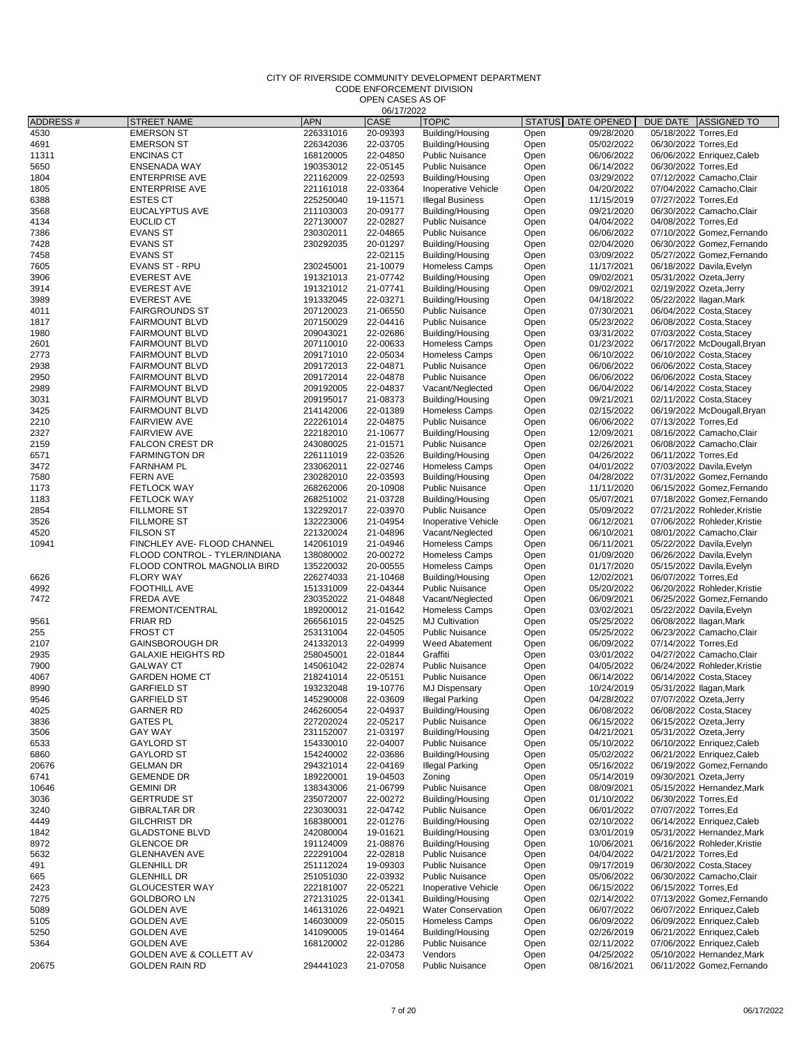CODE ENFORCEMENT DIVISION

| ADDRESS#     | <b>STREET NAME</b>                             | <b>APN</b>             | CASE                 | <b>TOPIC</b>                               | <b>STATUS</b> | DATE OPENED              | DUE DATE ASSIGNED TO                                 |
|--------------|------------------------------------------------|------------------------|----------------------|--------------------------------------------|---------------|--------------------------|------------------------------------------------------|
| 4530         | <b>EMERSON ST</b>                              | 226331016              | 20-09393             | Building/Housing                           | Open          | 09/28/2020               | 05/18/2022 Torres, Ed                                |
| 4691         | <b>EMERSON ST</b>                              | 226342036              | 22-03705             | Building/Housing                           | Open          | 05/02/2022               | 06/30/2022 Torres, Ed                                |
| 11311        | <b>ENCINAS CT</b>                              | 168120005              | 22-04850             | <b>Public Nuisance</b>                     | Open          | 06/06/2022               | 06/06/2022 Enriquez, Caleb                           |
| 5650         | <b>ENSENADA WAY</b>                            | 190353012              | 22-05145             | <b>Public Nuisance</b>                     | Open          | 06/14/2022               | 06/30/2022 Torres, Ed                                |
| 1804         | <b>ENTERPRISE AVE</b>                          | 221162009              | 22-02593             | Building/Housing                           | Open          | 03/29/2022               | 07/12/2022 Camacho, Clair                            |
| 1805         | <b>ENTERPRISE AVE</b>                          | 221161018              | 22-03364             | Inoperative Vehicle                        | Open          | 04/20/2022               | 07/04/2022 Camacho, Clair                            |
| 6388         | <b>ESTES CT</b>                                | 225250040              | 19-11571             | <b>Illegal Business</b>                    | Open          | 11/15/2019               | 07/27/2022 Torres, Ed                                |
| 3568         | EUCALYPTUS AVE                                 | 211103003              | 20-09177             | Building/Housing                           | Open          | 09/21/2020               | 06/30/2022 Camacho, Clair                            |
| 4134         | EUCLID CT                                      | 227130007              | 22-02827             | <b>Public Nuisance</b>                     | Open          | 04/04/2022               | 04/08/2022 Torres, Ed                                |
| 7386         | <b>EVANS ST</b>                                | 230302011              | 22-04865             | <b>Public Nuisance</b>                     | Open          | 06/06/2022               | 07/10/2022 Gomez, Fernando                           |
| 7428         | <b>EVANS ST</b>                                | 230292035              | 20-01297             | Building/Housing                           | Open          | 02/04/2020               | 06/30/2022 Gomez, Fernando                           |
| 7458         | <b>EVANS ST</b>                                |                        | 22-02115             | Building/Housing                           | Open          | 03/09/2022               | 05/27/2022 Gomez, Fernando                           |
| 7605         | <b>EVANS ST - RPU</b>                          | 230245001              | 21-10079             | Homeless Camps                             | Open          | 11/17/2021               | 06/18/2022 Davila, Evelyn                            |
| 3906         | <b>EVEREST AVE</b>                             | 191321013              | 21-07742             | Building/Housing                           | Open          | 09/02/2021               | 05/31/2022 Ozeta, Jerry                              |
| 3914         | <b>EVEREST AVE</b>                             | 191321012              | 21-07741             | Building/Housing                           | Open          | 09/02/2021               | 02/19/2022 Ozeta, Jerry                              |
| 3989         | <b>EVEREST AVE</b>                             | 191332045              | 22-03271             | Building/Housing                           | Open          | 04/18/2022               | 05/22/2022 Ilagan, Mark                              |
| 4011         | <b>FAIRGROUNDS ST</b>                          | 207120023              | 21-06550             | <b>Public Nuisance</b>                     | Open          | 07/30/2021               | 06/04/2022 Costa, Stacey                             |
| 1817         | <b>FAIRMOUNT BLVD</b>                          | 207150029              | 22-04416             | <b>Public Nuisance</b>                     | Open          | 05/23/2022               | 06/08/2022 Costa, Stacey                             |
| 1980         | <b>FAIRMOUNT BLVD</b>                          | 209043021              | 22-02686             | Building/Housing                           | Open          | 03/31/2022               | 07/03/2022 Costa, Stacey                             |
| 2601         | <b>FAIRMOUNT BLVD</b>                          | 207110010              | 22-00633             | Homeless Camps                             | Open          | 01/23/2022               | 06/17/2022 McDougall, Bryan                          |
| 2773         | <b>FAIRMOUNT BLVD</b><br><b>FAIRMOUNT BLVD</b> | 209171010              | 22-05034<br>22-04871 | Homeless Camps<br><b>Public Nuisance</b>   | Open          | 06/10/2022               | 06/10/2022 Costa, Stacey                             |
| 2938         |                                                | 209172013<br>209172014 |                      |                                            | Open          | 06/06/2022<br>06/06/2022 | 06/06/2022 Costa, Stacey                             |
| 2950<br>2989 | <b>FAIRMOUNT BLVD</b><br><b>FAIRMOUNT BLVD</b> | 209192005              | 22-04878<br>22-04837 | <b>Public Nuisance</b><br>Vacant/Neglected | Open<br>Open  | 06/04/2022               | 06/06/2022 Costa, Stacey<br>06/14/2022 Costa, Stacey |
| 3031         | <b>FAIRMOUNT BLVD</b>                          | 209195017              | 21-08373             | Building/Housing                           |               | 09/21/2021               | 02/11/2022 Costa, Stacey                             |
| 3425         | <b>FAIRMOUNT BLVD</b>                          | 214142006              | 22-01389             | Homeless Camps                             | Open          | 02/15/2022               | 06/19/2022 McDougall, Bryan                          |
| 2210         | <b>FAIRVIEW AVE</b>                            | 222261014              | 22-04875             | <b>Public Nuisance</b>                     | Open<br>Open  | 06/06/2022               | 07/13/2022 Torres, Ed                                |
| 2327         | <b>FAIRVIEW AVE</b>                            | 222182010              | 21-10677             | Building/Housing                           | Open          | 12/09/2021               | 08/16/2022 Camacho, Clair                            |
| 2159         | <b>FALCON CREST DR</b>                         | 243080025              | 21-01571             | <b>Public Nuisance</b>                     | Open          | 02/26/2021               | 06/08/2022 Camacho, Clair                            |
| 6571         | <b>FARMINGTON DR</b>                           | 226111019              | 22-03526             | Building/Housing                           | Open          | 04/26/2022               | 06/11/2022 Torres, Ed                                |
| 3472         | <b>FARNHAM PL</b>                              | 233062011              | 22-02746             | <b>Homeless Camps</b>                      | Open          | 04/01/2022               | 07/03/2022 Davila, Evelyn                            |
| 7580         | <b>FERN AVE</b>                                | 230282010              | 22-03593             | Building/Housing                           | Open          | 04/28/2022               | 07/31/2022 Gomez, Fernando                           |
| 1173         | <b>FETLOCK WAY</b>                             | 268262006              | 20-10908             | <b>Public Nuisance</b>                     | Open          | 11/11/2020               | 06/15/2022 Gomez, Fernando                           |
| 1183         | <b>FETLOCK WAY</b>                             | 268251002              | 21-03728             | Building/Housing                           | Open          | 05/07/2021               | 07/18/2022 Gomez, Fernando                           |
| 2854         | <b>FILLMORE ST</b>                             | 132292017              | 22-03970             | <b>Public Nuisance</b>                     | Open          | 05/09/2022               | 07/21/2022 Rohleder, Kristie                         |
| 3526         | <b>FILLMORE ST</b>                             | 132223006              | 21-04954             | Inoperative Vehicle                        | Open          | 06/12/2021               | 07/06/2022 Rohleder, Kristie                         |
| 4520         | <b>FILSON ST</b>                               | 221320024              | 21-04896             | Vacant/Neglected                           | Open          | 06/10/2021               | 08/01/2022 Camacho, Clair                            |
| 10941        | FINCHLEY AVE- FLOOD CHANNEL                    | 142061019              | 21-04946             | Homeless Camps                             | Open          | 06/11/2021               | 05/22/2022 Davila, Evelyn                            |
|              | FLOOD CONTROL - TYLER/INDIANA                  | 138080002              | 20-00272             | Homeless Camps                             | Open          | 01/09/2020               | 06/26/2022 Davila, Evelyn                            |
|              | FLOOD CONTROL MAGNOLIA BIRD                    | 135220032              | 20-00555             | Homeless Camps                             | Open          | 01/17/2020               | 05/15/2022 Davila, Evelyn                            |
| 6626         | <b>FLORY WAY</b>                               | 226274033              | 21-10468             | Building/Housing                           | Open          | 12/02/2021               | 06/07/2022 Torres, Ed                                |
| 4992         | <b>FOOTHILL AVE</b>                            | 151331009              | 22-04344             | <b>Public Nuisance</b>                     | Open          | 05/20/2022               | 06/20/2022 Rohleder, Kristie                         |
| 7472         | <b>FREDA AVE</b>                               | 230352022              | 21-04848             | Vacant/Neglected                           | Open          | 06/09/2021               | 06/25/2022 Gomez, Fernando                           |
|              | FREMONT/CENTRAL                                | 189200012              | 21-01642             | Homeless Camps                             | Open          | 03/02/2021               | 05/22/2022 Davila, Evelyn                            |
| 9561         | <b>FRIAR RD</b>                                | 266561015              | 22-04525             | <b>MJ Cultivation</b>                      | Open          | 05/25/2022               | 06/08/2022 Ilagan, Mark                              |
| 255          | <b>FROST CT</b>                                | 253131004              | 22-04505             | <b>Public Nuisance</b>                     | Open          | 05/25/2022               | 06/23/2022 Camacho, Clair                            |
| 2107         | <b>GAINSBOROUGH DR</b>                         | 241332013              | 22-04999             | Weed Abatement                             | Open          | 06/09/2022               | 07/14/2022 Torres, Ed                                |
| 2935         | <b>GALAXIE HEIGHTS RD</b>                      | 258045001              | 22-01844             | Graffiti                                   | Open          | 03/01/2022               | 04/27/2022 Camacho, Clair                            |
| 7900         | <b>GALWAY CT</b>                               | 145061042              | 22-02874             | <b>Public Nuisance</b>                     | Open          | 04/05/2022               | 06/24/2022 Rohleder, Kristie                         |
| 4067         | <b>GARDEN HOME CT</b>                          | 218241014              | 22-05151             | <b>Public Nuisance</b>                     | Open          | 06/14/2022               | 06/14/2022 Costa, Stacey                             |
| 8990         | <b>GARFIELD ST</b>                             | 193232048              | 19-10776             | <b>MJ Dispensary</b>                       | Open          | 10/24/2019               | 05/31/2022 Ilagan, Mark                              |
| 9546         | <b>GARFIELD ST</b>                             | 145290008              | 22-03609             | <b>Illegal Parking</b>                     | Open          | 04/28/2022               | 07/07/2022 Ozeta, Jerry                              |
| 4025         | GARNER RD                                      | 246260054              | 22-04937             | Building/Housing                           | Open          | 06/08/2022               | 06/08/2022 Costa, Stacey                             |
| 3836         | <b>GATES PL</b>                                | 227202024              | 22-05217             | <b>Public Nuisance</b>                     | Open          | 06/15/2022               | 06/15/2022 Ozeta, Jerry                              |
| 3506         | <b>GAY WAY</b>                                 | 231152007              | 21-03197             | Building/Housing                           | Open          | 04/21/2021               | 05/31/2022 Ozeta, Jerry                              |
| 6533         | <b>GAYLORD ST</b>                              | 154330010              | 22-04007             | <b>Public Nuisance</b>                     | Open          | 05/10/2022               | 06/10/2022 Enriquez, Caleb                           |
| 6860         | <b>GAYLORD ST</b>                              | 154240002              | 22-03686             | Building/Housing                           | Open          | 05/02/2022               | 06/21/2022 Enriquez, Caleb                           |
| 20676        | <b>GELMAN DR</b>                               | 294321014              | 22-04169             | <b>Illegal Parking</b>                     | Open          | 05/16/2022               | 06/19/2022 Gomez, Fernando                           |
| 6741         | <b>GEMENDE DR</b>                              | 189220001              | 19-04503             | Zonina                                     | Open          | 05/14/2019               | 09/30/2021 Ozeta, Jerry                              |
| 10646        | <b>GEMINI DR</b>                               | 138343006              | 21-06799             | <b>Public Nuisance</b>                     | Open          | 08/09/2021               | 05/15/2022 Hernandez, Mark<br>06/30/2022 Torres, Ed  |
| 3036<br>3240 | <b>GERTRUDE ST</b>                             | 235072007<br>223030031 | 22-00272<br>22-04742 | Building/Housing                           | Open          | 01/10/2022<br>06/01/2022 | 07/07/2022 Torres, Ed                                |
|              | <b>GIBRALTAR DR</b>                            | 168380001              | 22-01276             | <b>Public Nuisance</b>                     | Open          | 02/10/2022               | 06/14/2022 Enriquez, Caleb                           |
| 4449<br>1842 | <b>GILCHRIST DR</b><br><b>GLADSTONE BLVD</b>   | 242080004              | 19-01621             | Building/Housing<br>Building/Housing       | Open<br>Open  | 03/01/2019               | 05/31/2022 Hernandez, Mark                           |
| 8972         | <b>GLENCOE DR</b>                              | 191124009              | 21-08876             |                                            |               | 10/06/2021               | 06/16/2022 Rohleder, Kristie                         |
| 5632         | <b>GLENHAVEN AVE</b>                           | 222291004              | 22-02818             | Building/Housing<br><b>Public Nuisance</b> | Open<br>Open  | 04/04/2022               | 04/21/2022 Torres, Ed                                |
| 491          | <b>GLENHILL DR</b>                             | 251112024              | 19-09303             | <b>Public Nuisance</b>                     | Open          | 09/17/2019               | 06/30/2022 Costa, Stacey                             |
| 665          | <b>GLENHILL DR</b>                             | 251051030              | 22-03932             | <b>Public Nuisance</b>                     | Open          | 05/06/2022               | 06/30/2022 Camacho, Clair                            |
| 2423         | <b>GLOUCESTER WAY</b>                          | 222181007              | 22-05221             | Inoperative Vehicle                        | Open          | 06/15/2022               | 06/15/2022 Torres, Ed                                |
| 7275         | <b>GOLDBORO LN</b>                             | 272131025              | 22-01341             | Building/Housing                           | Open          | 02/14/2022               | 07/13/2022 Gomez, Fernando                           |
| 5089         | <b>GOLDEN AVE</b>                              | 146131026              | 22-04921             | <b>Water Conservation</b>                  | Open          | 06/07/2022               | 06/07/2022 Enriquez, Caleb                           |
| 5105         | <b>GOLDEN AVE</b>                              | 146030009              | 22-05015             | Homeless Camps                             | Open          | 06/09/2022               | 06/09/2022 Enriquez, Caleb                           |
| 5250         | <b>GOLDEN AVE</b>                              | 141090005              | 19-01464             | Building/Housing                           | Open          | 02/26/2019               | 06/21/2022 Enriquez, Caleb                           |
| 5364         | <b>GOLDEN AVE</b>                              | 168120002              | 22-01286             | <b>Public Nuisance</b>                     | Open          | 02/11/2022               | 07/06/2022 Enriquez, Caleb                           |
|              | GOLDEN AVE & COLLETT AV                        |                        | 22-03473             | Vendors                                    | Open          | 04/25/2022               | 05/10/2022 Hernandez, Mark                           |
| 20675        | <b>GOLDEN RAIN RD</b>                          | 294441023              | 21-07058             | <b>Public Nuisance</b>                     | Open          | 08/16/2021               | 06/11/2022 Gomez, Fernando                           |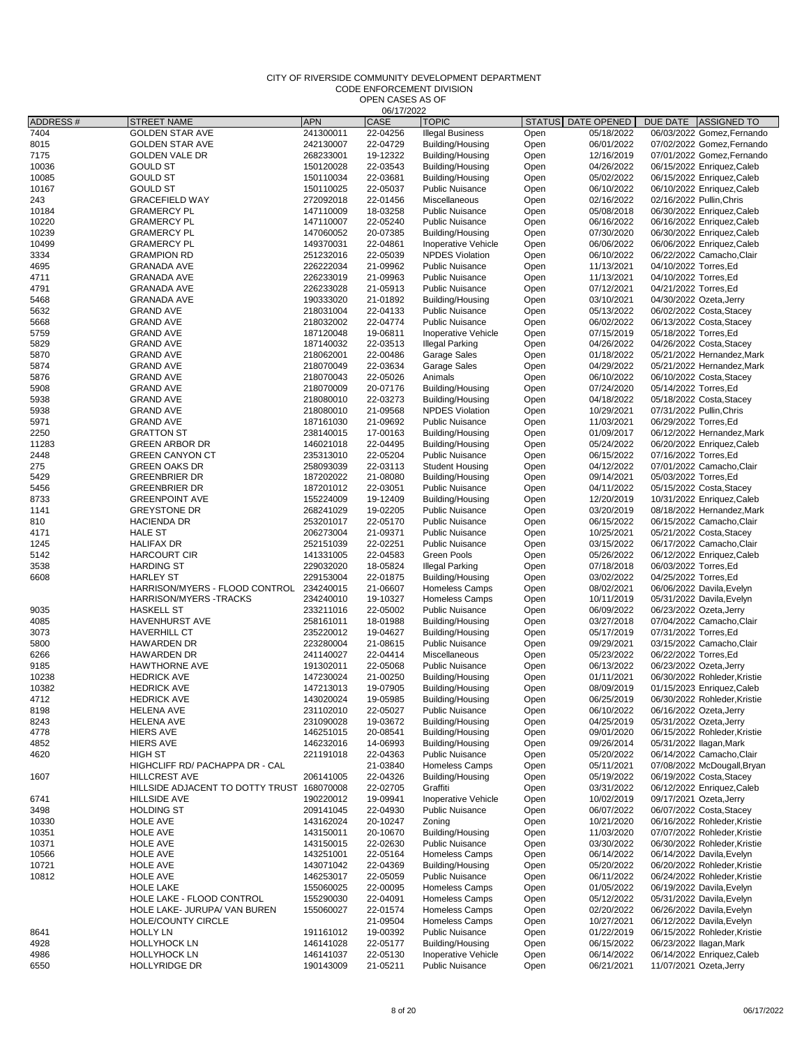CODE ENFORCEMENT DIVISION

|                 |                                            |            | 06/17/2022  |                         |                    |            |                          |                              |
|-----------------|--------------------------------------------|------------|-------------|-------------------------|--------------------|------------|--------------------------|------------------------------|
| <b>ADDRESS#</b> | <b>STREET NAME</b>                         | <b>APN</b> | <b>CASE</b> | <b>TOPIC</b>            | STATUS DATE OPENED |            | DUE DATE                 | ASSIGNED TO                  |
| 7404            | <b>GOLDEN STAR AVE</b>                     | 241300011  | 22-04256    | <b>Illegal Business</b> | Open               | 05/18/2022 |                          | 06/03/2022 Gomez, Fernando   |
| 8015            | <b>GOLDEN STAR AVE</b>                     | 242130007  | 22-04729    | Building/Housing        | Open               | 06/01/2022 |                          | 07/02/2022 Gomez, Fernando   |
| 7175            | <b>GOLDEN VALE DR</b>                      | 268233001  | 19-12322    | Building/Housing        | Open               | 12/16/2019 |                          | 07/01/2022 Gomez, Fernando   |
| 10036           | <b>GOULD ST</b>                            | 150120028  | 22-03543    | Building/Housing        | Open               | 04/26/2022 |                          | 06/15/2022 Enriquez, Caleb   |
| 10085           | <b>GOULD ST</b>                            | 150110034  | 22-03681    | Building/Housing        | Open               | 05/02/2022 |                          | 06/15/2022 Enriquez, Caleb   |
| 10167           | <b>GOULD ST</b>                            | 150110025  | 22-05037    | <b>Public Nuisance</b>  | Open               | 06/10/2022 |                          | 06/10/2022 Enriquez, Caleb   |
| 243             | <b>GRACEFIELD WAY</b>                      | 272092018  | 22-01456    | Miscellaneous           | Open               | 02/16/2022 | 02/16/2022 Pullin, Chris |                              |
| 10184           | <b>GRAMERCY PL</b>                         | 147110009  | 18-03258    | <b>Public Nuisance</b>  | Open               | 05/08/2018 |                          | 06/30/2022 Enriquez, Caleb   |
| 10220           | <b>GRAMERCY PL</b>                         | 147110007  | 22-05240    | <b>Public Nuisance</b>  | Open               | 06/16/2022 |                          | 06/16/2022 Enriquez, Caleb   |
| 10239           | <b>GRAMERCY PL</b>                         | 147060052  | 20-07385    | Building/Housing        | Open               | 07/30/2020 |                          | 06/30/2022 Enriquez, Caleb   |
| 10499           | <b>GRAMERCY PL</b>                         | 149370031  | 22-04861    | Inoperative Vehicle     | Open               | 06/06/2022 |                          | 06/06/2022 Enriquez, Caleb   |
|                 | <b>GRAMPION RD</b>                         |            | 22-05039    | <b>NPDES Violation</b>  |                    |            |                          |                              |
| 3334            |                                            | 251232016  |             |                         | Open               | 06/10/2022 |                          | 06/22/2022 Camacho, Clair    |
| 4695            | <b>GRANADA AVE</b>                         | 226222034  | 21-09962    | <b>Public Nuisance</b>  | Open               | 11/13/2021 | 04/10/2022 Torres, Ed    |                              |
| 4711            | <b>GRANADA AVE</b>                         | 226233019  | 21-09963    | <b>Public Nuisance</b>  | Open               | 11/13/2021 | 04/10/2022 Torres, Ed    |                              |
| 4791            | <b>GRANADA AVE</b>                         | 226233028  | 21-05913    | <b>Public Nuisance</b>  | Open               | 07/12/2021 | 04/21/2022 Torres, Ed    |                              |
| 5468            | <b>GRANADA AVE</b>                         | 190333020  | 21-01892    | Building/Housing        | Open               | 03/10/2021 |                          | 04/30/2022 Ozeta, Jerry      |
| 5632            | <b>GRAND AVE</b>                           | 218031004  | 22-04133    | <b>Public Nuisance</b>  | Open               | 05/13/2022 |                          | 06/02/2022 Costa, Stacey     |
| 5668            | <b>GRAND AVE</b>                           | 218032002  | 22-04774    | <b>Public Nuisance</b>  | Open               | 06/02/2022 |                          | 06/13/2022 Costa, Stacey     |
| 5759            | <b>GRAND AVE</b>                           | 187120048  | 19-06811    | Inoperative Vehicle     | Open               | 07/15/2019 | 05/18/2022 Torres, Ed    |                              |
| 5829            | <b>GRAND AVE</b>                           | 187140032  | 22-03513    | <b>Illegal Parking</b>  | Open               | 04/26/2022 |                          | 04/26/2022 Costa, Stacey     |
| 5870            | <b>GRAND AVE</b>                           | 218062001  | 22-00486    | Garage Sales            | Open               | 01/18/2022 |                          | 05/21/2022 Hernandez, Mark   |
| 5874            | <b>GRAND AVE</b>                           | 218070049  | 22-03634    | Garage Sales            | Open               | 04/29/2022 |                          | 05/21/2022 Hernandez, Mark   |
| 5876            | <b>GRAND AVE</b>                           | 218070043  | 22-05026    | Animals                 | Open               | 06/10/2022 |                          | 06/10/2022 Costa, Stacey     |
| 5908            | <b>GRAND AVE</b>                           | 218070009  | 20-07176    | Building/Housing        | Open               | 07/24/2020 | 05/14/2022 Torres, Ed    |                              |
| 5938            | <b>GRAND AVE</b>                           | 218080010  | 22-03273    | Building/Housing        | Open               | 04/18/2022 |                          | 05/18/2022 Costa, Stacey     |
|                 | <b>GRAND AVE</b>                           |            |             | <b>NPDES Violation</b>  |                    |            | 07/31/2022 Pullin, Chris |                              |
| 5938            |                                            | 218080010  | 21-09568    |                         | Open               | 10/29/2021 |                          |                              |
| 5971            | <b>GRAND AVE</b>                           | 187161030  | 21-09692    | <b>Public Nuisance</b>  | Open               | 11/03/2021 | 06/29/2022 Torres, Ed    |                              |
| 2250            | <b>GRATTON ST</b>                          | 238140015  | 17-00163    | Building/Housing        | Open               | 01/09/2017 |                          | 06/12/2022 Hernandez, Mark   |
| 11283           | <b>GREEN ARBOR DR</b>                      | 146021018  | 22-04495    | Building/Housing        | Open               | 05/24/2022 |                          | 06/20/2022 Enriquez, Caleb   |
| 2448            | <b>GREEN CANYON CT</b>                     | 235313010  | 22-05204    | <b>Public Nuisance</b>  | Open               | 06/15/2022 | 07/16/2022 Torres, Ed    |                              |
| 275             | <b>GREEN OAKS DR</b>                       | 258093039  | 22-03113    | <b>Student Housing</b>  | Open               | 04/12/2022 |                          | 07/01/2022 Camacho, Clair    |
| 5429            | <b>GREENBRIER DR</b>                       | 187202022  | 21-08080    | Building/Housing        | Open               | 09/14/2021 | 05/03/2022 Torres, Ed    |                              |
| 5456            | <b>GREENBRIER DR</b>                       | 187201012  | 22-03051    | <b>Public Nuisance</b>  | Open               | 04/11/2022 |                          | 05/15/2022 Costa, Stacey     |
| 8733            | <b>GREENPOINT AVE</b>                      | 155224009  | 19-12409    | Building/Housing        | Open               | 12/20/2019 |                          | 10/31/2022 Enriquez, Caleb   |
| 1141            | <b>GREYSTONE DR</b>                        | 268241029  | 19-02205    | <b>Public Nuisance</b>  | Open               | 03/20/2019 |                          | 08/18/2022 Hernandez, Mark   |
| 810             | <b>HACIENDA DR</b>                         | 253201017  | 22-05170    | <b>Public Nuisance</b>  | Open               | 06/15/2022 |                          | 06/15/2022 Camacho, Clair    |
| 4171            | <b>HALE ST</b>                             | 206273004  | 21-09371    | <b>Public Nuisance</b>  | Open               | 10/25/2021 |                          | 05/21/2022 Costa, Stacey     |
| 1245            | <b>HALIFAX DR</b>                          | 252151039  | 22-02251    | <b>Public Nuisance</b>  | Open               | 03/15/2022 |                          | 06/17/2022 Camacho, Clair    |
| 5142            | <b>HARCOURT CIR</b>                        | 141331005  | 22-04583    | Green Pools             | Open               | 05/26/2022 |                          | 06/12/2022 Enriquez, Caleb   |
| 3538            | <b>HARDING ST</b>                          | 229032020  | 18-05824    | <b>Illegal Parking</b>  | Open               | 07/18/2018 | 06/03/2022 Torres, Ed    |                              |
| 6608            | <b>HARLEY ST</b>                           | 229153004  | 22-01875    |                         |                    | 03/02/2022 | 04/25/2022 Torres, Ed    |                              |
|                 |                                            |            |             | Building/Housing        | Open               |            |                          |                              |
|                 | HARRISON/MYERS - FLOOD CONTROL 234240015   |            | 21-06607    | Homeless Camps          | Open               | 08/02/2021 |                          | 06/06/2022 Davila, Evelyn    |
|                 | HARRISON/MYERS-TRACKS                      | 234240010  | 19-10327    | Homeless Camps          | Open               | 10/11/2019 |                          | 05/31/2022 Davila, Evelyn    |
| 9035            | <b>HASKELL ST</b>                          | 233211016  | 22-05002    | <b>Public Nuisance</b>  | Open               | 06/09/2022 |                          | 06/23/2022 Ozeta, Jerry      |
| 4085            | <b>HAVENHURST AVE</b>                      | 258161011  | 18-01988    | Building/Housing        | Open               | 03/27/2018 |                          | 07/04/2022 Camacho, Clair    |
| 3073            | <b>HAVERHILL CT</b>                        | 235220012  | 19-04627    | Building/Housing        | Open               | 05/17/2019 | 07/31/2022 Torres, Ed    |                              |
| 5800            | HAWARDEN DR                                | 223280004  | 21-08615    | <b>Public Nuisance</b>  | Open               | 09/29/2021 |                          | 03/15/2022 Camacho, Clair    |
| 6266            | <b>HAWARDEN DR</b>                         | 241140027  | 22-04414    | Miscellaneous           | Open               | 05/23/2022 | 06/22/2022 Torres, Ed    |                              |
| 9185            | <b>HAWTHORNE AVE</b>                       | 191302011  | 22-05068    | <b>Public Nuisance</b>  | Open               | 06/13/2022 |                          | 06/23/2022 Ozeta, Jerry      |
| 10238           | <b>HEDRICK AVE</b>                         | 147230024  | 21-00250    | Building/Housing        | Open               | 01/11/2021 |                          | 06/30/2022 Rohleder, Kristie |
| 10382           | <b>HEDRICK AVE</b>                         | 147213013  | 19-07905    | Building/Housing        | Open               | 08/09/2019 |                          | 01/15/2023 Enriquez, Caleb   |
| 4712            | <b>HEDRICK AVE</b>                         | 143020024  | 19-05985    | Building/Housing        | Open               | 06/25/2019 |                          | 06/30/2022 Rohleder, Kristie |
| 8198            | <b>HELENA AVE</b>                          | 231102010  | 22-05027    | <b>Public Nuisance</b>  | Open               | 06/10/2022 |                          | 06/16/2022 Ozeta, Jerry      |
| 8243            | <b>HELENA AVE</b>                          | 231090028  | 19-03672    | Building/Housing        | Open               | 04/25/2019 |                          | 05/31/2022 Ozeta, Jerry      |
| 4778            | <b>HIERS AVE</b>                           | 146251015  | 20-08541    | Building/Housing        | Open               | 09/01/2020 |                          | 06/15/2022 Rohleder, Kristie |
| 4852            | <b>HIERS AVE</b>                           | 146232016  | 14-06993    | Building/Housing        | Open               | 09/26/2014 |                          | 05/31/2022 Ilagan, Mark      |
| 4620            | <b>HIGH ST</b>                             | 221191018  | 22-04363    | <b>Public Nuisance</b>  | Open               | 05/20/2022 |                          | 06/14/2022 Camacho, Clair    |
|                 | HIGHCLIFF RD/ PACHAPPA DR - CAL            |            | 21-03840    | Homeless Camps          | Open               | 05/11/2021 |                          | 07/08/2022 McDougall, Bryan  |
|                 |                                            |            |             |                         |                    |            |                          |                              |
| 1607            | <b>HILLCREST AVE</b>                       | 206141005  | 22-04326    | Building/Housing        | Open               | 05/19/2022 |                          | 06/19/2022 Costa, Stacey     |
|                 | HILLSIDE ADJACENT TO DOTTY TRUST 168070008 |            | 22-02705    | Graffiti                | Open               | 03/31/2022 |                          | 06/12/2022 Enriquez, Caleb   |
| 6741            | <b>HILLSIDE AVE</b>                        | 190220012  | 19-09941    | Inoperative Vehicle     | Open               | 10/02/2019 |                          | 09/17/2021 Ozeta, Jerry      |
| 3498            | <b>HOLDING ST</b>                          | 209141045  | 22-04930    | <b>Public Nuisance</b>  | Open               | 06/07/2022 |                          | 06/07/2022 Costa, Stacey     |
| 10330           | HOLE AVE                                   | 143162024  | 20-10247    | Zoning                  | Open               | 10/21/2020 |                          | 06/16/2022 Rohleder, Kristie |
| 10351           | <b>HOLE AVE</b>                            | 143150011  | 20-10670    | Building/Housing        | Open               | 11/03/2020 |                          | 07/07/2022 Rohleder, Kristie |
| 10371           | HOLE AVE                                   | 143150015  | 22-02630    | <b>Public Nuisance</b>  | Open               | 03/30/2022 |                          | 06/30/2022 Rohleder, Kristie |
| 10566           | HOLE AVE                                   | 143251001  | 22-05164    | Homeless Camps          | Open               | 06/14/2022 |                          | 06/14/2022 Davila, Evelyn    |
| 10721           | HOLE AVE                                   | 143071042  | 22-04369    | Building/Housing        | Open               | 05/20/2022 |                          | 06/20/2022 Rohleder, Kristie |
| 10812           | <b>HOLE AVE</b>                            | 146253017  | 22-05059    | <b>Public Nuisance</b>  | Open               | 06/11/2022 |                          | 06/24/2022 Rohleder, Kristie |
|                 | <b>HOLE LAKE</b>                           | 155060025  | 22-00095    | Homeless Camps          | Open               | 01/05/2022 |                          | 06/19/2022 Davila, Evelyn    |
|                 | HOLE LAKE - FLOOD CONTROL                  | 155290030  | 22-04091    | Homeless Camps          | Open               | 05/12/2022 |                          | 05/31/2022 Davila, Evelyn    |
|                 | HOLE LAKE- JURUPA/ VAN BUREN               | 155060027  | 22-01574    | Homeless Camps          | Open               | 02/20/2022 |                          | 06/26/2022 Davila, Evelyn    |
|                 | <b>HOLE/COUNTY CIRCLE</b>                  |            | 21-09504    | Homeless Camps          | Open               | 10/27/2021 |                          | 06/12/2022 Davila, Evelyn    |
| 8641            | <b>HOLLY LN</b>                            | 191161012  | 19-00392    | <b>Public Nuisance</b>  | Open               | 01/22/2019 |                          | 06/15/2022 Rohleder, Kristie |
|                 |                                            |            |             |                         |                    |            |                          |                              |
| 4928            | <b>HOLLYHOCK LN</b>                        | 146141028  | 22-05177    | Building/Housing        | Open               | 06/15/2022 |                          | 06/23/2022 Ilagan, Mark      |
| 4986            | <b>HOLLYHOCK LN</b>                        | 146141037  | 22-05130    | Inoperative Vehicle     | Open               | 06/14/2022 |                          | 06/14/2022 Enriquez, Caleb   |
| 6550            | <b>HOLLYRIDGE DR</b>                       | 190143009  | 21-05211    | <b>Public Nuisance</b>  | Open               | 06/21/2021 |                          | 11/07/2021 Ozeta, Jerry      |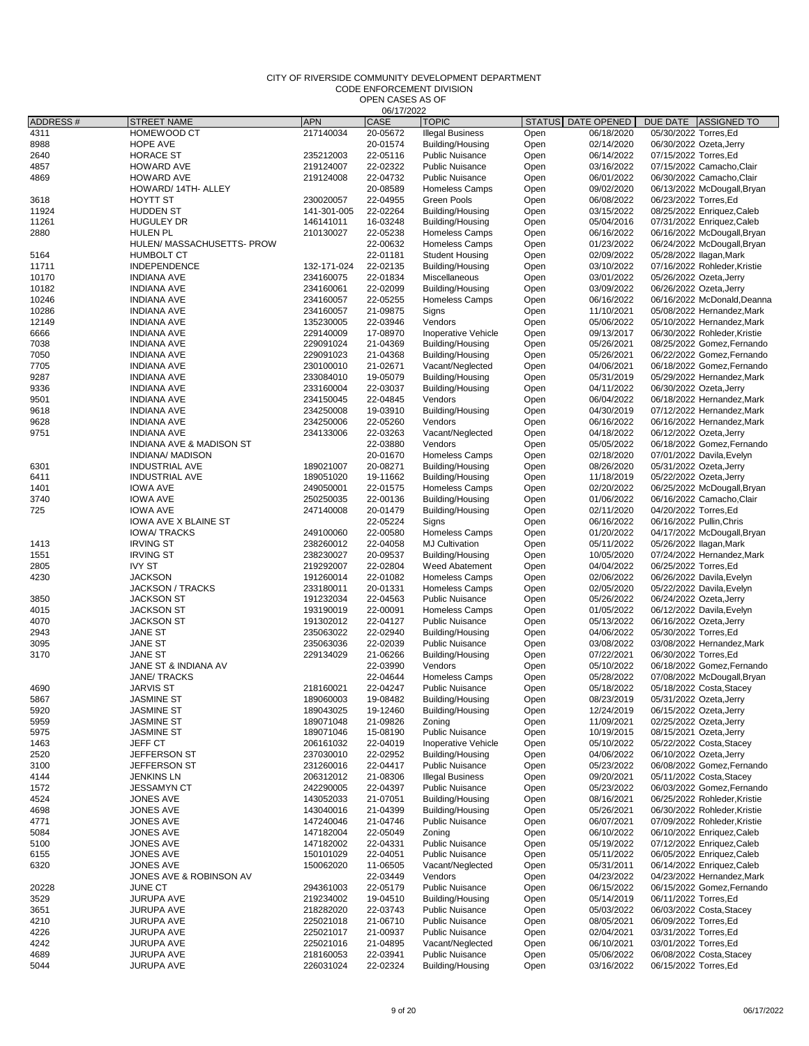#### CITY OF RIVERSIDE COMMUNITY DEVELOPMENT DEPARTMENT CODE ENFORCEMENT DIVISION

|          |                             |             | 06/17/2022  |                         |                    |                          |                          |                              |
|----------|-----------------------------|-------------|-------------|-------------------------|--------------------|--------------------------|--------------------------|------------------------------|
| ADDRESS# | <b>STREET NAME</b>          | <b>APN</b>  | <b>CASE</b> | <b>TOPIC</b>            | STATUS DATE OPENED |                          |                          | DUE DATE ASSIGNED TO         |
| 4311     | HOMEWOOD CT                 | 217140034   | 20-05672    | <b>Illegal Business</b> | Open               | 06/18/2020               | 05/30/2022 Torres, Ed    |                              |
| 8988     | HOPE AVE                    |             | 20-01574    | Building/Housing        | Open               | 02/14/2020               | 06/30/2022 Ozeta, Jerry  |                              |
| 2640     | <b>HORACE ST</b>            | 235212003   | 22-05116    | <b>Public Nuisance</b>  | Open               | 06/14/2022               | 07/15/2022 Torres, Ed    |                              |
| 4857     | <b>HOWARD AVE</b>           | 219124007   | 22-02322    | <b>Public Nuisance</b>  | Open               | 03/16/2022               |                          | 07/15/2022 Camacho, Clair    |
| 4869     | <b>HOWARD AVE</b>           | 219124008   | 22-04732    | <b>Public Nuisance</b>  | Open               | 06/01/2022               |                          | 06/30/2022 Camacho, Clair    |
|          | HOWARD/ 14TH- ALLEY         |             | 20-08589    | <b>Homeless Camps</b>   | Open               | 09/02/2020               |                          | 06/13/2022 McDougall, Bryan  |
| 3618     | <b>HOYTT ST</b>             | 230020057   | 22-04955    | <b>Green Pools</b>      | Open               | 06/08/2022               | 06/23/2022 Torres, Ed    |                              |
| 11924    | <b>HUDDEN ST</b>            | 141-301-005 | 22-02264    | Building/Housing        | Open               | 03/15/2022               |                          | 08/25/2022 Enriquez, Caleb   |
| 11261    | <b>HUGULEY DR</b>           | 146141011   | 16-03248    | Building/Housing        | Open               | 05/04/2016               |                          | 07/31/2022 Enriquez, Caleb   |
| 2880     | <b>HULEN PL</b>             | 210130027   | 22-05238    | <b>Homeless Camps</b>   | Open               | 06/16/2022               |                          | 06/16/2022 McDougall, Bryan  |
|          | HULEN/ MASSACHUSETTS- PROW  |             | 22-00632    | <b>Homeless Camps</b>   | Open               | 01/23/2022               |                          | 06/24/2022 McDougall, Bryan  |
| 5164     | <b>HUMBOLT CT</b>           |             | 22-01181    | <b>Student Housing</b>  | Open               | 02/09/2022               | 05/28/2022 Ilagan, Mark  |                              |
| 11711    | <b>INDEPENDENCE</b>         | 132-171-024 | 22-02135    | Building/Housing        | Open               | 03/10/2022               |                          | 07/16/2022 Rohleder, Kristie |
| 10170    | <b>INDIANA AVE</b>          | 234160075   | 22-01834    | Miscellaneous           | Open               | 03/01/2022               | 05/26/2022 Ozeta, Jerry  |                              |
| 10182    | <b>INDIANA AVE</b>          | 234160061   | 22-02099    | Building/Housing        | Open               | 03/09/2022               | 06/26/2022 Ozeta, Jerry  |                              |
| 10246    | <b>INDIANA AVE</b>          | 234160057   | 22-05255    | Homeless Camps          | Open               | 06/16/2022               |                          | 06/16/2022 McDonald, Deanna  |
| 10286    | <b>INDIANA AVE</b>          | 234160057   | 21-09875    | Signs                   | Open               | 11/10/2021               |                          | 05/08/2022 Hernandez, Mark   |
| 12149    | <b>INDIANA AVE</b>          | 135230005   | 22-03946    | Vendors                 | Open               | 05/06/2022               |                          | 05/10/2022 Hernandez, Mark   |
|          |                             |             | 17-08970    |                         |                    |                          |                          |                              |
| 6666     | <b>INDIANA AVE</b>          | 229140009   |             | Inoperative Vehicle     | Open               | 09/13/2017               |                          | 06/30/2022 Rohleder, Kristie |
| 7038     | <b>INDIANA AVE</b>          | 229091024   | 21-04369    | Building/Housing        | Open               | 05/26/2021               |                          | 08/25/2022 Gomez, Fernando   |
| 7050     | <b>INDIANA AVE</b>          | 229091023   | 21-04368    | Building/Housing        | Open               | 05/26/2021               |                          | 06/22/2022 Gomez, Fernando   |
| 7705     | <b>INDIANA AVE</b>          | 230100010   | 21-02671    | Vacant/Neglected        | Open               | 04/06/2021               |                          | 06/18/2022 Gomez, Fernando   |
| 9287     | <b>INDIANA AVE</b>          | 233084010   | 19-05079    | Building/Housing        | Open               | 05/31/2019               |                          | 05/29/2022 Hernandez, Mark   |
| 9336     | <b>INDIANA AVE</b>          | 233160004   | 22-03037    | Building/Housing        | Open               | 04/11/2022               | 06/30/2022 Ozeta, Jerry  |                              |
| 9501     | <b>INDIANA AVE</b>          | 234150045   | 22-04845    | Vendors                 | Open               | 06/04/2022               |                          | 06/18/2022 Hernandez, Mark   |
| 9618     | <b>INDIANA AVE</b>          | 234250008   | 19-03910    | Building/Housing        | Open               | 04/30/2019               |                          | 07/12/2022 Hernandez, Mark   |
| 9628     | <b>INDIANA AVE</b>          | 234250006   | 22-05260    | Vendors                 | Open               | 06/16/2022               |                          | 06/16/2022 Hernandez, Mark   |
| 9751     | <b>INDIANA AVE</b>          | 234133006   | 22-03263    | Vacant/Neglected        | Open               | 04/18/2022               | 06/12/2022 Ozeta, Jerry  |                              |
|          | INDIANA AVE & MADISON ST    |             | 22-03880    | Vendors                 | Open               | 05/05/2022               |                          | 06/18/2022 Gomez, Fernando   |
|          | <b>INDIANA/ MADISON</b>     |             | 20-01670    | <b>Homeless Camps</b>   | Open               | 02/18/2020               |                          | 07/01/2022 Davila, Evelyn    |
| 6301     | <b>INDUSTRIAL AVE</b>       | 189021007   | 20-08271    | Building/Housing        | Open               | 08/26/2020               | 05/31/2022 Ozeta, Jerry  |                              |
| 6411     | <b>INDUSTRIAL AVE</b>       | 189051020   | 19-11662    | Building/Housing        | Open               | 11/18/2019               | 05/22/2022 Ozeta, Jerry  |                              |
| 1401     | <b>IOWA AVE</b>             | 249050001   | 22-01575    | <b>Homeless Camps</b>   | Open               | 02/20/2022               |                          | 06/25/2022 McDougall, Bryan  |
| 3740     | <b>IOWA AVE</b>             | 250250035   | 22-00136    | Building/Housing        | Open               | 01/06/2022               |                          | 06/16/2022 Camacho, Clair    |
| 725      | <b>IOWA AVE</b>             | 247140008   | 20-01479    | Building/Housing        | Open               | 02/11/2020               | 04/20/2022 Torres, Ed    |                              |
|          | <b>IOWA AVE X BLAINE ST</b> |             | 22-05224    | Signs                   | Open               | 06/16/2022               | 06/16/2022 Pullin, Chris |                              |
|          | <b>IOWA/TRACKS</b>          | 249100060   | 22-00580    | Homeless Camps          | Open               | 01/20/2022               |                          | 04/17/2022 McDougall, Bryan  |
| 1413     | <b>IRVING ST</b>            | 238260012   | 22-04058    | <b>MJ Cultivation</b>   | Open               | 05/11/2022               | 05/26/2022 Ilagan, Mark  |                              |
| 1551     | <b>IRVING ST</b>            | 238230027   | 20-09537    | Building/Housing        | Open               | 10/05/2020               |                          | 07/24/2022 Hernandez, Mark   |
| 2805     | <b>IVY ST</b>               | 219292007   | 22-02804    | Weed Abatement          | Open               | 04/04/2022               | 06/25/2022 Torres, Ed    |                              |
| 4230     | <b>JACKSON</b>              | 191260014   | 22-01082    | <b>Homeless Camps</b>   | Open               | 02/06/2022               |                          | 06/26/2022 Davila, Evelyn    |
|          | JACKSON / TRACKS            | 233180011   | 20-01331    | <b>Homeless Camps</b>   | Open               | 02/05/2020               |                          | 05/22/2022 Davila, Evelyn    |
| 3850     | <b>JACKSON ST</b>           | 191232034   | 22-04563    | <b>Public Nuisance</b>  | Open               | 05/26/2022               | 06/24/2022 Ozeta, Jerry  |                              |
| 4015     | <b>JACKSON ST</b>           | 193190019   | 22-00091    | Homeless Camps          | Open               | 01/05/2022               |                          | 06/12/2022 Davila, Evelyn    |
| 4070     | <b>JACKSON ST</b>           | 191302012   | 22-04127    | <b>Public Nuisance</b>  | Open               | 05/13/2022               | 06/16/2022 Ozeta, Jerry  |                              |
| 2943     | <b>JANE ST</b>              | 235063022   | 22-02940    | Building/Housing        | Open               | 04/06/2022               | 05/30/2022 Torres, Ed    |                              |
| 3095     | JANE ST                     | 235063036   | 22-02039    | <b>Public Nuisance</b>  | Open               | 03/08/2022               |                          | 03/08/2022 Hernandez, Mark   |
| 3170     | <b>JANE ST</b>              | 229134029   | 21-06266    | Building/Housing        | Open               | 07/22/2021               | 06/30/2022 Torres.Ed     |                              |
|          | JANE ST & INDIANA AV        |             | 22-03990    | Vendors                 | Open               | 05/10/2022               |                          | 06/18/2022 Gomez, Fernando   |
|          | JANE/ TRACKS                |             | 22-04644    | <b>Homeless Camps</b>   | Open               | 05/28/2022               |                          | 07/08/2022 McDougall, Bryan  |
|          |                             |             | 22-04247    | <b>Public Nuisance</b>  |                    |                          |                          |                              |
| 4690     | JARVIS ST                   | 218160021   |             |                         | Open               | 05/18/2022<br>08/23/2019 |                          | 05/18/2022 Costa, Stacey     |
| 5867     | JASMINE ST                  | 189060003   | 19-08482    | Building/Housing        | Open               |                          | 05/31/2022 Ozeta, Jerry  |                              |
| 5920     | JASMINE ST                  | 189043025   | 19-12460    | Building/Housing        | Open               | 12/24/2019               | 06/15/2022 Ozeta, Jerry  |                              |
| 5959     | <b>JASMINE ST</b>           | 189071048   | 21-09826    | Zoning                  | Open               | 11/09/2021               | 02/25/2022 Ozeta, Jerry  |                              |
| 5975     | JASMINE ST                  | 189071046   | 15-08190    | <b>Public Nuisance</b>  | Open               | 10/19/2015               | 08/15/2021 Ozeta, Jerry  |                              |
| 1463     | JEFF CT                     | 206161032   | 22-04019    | Inoperative Vehicle     | Open               | 05/10/2022               |                          | 05/22/2022 Costa, Stacey     |
| 2520     | JEFFERSON ST                | 237030010   | 22-02952    | Building/Housing        | Open               | 04/06/2022               | 06/10/2022 Ozeta, Jerry  |                              |
| 3100     | JEFFERSON ST                | 231260016   | 22-04417    | <b>Public Nuisance</b>  | Open               | 05/23/2022               |                          | 06/08/2022 Gomez, Fernando   |
| 4144     | JENKINS LN                  | 206312012   | 21-08306    | <b>Illegal Business</b> | Open               | 09/20/2021               |                          | 05/11/2022 Costa, Stacey     |
| 1572     | JESSAMYN CT                 | 242290005   | 22-04397    | <b>Public Nuisance</b>  | Open               | 05/23/2022               |                          | 06/03/2022 Gomez, Fernando   |
| 4524     | JONES AVE                   | 143052033   | 21-07051    | Building/Housing        | Open               | 08/16/2021               |                          | 06/25/2022 Rohleder, Kristie |
| 4698     | JONES AVE                   | 143040016   | 21-04399    | Building/Housing        | Open               | 05/26/2021               |                          | 06/30/2022 Rohleder, Kristie |
| 4771     | JONES AVE                   | 147240046   | 21-04746    | <b>Public Nuisance</b>  | Open               | 06/07/2021               |                          | 07/09/2022 Rohleder, Kristie |
| 5084     | JONES AVE                   | 147182004   | 22-05049    | Zoning                  | Open               | 06/10/2022               |                          | 06/10/2022 Enriquez, Caleb   |
| 5100     | JONES AVE                   | 147182002   | 22-04331    | <b>Public Nuisance</b>  | Open               | 05/19/2022               |                          | 07/12/2022 Enriquez, Caleb   |
| 6155     | JONES AVE                   | 150101029   | 22-04051    | <b>Public Nuisance</b>  | Open               | 05/11/2022               |                          | 06/05/2022 Enriquez, Caleb   |
| 6320     | JONES AVE                   | 150062020   | 11-06505    | Vacant/Neglected        | Open               | 05/31/2011               |                          | 06/14/2022 Enriquez, Caleb   |
|          | JONES AVE & ROBINSON AV     |             | 22-03449    | Vendors                 | Open               | 04/23/2022               |                          | 04/23/2022 Hernandez, Mark   |
| 20228    | JUNE CT                     | 294361003   | 22-05179    | <b>Public Nuisance</b>  | Open               | 06/15/2022               |                          | 06/15/2022 Gomez, Fernando   |
| 3529     | <b>JURUPA AVE</b>           | 219234002   | 19-04510    | Building/Housing        | Open               | 05/14/2019               | 06/11/2022 Torres, Ed    |                              |
| 3651     | JURUPA AVE                  | 218282020   | 22-03743    | <b>Public Nuisance</b>  | Open               | 05/03/2022               |                          | 06/03/2022 Costa, Stacey     |
| 4210     | JURUPA AVE                  | 225021018   | 21-06710    | <b>Public Nuisance</b>  | Open               | 08/05/2021               | 06/09/2022 Torres, Ed    |                              |
| 4226     | JURUPA AVE                  | 225021017   | 21-00937    | <b>Public Nuisance</b>  | Open               | 02/04/2021               | 03/31/2022 Torres, Ed    |                              |
| 4242     | JURUPA AVE                  | 225021016   | 21-04895    | Vacant/Neglected        | Open               | 06/10/2021               | 03/01/2022 Torres, Ed    |                              |
| 4689     | JURUPA AVE                  | 218160053   | 22-03941    | <b>Public Nuisance</b>  | Open               | 05/06/2022               |                          | 06/08/2022 Costa, Stacey     |
| 5044     | JURUPA AVE                  | 226031024   | 22-02324    | Building/Housing        | Open               | 03/16/2022               | 06/15/2022 Torres, Ed    |                              |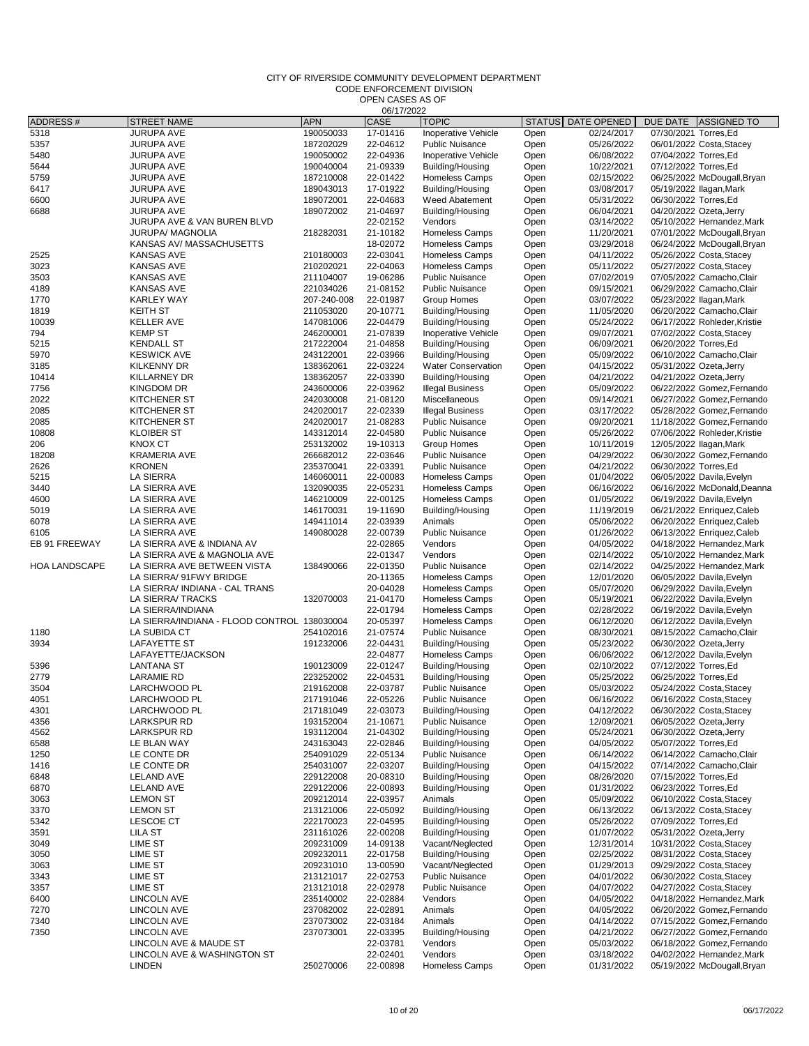CODE ENFORCEMENT DIVISION

|                      |                                             |             | 06/17/2022  |                           |                    |            |                         |                              |
|----------------------|---------------------------------------------|-------------|-------------|---------------------------|--------------------|------------|-------------------------|------------------------------|
| ADDRESS#             | <b>STREET NAME</b>                          | <b>APN</b>  | <b>CASE</b> | <b>TOPIC</b>              | STATUS DATE OPENED |            | DUE DATE                | <b>ASSIGNED TO</b>           |
| 5318                 | <b>JURUPA AVE</b>                           | 190050033   | 17-01416    | Inoperative Vehicle       | Open               | 02/24/2017 | 07/30/2021 Torres, Ed   |                              |
| 5357                 | <b>JURUPA AVE</b>                           | 187202029   | 22-04612    | <b>Public Nuisance</b>    | Open               | 05/26/2022 |                         | 06/01/2022 Costa, Stacey     |
| 5480                 | <b>JURUPA AVE</b>                           | 190050002   | 22-04936    | Inoperative Vehicle       | Open               | 06/08/2022 | 07/04/2022 Torres, Ed   |                              |
| 5644                 | <b>JURUPA AVE</b>                           | 190040004   | 21-09339    | Building/Housing          | Open               | 10/22/2021 | 07/12/2022 Torres, Ed   |                              |
| 5759                 | <b>JURUPA AVE</b>                           | 187210008   | 22-01422    | <b>Homeless Camps</b>     | Open               | 02/15/2022 |                         | 06/25/2022 McDougall, Bryan  |
| 6417                 | <b>JURUPA AVE</b>                           | 189043013   | 17-01922    | Building/Housing          | Open               | 03/08/2017 | 05/19/2022 Ilagan, Mark |                              |
| 6600                 | <b>JURUPA AVE</b>                           | 189072001   | 22-04683    | Weed Abatement            | Open               | 05/31/2022 | 06/30/2022 Torres, Ed   |                              |
| 6688                 | <b>JURUPA AVE</b>                           | 189072002   | 21-04697    | Building/Housing          | Open               | 06/04/2021 | 04/20/2022 Ozeta, Jerry |                              |
|                      | JURUPA AVE & VAN BUREN BLVD                 |             | 22-02152    | Vendors                   | Open               | 03/14/2022 |                         | 05/10/2022 Hernandez, Mark   |
|                      | <b>JURUPA/ MAGNOLIA</b>                     | 218282031   | 21-10182    | <b>Homeless Camps</b>     | Open               | 11/20/2021 |                         | 07/01/2022 McDougall, Bryan  |
|                      | KANSAS AV/ MASSACHUSETTS                    |             | 18-02072    | <b>Homeless Camps</b>     | Open               | 03/29/2018 |                         | 06/24/2022 McDougall, Bryan  |
| 2525                 | <b>KANSAS AVE</b>                           | 210180003   | 22-03041    | <b>Homeless Camps</b>     | Open               | 04/11/2022 |                         | 05/26/2022 Costa, Stacey     |
| 3023                 | <b>KANSAS AVE</b>                           | 210202021   | 22-04063    | <b>Homeless Camps</b>     | Open               | 05/11/2022 |                         | 05/27/2022 Costa, Stacey     |
| 3503                 | <b>KANSAS AVE</b>                           | 211104007   | 19-06286    | <b>Public Nuisance</b>    | Open               | 07/02/2019 |                         | 07/05/2022 Camacho, Clair    |
| 4189                 | <b>KANSAS AVE</b>                           | 221034026   | 21-08152    | <b>Public Nuisance</b>    | Open               | 09/15/2021 |                         | 06/29/2022 Camacho, Clair    |
| 1770                 | <b>KARLEY WAY</b>                           | 207-240-008 | 22-01987    | Group Homes               | Open               | 03/07/2022 | 05/23/2022 Ilagan, Mark |                              |
| 1819                 | <b>KEITH ST</b>                             | 211053020   | 20-10771    | Building/Housing          | Open               | 11/05/2020 |                         | 06/20/2022 Camacho, Clair    |
| 10039                | <b>KELLER AVE</b>                           | 147081006   | 22-04479    | Building/Housing          | Open               | 05/24/2022 |                         | 06/17/2022 Rohleder, Kristie |
| 794                  | <b>KEMP ST</b>                              | 246200001   | 21-07839    | Inoperative Vehicle       | Open               | 09/07/2021 |                         | 07/02/2022 Costa, Stacey     |
| 5215                 | <b>KENDALL ST</b>                           | 217222004   | 21-04858    | Building/Housing          | Open               | 06/09/2021 | 06/20/2022 Torres, Ed   |                              |
| 5970                 | <b>KESWICK AVE</b>                          | 243122001   | 22-03966    | Building/Housing          | Open               | 05/09/2022 |                         | 06/10/2022 Camacho, Clair    |
| 3185                 | <b>KILKENNY DR</b>                          | 138362061   | 22-03224    | <b>Water Conservation</b> | Open               | 04/15/2022 | 05/31/2022 Ozeta, Jerry |                              |
| 10414                | <b>KILLARNEY DR</b>                         | 138362057   | 22-03390    | Building/Housing          | Open               | 04/21/2022 | 04/21/2022 Ozeta, Jerry |                              |
| 7756                 | KINGDOM DR                                  | 243600006   | 22-03962    | <b>Illegal Business</b>   | Open               | 05/09/2022 |                         | 06/22/2022 Gomez, Fernando   |
| 2022                 | KITCHENER ST                                | 242030008   | 21-08120    | Miscellaneous             | Open               | 09/14/2021 |                         | 06/27/2022 Gomez, Fernando   |
| 2085                 | KITCHENER ST                                | 242020017   | 22-02339    | <b>Illegal Business</b>   | Open               | 03/17/2022 |                         | 05/28/2022 Gomez, Fernando   |
| 2085                 | <b>KITCHENER ST</b>                         | 242020017   | 21-08283    | <b>Public Nuisance</b>    | Open               | 09/20/2021 |                         | 11/18/2022 Gomez, Fernando   |
| 10808                | <b>KLOIBER ST</b>                           | 143312014   | 22-04580    | <b>Public Nuisance</b>    | Open               | 05/26/2022 |                         | 07/06/2022 Rohleder, Kristie |
| 206                  | <b>KNOX CT</b>                              | 253132002   | 19-10313    | Group Homes               | Open               | 10/11/2019 |                         | 12/05/2022 Ilagan, Mark      |
| 18208                | <b>KRAMERIA AVE</b>                         | 266682012   | 22-03646    | <b>Public Nuisance</b>    | Open               | 04/29/2022 |                         | 06/30/2022 Gomez, Fernando   |
| 2626                 | <b>KRONEN</b>                               | 235370041   | 22-03391    | <b>Public Nuisance</b>    |                    | 04/21/2022 | 06/30/2022 Torres, Ed   |                              |
| 5215                 | <b>LA SIERRA</b>                            | 146060011   | 22-00083    | <b>Homeless Camps</b>     | Open<br>Open       | 01/04/2022 |                         | 06/05/2022 Davila, Evelyn    |
| 3440                 | LA SIERRA AVE                               | 132090035   | 22-05231    | <b>Homeless Camps</b>     |                    | 06/16/2022 |                         | 06/16/2022 McDonald, Deanna  |
|                      |                                             |             |             |                           | Open               |            |                         |                              |
| 4600                 | LA SIERRA AVE                               | 146210009   | 22-00125    | <b>Homeless Camps</b>     | Open               | 01/05/2022 |                         | 06/19/2022 Davila, Evelyn    |
| 5019                 | LA SIERRA AVE                               | 146170031   | 19-11690    | Building/Housing          | Open               | 11/19/2019 |                         | 06/21/2022 Enriquez, Caleb   |
| 6078                 | LA SIERRA AVE                               | 149411014   | 22-03939    | Animals                   | Open               | 05/06/2022 |                         | 06/20/2022 Enriquez, Caleb   |
| 6105                 | LA SIERRA AVE                               | 149080028   | 22-00739    | <b>Public Nuisance</b>    | Open               | 01/26/2022 |                         | 06/13/2022 Enriquez, Caleb   |
| EB 91 FREEWAY        | LA SIERRA AVE & INDIANA AV                  |             | 22-02865    | Vendors                   | Open               | 04/05/2022 |                         | 04/18/2022 Hernandez, Mark   |
|                      | LA SIERRA AVE & MAGNOLIA AVE                |             | 22-01347    | Vendors                   | Open               | 02/14/2022 |                         | 05/10/2022 Hernandez, Mark   |
| <b>HOA LANDSCAPE</b> | LA SIERRA AVE BETWEEN VISTA                 | 138490066   | 22-01350    | <b>Public Nuisance</b>    | Open               | 02/14/2022 |                         | 04/25/2022 Hernandez, Mark   |
|                      | LA SIERRA/ 91FWY BRIDGE                     |             | 20-11365    | <b>Homeless Camps</b>     | Open               | 12/01/2020 |                         | 06/05/2022 Davila, Evelyn    |
|                      | LA SIERRA/ INDIANA - CAL TRANS              |             | 20-04028    | <b>Homeless Camps</b>     | Open               | 05/07/2020 |                         | 06/29/2022 Davila, Evelyn    |
|                      | LA SIERRA/ TRACKS                           | 132070003   | 21-04170    | <b>Homeless Camps</b>     | Open               | 05/19/2021 |                         | 06/22/2022 Davila, Evelyn    |
|                      | LA SIERRA/INDIANA                           |             | 22-01794    | <b>Homeless Camps</b>     | Open               | 02/28/2022 |                         | 06/19/2022 Davila, Evelyn    |
|                      | LA SIERRA/INDIANA - FLOOD CONTROL 138030004 |             | 20-05397    | <b>Homeless Camps</b>     | Open               | 06/12/2020 |                         | 06/12/2022 Davila, Evelyn    |
| 1180                 | LA SUBIDA CT                                | 254102016   | 21-07574    | <b>Public Nuisance</b>    | Open               | 08/30/2021 |                         | 08/15/2022 Camacho, Clair    |
| 3934                 | LAFAYETTE ST                                | 191232006   | 22-04431    | Building/Housing          | Open               | 05/23/2022 | 06/30/2022 Ozeta, Jerry |                              |
|                      | LAFAYETTE/JACKSON                           |             | 22-04877    | <b>Homeless Camps</b>     | Open               | 06/06/2022 |                         | 06/12/2022 Davila, Evelyn    |
| 5396                 | LANTANA ST                                  | 190123009   | 22-01247    | Building/Housing          | Open               | 02/10/2022 | 07/12/2022 Torres, Ed   |                              |
| 2779                 | <b>LARAMIE RD</b>                           | 223252002   | 22-04531    | Building/Housing          | Open               | 05/25/2022 | 06/25/2022 Torres, Ed   |                              |
| 3504                 | LARCHWOOD PL                                | 219162008   | 22-03787    | <b>Public Nuisance</b>    | Open               | 05/03/2022 |                         | 05/24/2022 Costa, Stacey     |
| 4051                 | LARCHWOOD PL                                | 217191046   | 22-05226    | <b>Public Nuisance</b>    | Open               | 06/16/2022 |                         | 06/16/2022 Costa, Stacey     |
| 4301                 | LARCHWOOD PL                                | 217181049   | 22-03073    | Building/Housing          | Open               | 04/12/2022 |                         | 06/30/2022 Costa, Stacey     |
| 4356                 | LARKSPUR RD                                 | 193152004   | 21-10671    | <b>Public Nuisance</b>    | Open               | 12/09/2021 | 06/05/2022 Ozeta, Jerry |                              |
| 4562                 | LARKSPUR RD                                 | 193112004   | 21-04302    | Building/Housing          | Open               | 05/24/2021 | 06/30/2022 Ozeta, Jerry |                              |
| 6588                 | LE BLAN WAY                                 | 243163043   | 22-02846    | Building/Housing          | Open               | 04/05/2022 | 05/07/2022 Torres, Ed   |                              |
| 1250                 | LE CONTE DR                                 | 254091029   | 22-05134    | <b>Public Nuisance</b>    | Open               | 06/14/2022 |                         | 06/14/2022 Camacho, Clair    |
| 1416                 | LE CONTE DR                                 | 254031007   | 22-03207    | Building/Housing          | Open               | 04/15/2022 |                         | 07/14/2022 Camacho, Clair    |
| 6848                 | LELAND AVE                                  | 229122008   | 20-08310    | Building/Housing          | Open               | 08/26/2020 | 07/15/2022 Torres, Ed   |                              |
| 6870                 | <b>LELAND AVE</b>                           | 229122006   | 22-00893    | Building/Housing          | Open               | 01/31/2022 | 06/23/2022 Torres, Ed   |                              |
| 3063                 | <b>LEMON ST</b>                             | 209212014   | 22-03957    | Animals                   | Open               | 05/09/2022 |                         | 06/10/2022 Costa, Stacey     |
| 3370                 | <b>LEMON ST</b>                             | 213121006   | 22-05092    | Building/Housing          | Open               | 06/13/2022 |                         | 06/13/2022 Costa, Stacey     |
| 5342                 | <b>LESCOE CT</b>                            | 222170023   | 22-04595    | Building/Housing          | Open               | 05/26/2022 | 07/09/2022 Torres, Ed   |                              |
| 3591                 | <b>LILA ST</b>                              | 231161026   | 22-00208    | Building/Housing          | Open               | 01/07/2022 | 05/31/2022 Ozeta, Jerry |                              |
| 3049                 | LIME ST                                     | 209231009   | 14-09138    | Vacant/Neglected          | Open               | 12/31/2014 |                         | 10/31/2022 Costa, Stacey     |
| 3050                 | LIME ST                                     | 209232011   | 22-01758    | Building/Housing          | Open               | 02/25/2022 |                         | 08/31/2022 Costa, Stacey     |
| 3063                 | LIME ST                                     | 209231010   | 13-00590    | Vacant/Neglected          | Open               | 01/29/2013 |                         | 09/29/2022 Costa, Stacey     |
| 3343                 | LIME ST                                     | 213121017   | 22-02753    | <b>Public Nuisance</b>    | Open               | 04/01/2022 |                         | 06/30/2022 Costa, Stacey     |
| 3357                 | LIME ST                                     | 213121018   | 22-02978    | <b>Public Nuisance</b>    | Open               | 04/07/2022 |                         | 04/27/2022 Costa, Stacey     |
| 6400                 | <b>LINCOLN AVE</b>                          | 235140002   | 22-02884    | Vendors                   | Open               | 04/05/2022 |                         | 04/18/2022 Hernandez, Mark   |
| 7270                 | <b>LINCOLN AVE</b>                          | 237082002   | 22-02891    | Animals                   | Open               | 04/05/2022 |                         | 06/20/2022 Gomez, Fernando   |
| 7340                 | <b>LINCOLN AVE</b>                          | 237073002   | 22-03184    | Animals                   | Open               | 04/14/2022 |                         | 07/15/2022 Gomez, Fernando   |
| 7350                 | <b>LINCOLN AVE</b>                          | 237073001   | 22-03395    | Building/Housing          | Open               | 04/21/2022 |                         | 06/27/2022 Gomez, Fernando   |
|                      | LINCOLN AVE & MAUDE ST                      |             | 22-03781    | Vendors                   | Open               | 05/03/2022 |                         | 06/18/2022 Gomez, Fernando   |
|                      | LINCOLN AVE & WASHINGTON ST                 |             | 22-02401    | Vendors                   | Open               | 03/18/2022 |                         | 04/02/2022 Hernandez, Mark   |
|                      | <b>LINDEN</b>                               | 250270006   | 22-00898    | Homeless Camps            | Open               | 01/31/2022 |                         | 05/19/2022 McDougall, Bryan  |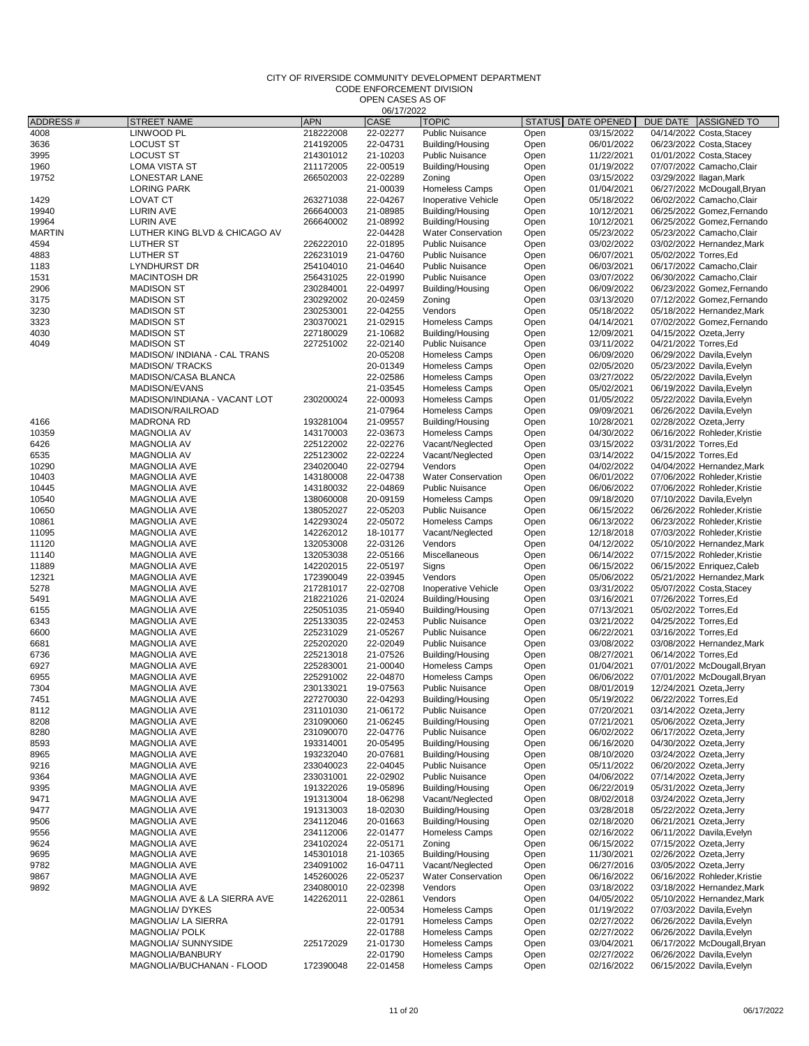CODE ENFORCEMENT DIVISION

| ADDRESS#      | <b>STREET NAME</b>            | <b>APN</b>             | <b>UUI 1774044</b><br>CASE | <b>TOPIC</b>                                     | <b>STATUS</b> | DATE OPENED              | DUE DATE ASSIGNED TO                                       |
|---------------|-------------------------------|------------------------|----------------------------|--------------------------------------------------|---------------|--------------------------|------------------------------------------------------------|
| 4008          | LINWOOD PL                    | 218222008              | 22-02277                   | <b>Public Nuisance</b>                           | Open          | 03/15/2022               | 04/14/2022 Costa, Stacey                                   |
| 3636          | <b>LOCUST ST</b>              | 214192005              | 22-04731                   | Building/Housing                                 | Open          | 06/01/2022               | 06/23/2022 Costa, Stacey                                   |
| 3995          | <b>LOCUST ST</b>              | 214301012              | 21-10203                   | <b>Public Nuisance</b>                           | Open          | 11/22/2021               | 01/01/2022 Costa, Stacey                                   |
| 1960          | <b>LOMA VISTA ST</b>          | 211172005              | 22-00519                   | Building/Housing                                 | Open          | 01/19/2022               | 07/07/2022 Camacho, Clair                                  |
| 19752         | LONESTAR LANE                 | 266502003              | 22-02289                   | Zoning                                           | Open          | 03/15/2022               |                                                            |
|               | <b>LORING PARK</b>            |                        | 21-00039                   | <b>Homeless Camps</b>                            |               | 01/04/2021               | 03/29/2022 Ilagan, Mark                                    |
|               | <b>LOVAT CT</b>               |                        |                            |                                                  | Open          |                          | 06/27/2022 McDougall, Bryan                                |
| 1429          |                               | 263271038              | 22-04267                   | Inoperative Vehicle                              | Open          | 05/18/2022               | 06/02/2022 Camacho, Clair                                  |
| 19940         | LURIN AVE                     | 266640003              | 21-08985                   | Building/Housing                                 | Open          | 10/12/2021               | 06/25/2022 Gomez, Fernando                                 |
| 19964         | LURIN AVE                     | 266640002              | 21-08992                   | Building/Housing                                 | Open          | 10/12/2021               | 06/25/2022 Gomez, Fernando                                 |
| <b>MARTIN</b> | LUTHER KING BLVD & CHICAGO AV |                        | 22-04428                   | <b>Water Conservation</b>                        | Open          | 05/23/2022               | 05/23/2022 Camacho, Clair                                  |
| 4594          | <b>LUTHER ST</b>              | 226222010              | 22-01895                   | <b>Public Nuisance</b>                           | Open          | 03/02/2022               | 03/02/2022 Hernandez, Mark                                 |
| 4883          | LUTHER ST                     | 226231019              | 21-04760                   | <b>Public Nuisance</b>                           | Open          | 06/07/2021               | 05/02/2022 Torres, Ed                                      |
| 1183          | LYNDHURST DR                  | 254104010              | 21-04640                   | <b>Public Nuisance</b>                           | Open          | 06/03/2021               | 06/17/2022 Camacho, Clair                                  |
| 1531          | <b>MACINTOSH DR</b>           | 256431025              | 22-01990                   | <b>Public Nuisance</b>                           | Open          | 03/07/2022               | 06/30/2022 Camacho, Clair                                  |
| 2906          | <b>MADISON ST</b>             | 230284001              | 22-04997                   | Building/Housing                                 | Open          | 06/09/2022               | 06/23/2022 Gomez, Fernando                                 |
| 3175          | <b>MADISON ST</b>             | 230292002              | 20-02459                   | Zoning                                           | Open          | 03/13/2020               | 07/12/2022 Gomez, Fernando                                 |
| 3230          | <b>MADISON ST</b>             | 230253001              | 22-04255                   | Vendors                                          | Open          | 05/18/2022               | 05/18/2022 Hernandez, Mark                                 |
| 3323          | <b>MADISON ST</b>             | 230370021              | 21-02915                   | Homeless Camps                                   | Open          | 04/14/2021               | 07/02/2022 Gomez, Fernando                                 |
| 4030          | <b>MADISON ST</b>             | 227180029              | 21-10682                   | Building/Housing                                 | Open          | 12/09/2021               | 04/15/2022 Ozeta, Jerry                                    |
| 4049          | <b>MADISON ST</b>             | 227251002              | 22-02140                   | <b>Public Nuisance</b>                           | Open          | 03/11/2022               | 04/21/2022 Torres, Ed                                      |
|               | MADISON/ INDIANA - CAL TRANS  |                        | 20-05208                   | Homeless Camps                                   | Open          | 06/09/2020               | 06/29/2022 Davila, Evelyn                                  |
|               | <b>MADISON/TRACKS</b>         |                        | 20-01349                   | Homeless Camps                                   | Open          | 02/05/2020               | 05/23/2022 Davila, Evelyn                                  |
|               | MADISON/CASA BLANCA           |                        | 22-02586                   | Homeless Camps                                   | Open          | 03/27/2022               | 05/22/2022 Davila, Evelyn                                  |
|               | <b>MADISON/EVANS</b>          |                        | 21-03545                   | Homeless Camps                                   | Open          | 05/02/2021               | 06/19/2022 Davila, Evelyn                                  |
|               | MADISON/INDIANA - VACANT LOT  | 230200024              | 22-00093                   | Homeless Camps                                   | Open          | 01/05/2022               | 05/22/2022 Davila, Evelyn                                  |
|               | MADISON/RAILROAD              |                        | 21-07964                   | Homeless Camps                                   | Open          | 09/09/2021               | 06/26/2022 Davila, Evelyn                                  |
| 4166          | <b>MADRONA RD</b>             | 193281004              | 21-09557                   | Building/Housing                                 | Open          | 10/28/2021               | 02/28/2022 Ozeta, Jerry                                    |
| 10359         | <b>MAGNOLIA AV</b>            | 143170003              | 22-03673                   | Homeless Camps                                   | Open          | 04/30/2022               | 06/16/2022 Rohleder, Kristie                               |
| 6426          | <b>MAGNOLIA AV</b>            | 225122002              | 22-02276                   | Vacant/Neglected                                 | Open          | 03/15/2022               | 03/31/2022 Torres, Ed                                      |
| 6535          | <b>MAGNOLIA AV</b>            | 225123002              | 22-02224                   | Vacant/Neglected                                 | Open          | 03/14/2022               | 04/15/2022 Torres, Ed                                      |
| 10290         | <b>MAGNOLIA AVE</b>           | 234020040              | 22-02794                   | Vendors                                          | Open          | 04/02/2022               | 04/04/2022 Hernandez.Mark                                  |
| 10403         | <b>MAGNOLIA AVE</b>           | 143180008              | 22-04738                   | <b>Water Conservation</b>                        | Open          | 06/01/2022               | 07/06/2022 Rohleder, Kristie                               |
| 10445         | MAGNOLIA AVE                  | 143180032              | 22-04869                   | <b>Public Nuisance</b>                           | Open          | 06/06/2022               | 07/06/2022 Rohleder, Kristie                               |
| 10540         | <b>MAGNOLIA AVE</b>           | 138060008              | 20-09159                   | <b>Homeless Camps</b>                            | Open          | 09/18/2020               | 07/10/2022 Davila, Evelyn                                  |
| 10650         | MAGNOLIA AVE                  | 138052027              | 22-05203                   | <b>Public Nuisance</b>                           | Open          | 06/15/2022               | 06/26/2022 Rohleder, Kristie                               |
| 10861         | <b>MAGNOLIA AVE</b>           | 142293024              | 22-05072                   | Homeless Camps                                   | Open          | 06/13/2022               | 06/23/2022 Rohleder, Kristie                               |
| 11095         | MAGNOLIA AVE                  | 142262012              | 18-10177                   | Vacant/Neglected                                 | Open          | 12/18/2018               | 07/03/2022 Rohleder, Kristie                               |
| 11120         | <b>MAGNOLIA AVE</b>           | 132053008              | 22-03126                   | Vendors                                          | Open          | 04/12/2022               | 05/10/2022 Hernandez, Mark                                 |
| 11140         | <b>MAGNOLIA AVE</b>           | 132053038              | 22-05166                   | Miscellaneous                                    | Open          | 06/14/2022               | 07/15/2022 Rohleder, Kristie                               |
| 11889         | MAGNOLIA AVE                  | 142202015              | 22-05197                   | Signs                                            | Open          | 06/15/2022               | 06/15/2022 Enriquez, Caleb                                 |
| 12321         | <b>MAGNOLIA AVE</b>           | 172390049              | 22-03945                   | Vendors                                          | Open          | 05/06/2022               | 05/21/2022 Hernandez, Mark                                 |
| 5278          | MAGNOLIA AVE                  | 217281017              | 22-02708                   | Inoperative Vehicle                              | Open          | 03/31/2022               | 05/07/2022 Costa, Stacey                                   |
| 5491          | <b>MAGNOLIA AVE</b>           | 218221026              | 21-02024                   | Building/Housing                                 | Open          | 03/16/2021               | 07/26/2022 Torres, Ed                                      |
| 6155          | <b>MAGNOLIA AVE</b>           | 225051035              | 21-05940                   | Building/Housing                                 | Open          | 07/13/2021               | 05/02/2022 Torres, Ed                                      |
| 6343          | MAGNOLIA AVE                  | 225133035              | 22-02453                   | <b>Public Nuisance</b>                           | Open          | 03/21/2022               | 04/25/2022 Torres, Ed                                      |
| 6600          | <b>MAGNOLIA AVE</b>           | 225231029              | 21-05267                   | <b>Public Nuisance</b>                           | Open          | 06/22/2021               | 03/16/2022 Torres.Ed                                       |
| 6681          | MAGNOLIA AVE                  | 225202020              | 22-02049                   | <b>Public Nuisance</b>                           | Open          | 03/08/2022               | 03/08/2022 Hernandez, Mark                                 |
| 6736          | <b>MAGNOLIA AVE</b>           | 225213018              | 21-07526                   | Building/Housing                                 | Open          | 08/27/2021               | 06/14/2022 Torres, Ed                                      |
| 6927          | <b>MAGNOLIA AVE</b>           | 225283001              | 21-00040                   | Homeless Camps                                   | Open          | 01/04/2021               | 07/01/2022 McDougall, Bryan                                |
| 6955          | MAGNOLIA AVE                  | 225291002              | 22-04870                   | Homeless Camps                                   | Open          | 06/06/2022               | 07/01/2022 McDougall, Bryan                                |
| 7304          | <b>MAGNOLIA AVE</b>           | 230133021              | 19-07563                   | <b>Public Nuisance</b>                           | Open          | 08/01/2019               | 12/24/2021 Ozeta, Jerry                                    |
| 7451          | MAGNOLIA AVE                  | 227270030              | 22-04293                   | Building/Housing                                 | Open          | 05/19/2022               | 06/22/2022 Torres, Ed                                      |
| 8112          | MAGNOLIA AVE                  | 231101030              | 21-06172                   | <b>Public Nuisance</b>                           | Open          | 07/20/2021               | 03/14/2022 Ozeta, Jerry                                    |
| 8208          | MAGNOLIA AVE                  | 231090060              | 21-06245                   | Building/Housing                                 | Open          | 07/21/2021               | 05/06/2022 Ozeta, Jerry                                    |
| 8280          | MAGNOLIA AVE                  | 231090070              | 22-04776                   | <b>Public Nuisance</b>                           | Open          | 06/02/2022               | 06/17/2022 Ozeta, Jerry                                    |
| 8593          | MAGNOLIA AVE                  | 193314001              | 20-05495                   | Building/Housing                                 | Open          | 06/16/2020               | 04/30/2022 Ozeta, Jerry                                    |
| 8965          | MAGNOLIA AVE                  | 193232040              | 20-07681                   | Building/Housing                                 | Open          | 08/10/2020               | 03/24/2022 Ozeta, Jerry                                    |
| 9216<br>9364  | MAGNOLIA AVE<br>MAGNOLIA AVE  | 233040023<br>233031001 | 22-04045<br>22-02902       | <b>Public Nuisance</b><br><b>Public Nuisance</b> | Open<br>Open  | 05/11/2022<br>04/06/2022 | 06/20/2022 Ozeta, Jerry<br>07/14/2022 Ozeta, Jerry         |
| 9395          | MAGNOLIA AVE                  | 191322026              | 19-05896                   | Building/Housing                                 | Open          | 06/22/2019               | 05/31/2022 Ozeta, Jerry                                    |
| 9471          | <b>MAGNOLIA AVE</b>           | 191313004              | 18-06298                   | Vacant/Neglected                                 | Open          | 08/02/2018               | 03/24/2022 Ozeta, Jerry                                    |
| 9477          | MAGNOLIA AVE                  | 191313003              | 18-02030                   | Building/Housing                                 | Open          | 03/28/2018               | 05/22/2022 Ozeta, Jerry                                    |
|               | <b>MAGNOLIA AVE</b>           | 234112046              | 20-01663                   | Building/Housing                                 | Open          | 02/18/2020               | 06/21/2021 Ozeta, Jerry                                    |
| 9506<br>9556  |                               | 234112006              | 22-01477                   | Homeless Camps                                   | Open          | 02/16/2022               | 06/11/2022 Davila, Evelyn                                  |
| 9624          | MAGNOLIA AVE<br>MAGNOLIA AVE  | 234102024              | 22-05171                   | Zoning                                           |               |                          | 07/15/2022 Ozeta, Jerry                                    |
| 9695          |                               |                        |                            |                                                  | Open<br>Open  | 06/15/2022               | 02/26/2022 Ozeta, Jerry                                    |
| 9782          | MAGNOLIA AVE<br>MAGNOLIA AVE  | 145301018<br>234091002 | 21-10365<br>16-04711       | Building/Housing<br>Vacant/Neglected             |               | 11/30/2021<br>06/27/2016 | 03/05/2022 Ozeta, Jerry                                    |
|               |                               |                        |                            |                                                  | Open          |                          |                                                            |
| 9867<br>9892  | MAGNOLIA AVE<br>MAGNOLIA AVE  | 145260026<br>234080010 | 22-05237<br>22-02398       | <b>Water Conservation</b><br>Vendors             | Open<br>Open  | 06/16/2022<br>03/18/2022 | 06/16/2022 Rohleder, Kristie<br>03/18/2022 Hernandez, Mark |
|               | MAGNOLIA AVE & LA SIERRA AVE  | 142262011              | 22-02861                   | Vendors                                          | Open          | 04/05/2022               | 05/10/2022 Hernandez, Mark                                 |
|               | <b>MAGNOLIA/ DYKES</b>        |                        | 22-00534                   | Homeless Camps                                   | Open          | 01/19/2022               | 07/03/2022 Davila, Evelyn                                  |
|               | MAGNOLIA/ LA SIERRA           |                        | 22-01791                   | Homeless Camps                                   | Open          | 02/27/2022               | 06/26/2022 Davila, Evelyn                                  |
|               | <b>MAGNOLIA/ POLK</b>         |                        | 22-01788                   | Homeless Camps                                   | Open          | 02/27/2022               | 06/26/2022 Davila, Evelyn                                  |
|               | MAGNOLIA/ SUNNYSIDE           | 225172029              | 21-01730                   | Homeless Camps                                   | Open          | 03/04/2021               | 06/17/2022 McDougall, Bryan                                |
|               | MAGNOLIA/BANBURY              |                        | 22-01790                   | Homeless Camps                                   | Open          | 02/27/2022               | 06/26/2022 Davila, Evelyn                                  |
|               | MAGNOLIA/BUCHANAN - FLOOD     | 172390048              | 22-01458                   | Homeless Camps                                   | Open          | 02/16/2022               | 06/15/2022 Davila, Evelyn                                  |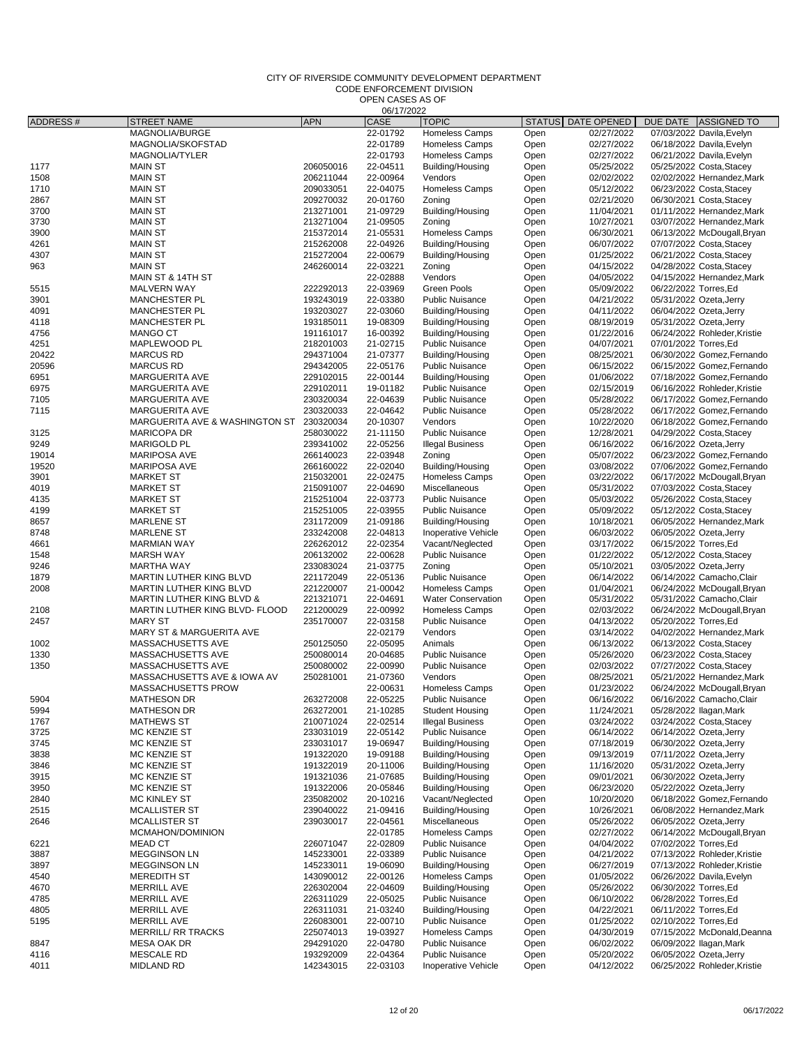CODE ENFORCEMENT DIVISION OPEN CASES AS OF

06/17/2022

| <b>ADDRESS#</b> | <b>STREET NAME</b>                   | <b>APN</b> | CASE     | <b>TOPIC</b>              | <b>STATUS</b> | DATE OPENED              | DUE DATE ASSIGNED TO         |
|-----------------|--------------------------------------|------------|----------|---------------------------|---------------|--------------------------|------------------------------|
|                 | MAGNOLIA/BURGE                       |            | 22-01792 | Homeless Camps            | Open          | 02/27/2022               | 07/03/2022 Davila, Evelyn    |
|                 | MAGNOLIA/SKOFSTAD                    |            | 22-01789 | <b>Homeless Camps</b>     | Open          | 02/27/2022               | 06/18/2022 Davila, Evelyn    |
|                 | MAGNOLIA/TYLER                       |            | 22-01793 | Homeless Camps            | Open          | 02/27/2022               | 06/21/2022 Davila, Evelyn    |
| 1177            | <b>MAIN ST</b>                       | 206050016  | 22-04511 | Building/Housing          | Open          | 05/25/2022               | 05/25/2022 Costa, Stacey     |
| 1508            | <b>MAIN ST</b>                       | 206211044  | 22-00964 | Vendors                   | Open          | 02/02/2022               | 02/02/2022 Hernandez, Mark   |
| 1710            | <b>MAIN ST</b>                       | 209033051  | 22-04075 | Homeless Camps            | Open          | 05/12/2022               | 06/23/2022 Costa, Stacey     |
| 2867            | <b>MAIN ST</b>                       | 209270032  | 20-01760 | Zoning                    | Open          | 02/21/2020               | 06/30/2021 Costa, Stacey     |
| 3700            | <b>MAIN ST</b>                       | 213271001  | 21-09729 | Building/Housing          | Open          | 11/04/2021               | 01/11/2022 Hernandez, Mark   |
| 3730            | <b>MAIN ST</b>                       | 213271004  | 21-09505 | Zoning                    | Open          | 10/27/2021               | 03/07/2022 Hernandez, Mark   |
| 3900            | <b>MAIN ST</b>                       | 215372014  | 21-05531 | Homeless Camps            | Open          | 06/30/2021               | 06/13/2022 McDougall, Bryan  |
| 4261            | <b>MAIN ST</b>                       | 215262008  | 22-04926 | Building/Housing          | Open          | 06/07/2022               | 07/07/2022 Costa, Stacey     |
| 4307            | <b>MAIN ST</b>                       | 215272004  | 22-00679 | Building/Housing          | Open          | 01/25/2022               | 06/21/2022 Costa, Stacey     |
| 963             | <b>MAIN ST</b>                       | 246260014  | 22-03221 | Zoning                    | Open          | 04/15/2022               | 04/28/2022 Costa, Stacey     |
|                 | MAIN ST & 14TH ST                    |            | 22-02888 | Vendors                   | Open          | 04/05/2022               | 04/15/2022 Hernandez, Mark   |
| 5515            | <b>MALVERN WAY</b>                   | 222292013  | 22-03969 | <b>Green Pools</b>        | Open          | 05/09/2022               | 06/22/2022 Torres, Ed        |
| 3901            | <b>MANCHESTER PL</b>                 | 193243019  | 22-03380 | <b>Public Nuisance</b>    | Open          | 04/21/2022               | 05/31/2022 Ozeta, Jerry      |
| 4091            | <b>MANCHESTER PL</b>                 | 193203027  | 22-03060 | Building/Housing          | Open          | 04/11/2022               | 06/04/2022 Ozeta, Jerry      |
| 4118            | <b>MANCHESTER PL</b>                 | 193185011  | 19-08309 | Building/Housing          | Open          | 08/19/2019               | 05/31/2022 Ozeta, Jerry      |
| 4756            | <b>MANGO CT</b>                      | 191161017  | 16-00392 | Building/Housing          | Open          | 01/22/2016               | 06/24/2022 Rohleder, Kristie |
| 4251            | MAPLEWOOD PL                         | 218201003  | 21-02715 | <b>Public Nuisance</b>    | Open          | 04/07/2021               | 07/01/2022 Torres, Ed        |
| 20422           | <b>MARCUS RD</b>                     | 294371004  | 21-07377 | Building/Housing          | Open          | 08/25/2021               | 06/30/2022 Gomez, Fernando   |
| 20596           | <b>MARCUS RD</b>                     | 294342005  | 22-05176 | <b>Public Nuisance</b>    | Open          | 06/15/2022               | 06/15/2022 Gomez, Fernando   |
| 6951            | <b>MARGUERITA AVE</b>                | 229102015  | 22-00144 | Building/Housing          | Open          | 01/06/2022               | 07/18/2022 Gomez, Fernando   |
| 6975            | <b>MARGUERITA AVE</b>                | 229102011  | 19-01182 | <b>Public Nuisance</b>    | Open          | 02/15/2019               | 06/16/2022 Rohleder, Kristie |
| 7105            | <b>MARGUERITA AVE</b>                | 230320034  | 22-04639 | <b>Public Nuisance</b>    | Open          | 05/28/2022               | 06/17/2022 Gomez, Fernando   |
| 7115            | <b>MARGUERITA AVE</b>                | 230320033  | 22-04642 | <b>Public Nuisance</b>    | Open          | 05/28/2022               | 06/17/2022 Gomez.Fernando    |
|                 | MARGUERITA AVE & WASHINGTON ST       | 230320034  | 20-10307 | Vendors                   | Open          | 10/22/2020               | 06/18/2022 Gomez, Fernando   |
| 3125            | <b>MARICOPA DR</b>                   | 258030022  | 21-11150 | <b>Public Nuisance</b>    | Open          | 12/28/2021               | 04/29/2022 Costa, Stacey     |
| 9249            | <b>MARIGOLD PL</b>                   | 239341002  | 22-05256 | <b>Illegal Business</b>   | Open          | 06/16/2022               | 06/16/2022 Ozeta, Jerry      |
| 19014           | <b>MARIPOSA AVE</b>                  | 266140023  | 22-03948 |                           |               | 05/07/2022               | 06/23/2022 Gomez, Fernando   |
|                 | <b>MARIPOSA AVE</b>                  |            |          | Zoning                    | Open          |                          | 07/06/2022 Gomez, Fernando   |
| 19520           |                                      | 266160022  | 22-02040 | Building/Housing          | Open          | 03/08/2022<br>03/22/2022 |                              |
| 3901            | <b>MARKET ST</b>                     | 215032001  | 22-02475 | <b>Homeless Camps</b>     | Open          | 05/31/2022               | 06/17/2022 McDougall, Bryan  |
| 4019            | <b>MARKET ST</b>                     | 215091007  | 22-04690 | Miscellaneous             | Open          |                          | 07/03/2022 Costa, Stacey     |
| 4135            | <b>MARKET ST</b>                     | 215251004  | 22-03773 | <b>Public Nuisance</b>    | Open          | 05/03/2022               | 05/26/2022 Costa, Stacey     |
| 4199            | <b>MARKET ST</b>                     | 215251005  | 22-03955 | <b>Public Nuisance</b>    | Open          | 05/09/2022               | 05/12/2022 Costa, Stacey     |
| 8657            | <b>MARLENE ST</b>                    | 231172009  | 21-09186 | Building/Housing          | Open          | 10/18/2021               | 06/05/2022 Hernandez, Mark   |
| 8748            | <b>MARLENE ST</b>                    | 233242008  | 22-04813 | Inoperative Vehicle       | Open          | 06/03/2022               | 06/05/2022 Ozeta, Jerry      |
| 4661            | <b>MARMIAN WAY</b>                   | 226262012  | 22-02354 | Vacant/Neglected          | Open          | 03/17/2022               | 06/15/2022 Torres, Ed        |
| 1548            | <b>MARSH WAY</b>                     | 206132002  | 22-00628 | <b>Public Nuisance</b>    | Open          | 01/22/2022               | 05/12/2022 Costa, Stacey     |
| 9246            | <b>MARTHA WAY</b>                    | 233083024  | 21-03775 | Zoning                    | Open          | 05/10/2021               | 03/05/2022 Ozeta, Jerry      |
| 1879            | MARTIN LUTHER KING BLVD              | 221172049  | 22-05136 | <b>Public Nuisance</b>    | Open          | 06/14/2022               | 06/14/2022 Camacho, Clair    |
| 2008            | MARTIN LUTHER KING BLVD              | 221220007  | 21-00042 | <b>Homeless Camps</b>     | Open          | 01/04/2021               | 06/24/2022 McDougall, Bryan  |
|                 | <b>MARTIN LUTHER KING BLVD &amp;</b> | 221321071  | 22-04691 | <b>Water Conservation</b> | Open          | 05/31/2022               | 05/31/2022 Camacho, Clair    |
| 2108            | MARTIN LUTHER KING BLVD- FLOOD       | 221200029  | 22-00992 | <b>Homeless Camps</b>     | Open          | 02/03/2022               | 06/24/2022 McDougall, Bryan  |
| 2457            | <b>MARY ST</b>                       | 235170007  | 22-03158 | <b>Public Nuisance</b>    | Open          | 04/13/2022               | 05/20/2022 Torres, Ed        |
|                 | MARY ST & MARGUERITA AVE             |            | 22-02179 | Vendors                   | Open          | 03/14/2022               | 04/02/2022 Hernandez, Mark   |
| 1002            | MASSACHUSETTS AVE                    | 250125050  | 22-05095 | Animals                   | Open          | 06/13/2022               | 06/13/2022 Costa, Stacey     |
| 1330            | MASSACHUSETTS AVE                    | 250080014  | 20-04685 | <b>Public Nuisance</b>    | Open          | 05/26/2020               | 06/23/2022 Costa, Stacey     |
| 1350            | MASSACHUSETTS AVE                    | 250080002  | 22-00990 | <b>Public Nuisance</b>    | Open          | 02/03/2022               | 07/27/2022 Costa, Stacey     |
|                 | MASSACHUSETTS AVE & IOWA AV          | 250281001  | 21-07360 | Vendors                   | Open          | 08/25/2021               | 05/21/2022 Hernandez, Mark   |
|                 | MASSACHUSETTS PROW                   |            | 22-00631 | Homeless Camps            | Open          | 01/23/2022               | 06/24/2022 McDougall, Bryan  |
| 5904            | <b>MATHESON DR</b>                   | 263272008  | 22-05225 | <b>Public Nuisance</b>    | Open          | 06/16/2022               | 06/16/2022 Camacho, Clair    |
| 5994            | <b>MATHESON DR</b>                   | 263272001  | 21-10285 | <b>Student Housing</b>    | Open          | 11/24/2021               | 05/28/2022 Ilagan, Mark      |
| 1767            | <b>MATHEWS ST</b>                    | 210071024  | 22-02514 | <b>Illegal Business</b>   | Open          | 03/24/2022               | 03/24/2022 Costa, Stacey     |
| 3725            | <b>MC KENZIE ST</b>                  | 233031019  | 22-05142 | <b>Public Nuisance</b>    | Open          | 06/14/2022               | 06/14/2022 Ozeta, Jerry      |
| 3745            | MC KENZIE ST                         | 233031017  | 19-06947 | Building/Housing          | Open          | 07/18/2019               | 06/30/2022 Ozeta, Jerry      |
| 3838            | MC KENZIE ST                         | 191322020  | 19-09188 | Building/Housing          | Open          | 09/13/2019               | 07/11/2022 Ozeta, Jerry      |
| 3846            | MC KENZIE ST                         | 191322019  | 20-11006 | Building/Housing          | Open          | 11/16/2020               | 05/31/2022 Ozeta, Jerry      |
| 3915            | MC KENZIE ST                         | 191321036  | 21-07685 | Building/Housing          | Open          | 09/01/2021               | 06/30/2022 Ozeta, Jerry      |
| 3950            | MC KENZIE ST                         | 191322006  | 20-05846 | Building/Housing          | Open          | 06/23/2020               | 05/22/2022 Ozeta, Jerry      |
| 2840            | <b>MC KINLEY ST</b>                  | 235082002  | 20-10216 | Vacant/Neglected          | Open          | 10/20/2020               | 06/18/2022 Gomez, Fernando   |
| 2515            | <b>MCALLISTER ST</b>                 | 239040022  | 21-09416 | Building/Housing          | Open          | 10/26/2021               | 06/08/2022 Hernandez, Mark   |
| 2646            | <b>MCALLISTER ST</b>                 | 239030017  | 22-04561 | Miscellaneous             | Open          | 05/26/2022               | 06/05/2022 Ozeta, Jerry      |
|                 | MCMAHON/DOMINION                     |            | 22-01785 | Homeless Camps            | Open          | 02/27/2022               | 06/14/2022 McDougall, Bryan  |
| 6221            | <b>MEAD CT</b>                       | 226071047  | 22-02809 | <b>Public Nuisance</b>    | Open          | 04/04/2022               | 07/02/2022 Torres, Ed        |
| 3887            | <b>MEGGINSON LN</b>                  | 145233001  | 22-03389 | <b>Public Nuisance</b>    | Open          | 04/21/2022               | 07/13/2022 Rohleder, Kristie |
| 3897            | <b>MEGGINSON LN</b>                  | 145233011  | 19-06090 | Building/Housing          | Open          | 06/27/2019               | 07/13/2022 Rohleder, Kristie |
| 4540            | <b>MEREDITH ST</b>                   | 143090012  | 22-00126 | Homeless Camps            | Open          | 01/05/2022               | 06/26/2022 Davila, Evelyn    |
| 4670            | <b>MERRILL AVE</b>                   | 226302004  | 22-04609 | Building/Housing          | Open          | 05/26/2022               | 06/30/2022 Torres, Ed        |
| 4785            | <b>MERRILL AVE</b>                   | 226311029  | 22-05025 | <b>Public Nuisance</b>    | Open          | 06/10/2022               | 06/28/2022 Torres, Ed        |
| 4805            | <b>MERRILL AVE</b>                   | 226311031  | 21-03240 | Building/Housing          | Open          | 04/22/2021               | 06/11/2022 Torres, Ed        |
| 5195            | <b>MERRILL AVE</b>                   | 226083001  | 22-00710 | <b>Public Nuisance</b>    | Open          | 01/25/2022               | 02/10/2022 Torres, Ed        |
|                 | MERRILL/ RR TRACKS                   | 225074013  | 19-03927 | Homeless Camps            | Open          | 04/30/2019               | 07/15/2022 McDonald, Deanna  |
| 8847            | MESA OAK DR                          | 294291020  | 22-04780 | <b>Public Nuisance</b>    | Open          | 06/02/2022               | 06/09/2022 Ilagan, Mark      |
| 4116            | <b>MESCALE RD</b>                    | 193292009  | 22-04364 | <b>Public Nuisance</b>    | Open          | 05/20/2022               | 06/05/2022 Ozeta, Jerry      |
| 4011            | <b>MIDLAND RD</b>                    | 142343015  | 22-03103 | Inoperative Vehicle       | Open          | 04/12/2022               | 06/25/2022 Rohleder, Kristie |
|                 |                                      |            |          |                           |               |                          |                              |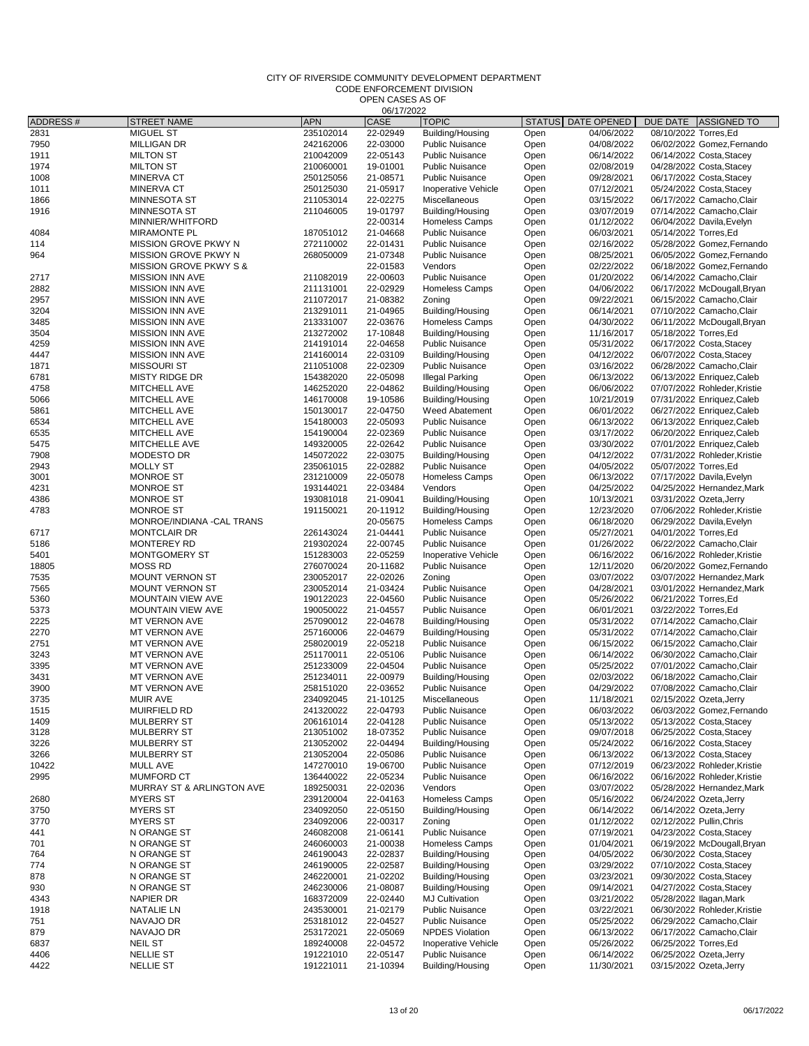CODE ENFORCEMENT DIVISION

| ADDRESS# | <b>STREET NAME</b>         | <b>APN</b> | CASE     | <b>TOPIC</b>           | STATUS DATE OPENED |            |                          | DUE DATE ASSIGNED TO         |
|----------|----------------------------|------------|----------|------------------------|--------------------|------------|--------------------------|------------------------------|
| 2831     | <b>MIGUEL ST</b>           | 235102014  | 22-02949 | Building/Housing       | Open               | 04/06/2022 | 08/10/2022 Torres, Ed    |                              |
| 7950     | <b>MILLIGAN DR</b>         | 242162006  | 22-03000 | <b>Public Nuisance</b> | Open               | 04/08/2022 |                          | 06/02/2022 Gomez, Fernando   |
| 1911     | <b>MILTON ST</b>           | 210042009  | 22-05143 | <b>Public Nuisance</b> | Open               | 06/14/2022 |                          | 06/14/2022 Costa, Stacey     |
| 1974     | <b>MILTON ST</b>           | 210060001  | 19-01001 | <b>Public Nuisance</b> | Open               | 02/08/2019 |                          | 04/28/2022 Costa, Stacey     |
| 1008     | <b>MINERVA CT</b>          | 250125056  | 21-08571 | <b>Public Nuisance</b> | Open               | 09/28/2021 |                          | 06/17/2022 Costa, Stacey     |
| 1011     | MINERVA CT                 | 250125030  | 21-05917 | Inoperative Vehicle    | Open               | 07/12/2021 |                          | 05/24/2022 Costa, Stacey     |
| 1866     | <b>MINNESOTA ST</b>        | 211053014  | 22-02275 | Miscellaneous          | Open               | 03/15/2022 |                          | 06/17/2022 Camacho, Clair    |
| 1916     | <b>MINNESOTA ST</b>        | 211046005  | 19-01797 | Building/Housing       | Open               | 03/07/2019 |                          | 07/14/2022 Camacho, Clair    |
|          | MINNIER/WHITFORD           |            | 22-00314 | <b>Homeless Camps</b>  | Open               | 01/12/2022 |                          | 06/04/2022 Davila, Evelyn    |
| 4084     | <b>MIRAMONTE PL</b>        | 187051012  | 21-04668 | <b>Public Nuisance</b> | Open               | 06/03/2021 | 05/14/2022 Torres, Ed    |                              |
| 114      | MISSION GROVE PKWY N       | 272110002  | 22-01431 | <b>Public Nuisance</b> | Open               | 02/16/2022 |                          | 05/28/2022 Gomez, Fernando   |
| 964      | MISSION GROVE PKWY N       | 268050009  | 21-07348 | <b>Public Nuisance</b> | Open               | 08/25/2021 |                          | 06/05/2022 Gomez, Fernando   |
|          | MISSION GROVE PKWY S &     |            | 22-01583 | Vendors                | Open               | 02/22/2022 |                          | 06/18/2022 Gomez, Fernando   |
| 2717     | <b>MISSION INN AVE</b>     | 211082019  | 22-00603 | <b>Public Nuisance</b> | Open               | 01/20/2022 |                          | 06/14/2022 Camacho, Clair    |
| 2882     | <b>MISSION INN AVE</b>     | 211131001  | 22-02929 | <b>Homeless Camps</b>  | Open               | 04/06/2022 |                          | 06/17/2022 McDougall, Bryan  |
| 2957     | <b>MISSION INN AVE</b>     | 211072017  | 21-08382 | Zoning                 | Open               | 09/22/2021 |                          | 06/15/2022 Camacho, Clair    |
| 3204     | <b>MISSION INN AVE</b>     | 213291011  | 21-04965 | Building/Housing       | Open               | 06/14/2021 |                          | 07/10/2022 Camacho, Clair    |
| 3485     | <b>MISSION INN AVE</b>     | 213331007  | 22-03676 | <b>Homeless Camps</b>  | Open               | 04/30/2022 |                          | 06/11/2022 McDougall, Bryan  |
| 3504     | <b>MISSION INN AVE</b>     | 213272002  | 17-10848 | Building/Housing       | Open               | 11/16/2017 | 05/18/2022 Torres, Ed    |                              |
| 4259     | <b>MISSION INN AVE</b>     | 214191014  | 22-04658 | <b>Public Nuisance</b> | Open               | 05/31/2022 |                          | 06/17/2022 Costa, Stacey     |
| 4447     | <b>MISSION INN AVE</b>     | 214160014  | 22-03109 | Building/Housing       | Open               | 04/12/2022 |                          | 06/07/2022 Costa, Stacey     |
| 1871     | <b>MISSOURI ST</b>         | 211051008  | 22-02309 | <b>Public Nuisance</b> | Open               | 03/16/2022 |                          | 06/28/2022 Camacho, Clair    |
| 6781     | MISTY RIDGE DR             | 154382020  | 22-05098 | <b>Illegal Parking</b> | Open               | 06/13/2022 |                          | 06/13/2022 Enriquez, Caleb   |
| 4758     | <b>MITCHELL AVE</b>        | 146252020  | 22-04862 |                        | Open               | 06/06/2022 |                          | 07/07/2022 Rohleder, Kristie |
|          |                            |            |          | Building/Housing       |                    |            |                          |                              |
| 5066     | MITCHELL AVE               | 146170008  | 19-10586 | Building/Housing       | Open               | 10/21/2019 |                          | 07/31/2022 Enriquez, Caleb   |
| 5861     | MITCHELL AVE               | 150130017  | 22-04750 | <b>Weed Abatement</b>  | Open               | 06/01/2022 |                          | 06/27/2022 Enriquez, Caleb   |
| 6534     | MITCHELL AVE               | 154180003  | 22-05093 | <b>Public Nuisance</b> | Open               | 06/13/2022 |                          | 06/13/2022 Enriquez, Caleb   |
| 6535     | <b>MITCHELL AVE</b>        | 154190004  | 22-02369 | <b>Public Nuisance</b> | Open               | 03/17/2022 |                          | 06/20/2022 Enriquez, Caleb   |
| 5475     | MITCHELLE AVE              | 149320005  | 22-02642 | <b>Public Nuisance</b> | Open               | 03/30/2022 |                          | 07/01/2022 Enriquez, Caleb   |
| 7908     | MODESTO DR                 | 145072022  | 22-03075 | Building/Housing       | Open               | 04/12/2022 |                          | 07/31/2022 Rohleder, Kristie |
| 2943     | <b>MOLLY ST</b>            | 235061015  | 22-02882 | <b>Public Nuisance</b> | Open               | 04/05/2022 | 05/07/2022 Torres, Ed    |                              |
| 3001     | <b>MONROE ST</b>           | 231210009  | 22-05078 | <b>Homeless Camps</b>  | Open               | 06/13/2022 |                          | 07/17/2022 Davila, Evelyn    |
| 4231     | <b>MONROE ST</b>           | 193144021  | 22-03484 | Vendors                | Open               | 04/25/2022 |                          | 04/25/2022 Hernandez, Mark   |
| 4386     | <b>MONROE ST</b>           | 193081018  | 21-09041 | Building/Housing       | Open               | 10/13/2021 | 03/31/2022 Ozeta, Jerry  |                              |
| 4783     | <b>MONROE ST</b>           | 191150021  | 20-11912 | Building/Housing       | Open               | 12/23/2020 |                          | 07/06/2022 Rohleder, Kristie |
|          | MONROE/INDIANA - CAL TRANS |            | 20-05675 | <b>Homeless Camps</b>  | Open               | 06/18/2020 |                          | 06/29/2022 Davila, Evelyn    |
| 6717     | MONTCLAIR DR               | 226143024  | 21-04441 | <b>Public Nuisance</b> | Open               | 05/27/2021 | 04/01/2022 Torres, Ed    |                              |
| 5186     | <b>MONTEREY RD</b>         | 219302024  | 22-00745 | <b>Public Nuisance</b> | Open               | 01/26/2022 |                          | 06/22/2022 Camacho, Clair    |
| 5401     | <b>MONTGOMERY ST</b>       | 151283003  | 22-05259 | Inoperative Vehicle    | Open               | 06/16/2022 |                          | 06/16/2022 Rohleder, Kristie |
| 18805    | <b>MOSS RD</b>             | 276070024  | 20-11682 | <b>Public Nuisance</b> | Open               | 12/11/2020 |                          | 06/20/2022 Gomez, Fernando   |
| 7535     | MOUNT VERNON ST            | 230052017  | 22-02026 | Zoning                 | Open               | 03/07/2022 |                          | 03/07/2022 Hernandez, Mark   |
| 7565     | MOUNT VERNON ST            | 230052014  | 21-03424 | <b>Public Nuisance</b> | Open               | 04/28/2021 |                          | 03/01/2022 Hernandez, Mark   |
| 5360     | <b>MOUNTAIN VIEW AVE</b>   | 190122023  | 22-04560 | <b>Public Nuisance</b> | Open               | 05/26/2022 | 06/21/2022 Torres, Ed    |                              |
| 5373     | <b>MOUNTAIN VIEW AVE</b>   | 190050022  | 21-04557 | <b>Public Nuisance</b> | Open               | 06/01/2021 | 03/22/2022 Torres, Ed    |                              |
| 2225     | MT VERNON AVE              | 257090012  | 22-04678 | Building/Housing       | Open               | 05/31/2022 |                          | 07/14/2022 Camacho, Clair    |
| 2270     | MT VERNON AVE              | 257160006  | 22-04679 | Building/Housing       | Open               | 05/31/2022 |                          | 07/14/2022 Camacho, Clair    |
| 2751     | MT VERNON AVE              | 258020019  | 22-05218 | <b>Public Nuisance</b> | Open               | 06/15/2022 |                          | 06/15/2022 Camacho, Clair    |
| 3243     | MT VERNON AVE              | 251170011  | 22-05106 | <b>Public Nuisance</b> | Open               | 06/14/2022 |                          | 06/30/2022 Camacho, Clair    |
| 3395     | MT VERNON AVE              | 251233009  | 22-04504 | <b>Public Nuisance</b> | Open               | 05/25/2022 |                          | 07/01/2022 Camacho, Clair    |
| 3431     | MT VERNON AVE              | 251234011  | 22-00979 |                        |                    | 02/03/2022 |                          | 06/18/2022 Camacho, Clair    |
|          |                            |            |          | Building/Housing       | Open               |            |                          |                              |
| 3900     | <b>MT VERNON AVE</b>       | 258151020  | 22-03652 | <b>Public Nuisance</b> | Open               | 04/29/2022 |                          | 07/08/2022 Camacho, Clair    |
| 3735     | <b>MUIR AVE</b>            | 234092045  | 21-10125 | Miscellaneous          | Open               | 11/18/2021 | 02/15/2022 Ozeta, Jerry  |                              |
| 1515     | <b>MUIRFIELD RD</b>        | 241320022  | 22-04793 | <b>Public Nuisance</b> | Open               | 06/03/2022 |                          | 06/03/2022 Gomez, Fernando   |
| 1409     | <b>MULBERRY ST</b>         | 206161014  | 22-04128 | <b>Public Nuisance</b> | Open               | 05/13/2022 |                          | 05/13/2022 Costa, Stacey     |
| 3128     | <b>MULBERRY ST</b>         | 213051002  | 18-07352 | <b>Public Nuisance</b> | Open               | 09/07/2018 |                          | 06/25/2022 Costa, Stacey     |
| 3226     | <b>MULBERRY ST</b>         | 213052002  | 22-04494 | Building/Housing       | Open               | 05/24/2022 |                          | 06/16/2022 Costa, Stacey     |
| 3266     | <b>MULBERRY ST</b>         | 213052004  | 22-05086 | <b>Public Nuisance</b> | Open               | 06/13/2022 |                          | 06/13/2022 Costa, Stacey     |
| 10422    | MULL AVE                   | 147270010  | 19-06700 | <b>Public Nuisance</b> | Open               | 07/12/2019 |                          | 06/23/2022 Rohleder, Kristie |
| 2995     | MUMFORD CT                 | 136440022  | 22-05234 | <b>Public Nuisance</b> | Open               | 06/16/2022 |                          | 06/16/2022 Rohleder, Kristie |
|          | MURRAY ST & ARLINGTON AVE  | 189250031  | 22-02036 | Vendors                | Open               | 03/07/2022 |                          | 05/28/2022 Hernandez, Mark   |
| 2680     | <b>MYERS ST</b>            | 239120004  | 22-04163 | Homeless Camps         | Open               | 05/16/2022 | 06/24/2022 Ozeta, Jerry  |                              |
| 3750     | <b>MYERS ST</b>            | 234092050  | 22-05150 | Building/Housing       | Open               | 06/14/2022 | 06/14/2022 Ozeta, Jerry  |                              |
| 3770     | <b>MYERS ST</b>            | 234092006  | 22-00317 | Zoning                 | Open               | 01/12/2022 | 02/12/2022 Pullin, Chris |                              |
| 441      | N ORANGE ST                | 246082008  | 21-06141 | <b>Public Nuisance</b> | Open               | 07/19/2021 |                          | 04/23/2022 Costa, Stacey     |
| 701      | N ORANGE ST                | 246060003  | 21-00038 | <b>Homeless Camps</b>  | Open               | 01/04/2021 |                          | 06/19/2022 McDougall, Bryan  |
| 764      | N ORANGE ST                | 246190043  | 22-02837 | Building/Housing       | Open               | 04/05/2022 |                          | 06/30/2022 Costa, Stacey     |
| 774      | N ORANGE ST                | 246190005  | 22-02587 | Building/Housing       | Open               | 03/29/2022 |                          | 07/10/2022 Costa, Stacey     |
| 878      | N ORANGE ST                | 246220001  | 21-02202 | Building/Housing       | Open               | 03/23/2021 |                          | 09/30/2022 Costa, Stacey     |
| 930      | N ORANGE ST                | 246230006  | 21-08087 | Building/Housing       | Open               | 09/14/2021 |                          | 04/27/2022 Costa, Stacey     |
| 4343     | NAPIER DR                  | 168372009  | 22-02440 | <b>MJ Cultivation</b>  | Open               | 03/21/2022 | 05/28/2022 Ilagan, Mark  |                              |
| 1918     | <b>NATALIE LN</b>          | 243530001  | 21-02179 | <b>Public Nuisance</b> | Open               | 03/22/2021 |                          | 06/30/2022 Rohleder, Kristie |
| 751      | NAVAJO DR                  | 253181012  | 22-04527 | <b>Public Nuisance</b> | Open               | 05/25/2022 |                          | 06/29/2022 Camacho, Clair    |
| 879      | NAVAJO DR                  | 253172021  | 22-05069 | <b>NPDES Violation</b> | Open               | 06/13/2022 |                          | 06/17/2022 Camacho, Clair    |
| 6837     | <b>NEIL ST</b>             | 189240008  | 22-04572 | Inoperative Vehicle    | Open               | 05/26/2022 | 06/25/2022 Torres, Ed    |                              |
| 4406     | <b>NELLIE ST</b>           | 191221010  | 22-05147 | <b>Public Nuisance</b> | Open               | 06/14/2022 | 06/25/2022 Ozeta, Jerry  |                              |
| 4422     | <b>NELLIE ST</b>           | 191221011  | 21-10394 | Building/Housing       | Open               | 11/30/2021 | 03/15/2022 Ozeta, Jerry  |                              |
|          |                            |            |          |                        |                    |            |                          |                              |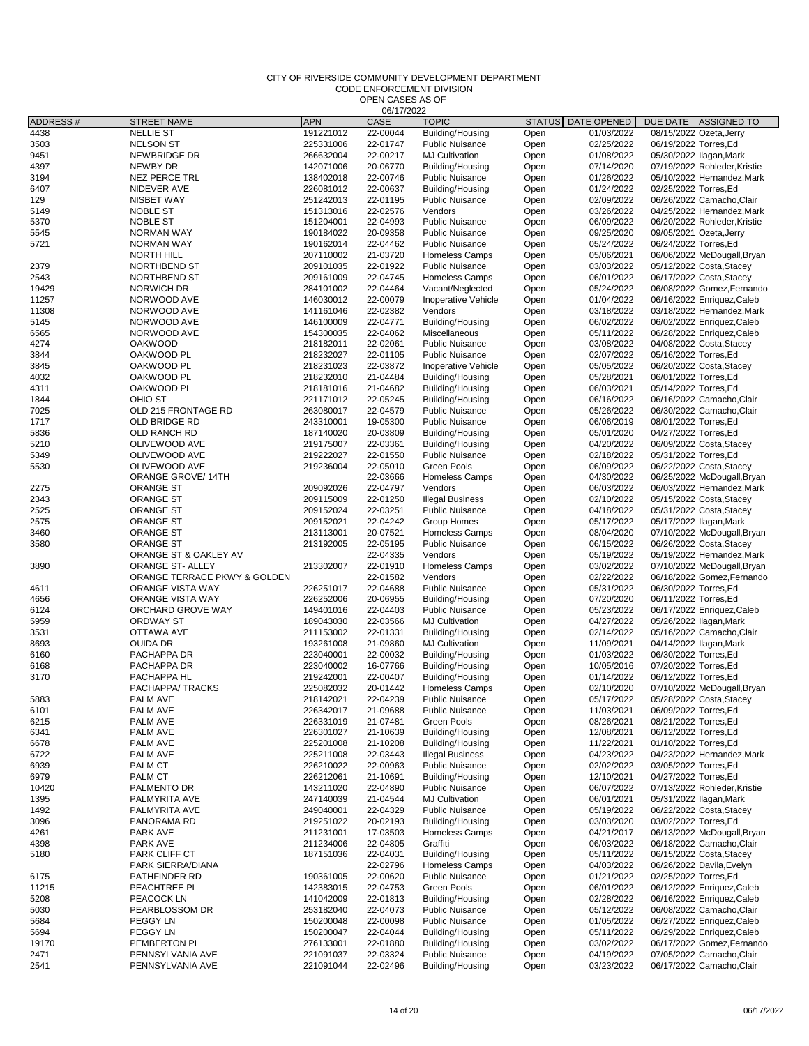CODE ENFORCEMENT DIVISION

| <b>ADDRESS#</b> | <b>STREET NAME</b>                               | <b>APN</b>             | <b>UUITILUL</b><br>CASE | <b>TOPIC</b>                                    | <b>STATUS</b> | DATE OPENED              | DUE DATE ASSIGNED TO                                     |
|-----------------|--------------------------------------------------|------------------------|-------------------------|-------------------------------------------------|---------------|--------------------------|----------------------------------------------------------|
| 4438            | <b>NELLIE ST</b>                                 | 191221012              | 22-00044                | Building/Housing                                | Open          | 01/03/2022               | 08/15/2022 Ozeta, Jerry                                  |
| 3503            | <b>NELSON ST</b>                                 | 225331006              | 22-01747                | <b>Public Nuisance</b>                          | Open          | 02/25/2022               | 06/19/2022 Torres, Ed                                    |
| 9451            | <b>NEWBRIDGE DR</b>                              | 266632004              | 22-00217                | <b>MJ Cultivation</b>                           | Open          | 01/08/2022               | 05/30/2022 Ilagan, Mark                                  |
| 4397            | <b>NEWBY DR</b>                                  | 142071006              | 20-06770                | Building/Housing                                | Open          | 07/14/2020               | 07/19/2022 Rohleder, Kristie                             |
| 3194            | <b>NEZ PERCE TRL</b>                             | 138402018              | 22-00746                | <b>Public Nuisance</b>                          | Open          | 01/26/2022               | 05/10/2022 Hernandez, Mark                               |
| 6407            | NIDEVER AVE                                      | 226081012              | 22-00637                | Building/Housing                                | Open          | 01/24/2022               | 02/25/2022 Torres.Ed                                     |
| 129<br>5149     | NISBET WAY<br><b>NOBLE ST</b>                    | 251242013<br>151313016 | 22-01195<br>22-02576    | <b>Public Nuisance</b><br>Vendors               | Open<br>Open  | 02/09/2022<br>03/26/2022 | 06/26/2022 Camacho, Clair<br>04/25/2022 Hernandez, Mark  |
| 5370            | <b>NOBLE ST</b>                                  | 151204001              | 22-04993                | <b>Public Nuisance</b>                          | Open          | 06/09/2022               | 06/20/2022 Rohleder, Kristie                             |
| 5545            | <b>NORMAN WAY</b>                                | 190184022              | 20-09358                | <b>Public Nuisance</b>                          | Open          | 09/25/2020               | 09/05/2021 Ozeta, Jerry                                  |
| 5721            | <b>NORMAN WAY</b>                                | 190162014              | 22-04462                | <b>Public Nuisance</b>                          | Open          | 05/24/2022               | 06/24/2022 Torres.Ed                                     |
|                 | <b>NORTH HILL</b>                                | 207110002              | 21-03720                | <b>Homeless Camps</b>                           | Open          | 05/06/2021               | 06/06/2022 McDougall, Bryan                              |
| 2379            | NORTHBEND ST                                     | 209101035              | 22-01922                | <b>Public Nuisance</b>                          | Open          | 03/03/2022               | 05/12/2022 Costa, Stacey                                 |
| 2543            | NORTHBEND ST                                     | 209161009              | 22-04745                | <b>Homeless Camps</b>                           | Open          | 06/01/2022               | 06/17/2022 Costa, Stacey                                 |
| 19429           | NORWICH DR                                       | 284101002              | 22-04464                | Vacant/Neglected                                | Open          | 05/24/2022               | 06/08/2022 Gomez, Fernando                               |
| 11257           | NORWOOD AVE                                      | 146030012              | 22-00079                | Inoperative Vehicle                             | Open          | 01/04/2022               | 06/16/2022 Enriquez, Caleb                               |
| 11308<br>5145   | NORWOOD AVE<br>NORWOOD AVE                       | 141161046              | 22-02382<br>22-04771    | Vendors                                         | Open          | 03/18/2022<br>06/02/2022 | 03/18/2022 Hernandez, Mark<br>06/02/2022 Enriquez, Caleb |
| 6565            | NORWOOD AVE                                      | 146100009<br>154300035 | 22-04062                | Building/Housing<br>Miscellaneous               | Open<br>Open  | 05/11/2022               | 06/28/2022 Enriquez, Caleb                               |
| 4274            | <b>OAKWOOD</b>                                   | 218182011              | 22-02061                | <b>Public Nuisance</b>                          | Open          | 03/08/2022               | 04/08/2022 Costa, Stacey                                 |
| 3844            | OAKWOOD PL                                       | 218232027              | 22-01105                | <b>Public Nuisance</b>                          | Open          | 02/07/2022               | 05/16/2022 Torres, Ed                                    |
| 3845            | OAKWOOD PL                                       | 218231023              | 22-03872                | Inoperative Vehicle                             | Open          | 05/05/2022               | 06/20/2022 Costa, Stacey                                 |
| 4032            | OAKWOOD PL                                       | 218232010              | 21-04484                | Building/Housing                                | Open          | 05/28/2021               | 06/01/2022 Torres, Ed                                    |
| 4311            | OAKWOOD PL                                       | 218181016              | 21-04682                | Building/Housing                                | Open          | 06/03/2021               | 05/14/2022 Torres, Ed                                    |
| 1844            | OHIO ST                                          | 221171012              | 22-05245                | Building/Housing                                | Open          | 06/16/2022               | 06/16/2022 Camacho, Clair                                |
| 7025            | OLD 215 FRONTAGE RD                              | 263080017              | 22-04579                | <b>Public Nuisance</b>                          | Open          | 05/26/2022               | 06/30/2022 Camacho, Clair                                |
| 1717            | OLD BRIDGE RD                                    | 243310001              | 19-05300                | <b>Public Nuisance</b>                          | Open          | 06/06/2019               | 08/01/2022 Torres, Ed                                    |
| 5836            | OLD RANCH RD                                     | 187140020              | 20-03809                | Building/Housing                                | Open          | 05/01/2020               | 04/27/2022 Torres, Ed                                    |
| 5210<br>5349    | OLIVEWOOD AVE<br>OLIVEWOOD AVE                   | 219175007<br>219222027 | 22-03361<br>22-01550    | Building/Housing<br><b>Public Nuisance</b>      | Open          | 04/20/2022<br>02/18/2022 | 06/09/2022 Costa, Stacey<br>05/31/2022 Torres, Ed        |
| 5530            | OLIVEWOOD AVE                                    | 219236004              | 22-05010                | <b>Green Pools</b>                              | Open<br>Open  | 06/09/2022               | 06/22/2022 Costa, Stacey                                 |
|                 | ORANGE GROVE/14TH                                |                        | 22-03666                | <b>Homeless Camps</b>                           | Open          | 04/30/2022               | 06/25/2022 McDougall, Bryan                              |
| 2275            | <b>ORANGE ST</b>                                 | 209092026              | 22-04797                | Vendors                                         | Open          | 06/03/2022               | 06/03/2022 Hernandez, Mark                               |
| 2343            | <b>ORANGE ST</b>                                 | 209115009              | 22-01250                | <b>Illegal Business</b>                         | Open          | 02/10/2022               | 05/15/2022 Costa, Stacey                                 |
| 2525            | <b>ORANGE ST</b>                                 | 209152024              | 22-03251                | <b>Public Nuisance</b>                          | Open          | 04/18/2022               | 05/31/2022 Costa, Stacey                                 |
| 2575            | <b>ORANGE ST</b>                                 | 209152021              | 22-04242                | Group Homes                                     | Open          | 05/17/2022               | 05/17/2022 Ilagan, Mark                                  |
| 3460            | <b>ORANGE ST</b>                                 | 213113001              | 20-07521                | <b>Homeless Camps</b>                           | Open          | 08/04/2020               | 07/10/2022 McDougall, Bryan                              |
| 3580            | <b>ORANGE ST</b>                                 | 213192005              | 22-05195                | <b>Public Nuisance</b>                          | Open          | 06/15/2022               | 06/26/2022 Costa, Stacey                                 |
|                 | ORANGE ST & OAKLEY AV                            |                        | 22-04335                | Vendors                                         | Open          | 05/19/2022               | 05/19/2022 Hernandez, Mark                               |
| 3890            | ORANGE ST- ALLEY                                 | 213302007              | 22-01910                | <b>Homeless Camps</b>                           | Open          | 03/02/2022               | 07/10/2022 McDougall, Bryan                              |
| 4611            | ORANGE TERRACE PKWY & GOLDEN<br>ORANGE VISTA WAY | 226251017              | 22-01582<br>22-04688    | Vendors<br><b>Public Nuisance</b>               | Open<br>Open  | 02/22/2022<br>05/31/2022 | 06/18/2022 Gomez, Fernando<br>06/30/2022 Torres, Ed      |
| 4656            | <b>ORANGE VISTA WAY</b>                          | 226252006              | 20-06955                | Building/Housing                                | Open          | 07/20/2020               | 06/11/2022 Torres, Ed                                    |
| 6124            | ORCHARD GROVE WAY                                | 149401016              | 22-04403                | <b>Public Nuisance</b>                          | Open          | 05/23/2022               | 06/17/2022 Enriquez, Caleb                               |
| 5959            | <b>ORDWAY ST</b>                                 | 189043030              | 22-03566                | <b>MJ Cultivation</b>                           | Open          | 04/27/2022               | 05/26/2022 Ilagan, Mark                                  |
| 3531            | OTTAWA AVE                                       | 211153002              | 22-01331                | Building/Housing                                | Open          | 02/14/2022               | 05/16/2022 Camacho, Clair                                |
| 8693            | <b>OUIDA DR</b>                                  | 193261008              | 21-09860                | <b>MJ Cultivation</b>                           | Open          | 11/09/2021               | 04/14/2022 Ilagan, Mark                                  |
| 6160            | PACHAPPA DR                                      | 223040001              | 22-00032                | Building/Housing                                | Open          | 01/03/2022               | 06/30/2022 Torres, Ed                                    |
| 6168            | PACHAPPA DR                                      | 223040002              | 16-07766                | Building/Housing                                | Open          | 10/05/2016               | 07/20/2022 Torres, Ed                                    |
| 3170            | PACHAPPA HL<br>PACHAPPA/ TRACKS                  | 219242001              | 22-00407                | Building/Housing                                | Open          | 01/14/2022               | 06/12/2022 Torres, Ed                                    |
| 5883            | PALM AVE                                         | 225082032<br>218142021 | 20-01442<br>22-04239    | Homeless Camps<br><b>Public Nuisance</b>        | Open<br>Open  | 02/10/2020<br>05/17/2022 | 07/10/2022 McDougall, Bryan<br>05/28/2022 Costa, Stacey  |
| 6101            | PALM AVE                                         | 226342017              | 21-09688                | <b>Public Nuisance</b>                          | Open          | 11/03/2021               | 06/09/2022 Torres, Ed                                    |
| 6215            | PALM AVE                                         | 226331019              | 21-07481                | Green Pools                                     | Open          | 08/26/2021               | 08/21/2022 Torres, Ed                                    |
| 6341            | PALM AVE                                         | 226301027              | 21-10639                | Building/Housing                                | Open          | 12/08/2021               | 06/12/2022 Torres, Ed                                    |
| 6678            | PALM AVE                                         | 225201008              | 21-10208                | Building/Housing                                | Open          | 11/22/2021               | 01/10/2022 Torres, Ed                                    |
| 6722            | PALM AVE                                         | 225211008              | 22-03443                | <b>Illegal Business</b>                         | Open          | 04/23/2022               | 04/23/2022 Hernandez, Mark                               |
| 6939            | PALM CT                                          | 226210022              | 22-00963                | <b>Public Nuisance</b>                          | Open          | 02/02/2022               | 03/05/2022 Torres, Ed                                    |
| 6979            | PALM CT                                          | 226212061              | 21-10691                | Building/Housing                                | Open          | 12/10/2021               | 04/27/2022 Torres, Ed                                    |
| 10420           | PALMENTO DR<br>PALMYRITA AVE                     | 143211020              | 22-04890                | <b>Public Nuisance</b>                          | Open          | 06/07/2022               | 07/13/2022 Rohleder, Kristie<br>05/31/2022 Ilagan, Mark  |
| 1395<br>1492    | PALMYRITA AVE                                    | 247140039<br>249040001 | 21-04544<br>22-04329    | <b>MJ Cultivation</b><br><b>Public Nuisance</b> | Open<br>Open  | 06/01/2021<br>05/19/2022 | 06/22/2022 Costa, Stacey                                 |
| 3096            | PANORAMA RD                                      | 219251022              | 20-02193                | Building/Housing                                | Open          | 03/03/2020               | 03/02/2022 Torres, Ed                                    |
| 4261            | PARK AVE                                         | 211231001              | 17-03503                | <b>Homeless Camps</b>                           | Open          | 04/21/2017               | 06/13/2022 McDougall, Bryan                              |
| 4398            | PARK AVE                                         | 211234006              | 22-04805                | Graffiti                                        | Open          | 06/03/2022               | 06/18/2022 Camacho, Clair                                |
| 5180            | PARK CLIFF CT                                    | 187151036              | 22-04031                | Building/Housing                                | Open          | 05/11/2022               | 06/15/2022 Costa, Stacey                                 |
|                 | PARK SIERRA/DIANA                                |                        | 22-02796                | Homeless Camps                                  | Open          | 04/03/2022               | 06/26/2022 Davila, Evelyn                                |
| 6175            | PATHFINDER RD                                    | 190361005              | 22-00620                | <b>Public Nuisance</b>                          | Open          | 01/21/2022               | 02/25/2022 Torres, Ed                                    |
| 11215           | PEACHTREE PL                                     | 142383015              | 22-04753                | Green Pools                                     | Open          | 06/01/2022               | 06/12/2022 Enriquez, Caleb                               |
| 5208            | PEACOCK LN                                       | 141042009              | 22-01813                | Building/Housing                                | Open          | 02/28/2022               | 06/16/2022 Enriquez, Caleb                               |
| 5030            | PEARBLOSSOM DR                                   | 253182040              | 22-04073                | <b>Public Nuisance</b>                          | Open          | 05/12/2022               | 06/08/2022 Camacho, Clair                                |
| 5684<br>5694    | PEGGY LN<br>PEGGY LN                             | 150200048<br>150200047 | 22-00098<br>22-04044    | <b>Public Nuisance</b><br>Building/Housing      | Open<br>Open  | 01/05/2022<br>05/11/2022 | 06/27/2022 Enriquez, Caleb<br>06/29/2022 Enriquez, Caleb |
| 19170           | PEMBERTON PL                                     | 276133001              | 22-01880                | Building/Housing                                | Open          | 03/02/2022               | 06/17/2022 Gomez, Fernando                               |
| 2471            | PENNSYLVANIA AVE                                 | 221091037              | 22-03324                | <b>Public Nuisance</b>                          | Open          | 04/19/2022               | 07/05/2022 Camacho, Clair                                |
| 2541            | PENNSYLVANIA AVE                                 | 221091044              | 22-02496                | Building/Housing                                | Open          | 03/23/2022               | 06/17/2022 Camacho, Clair                                |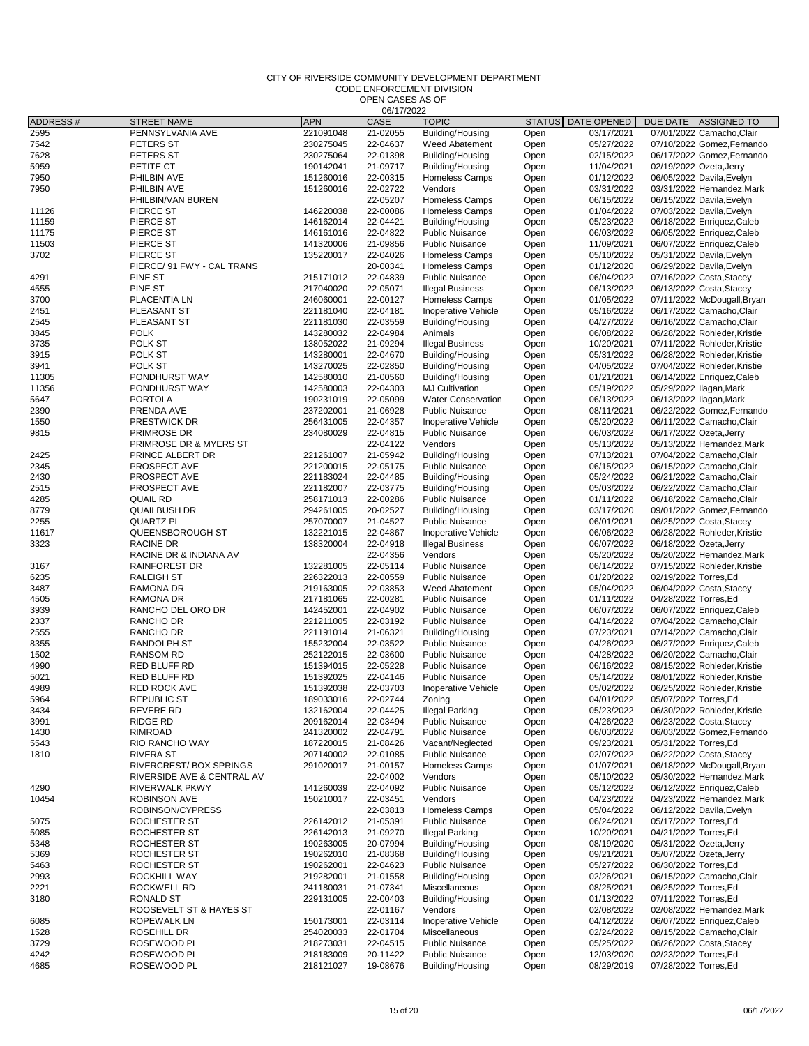CODE ENFORCEMENT DIVISION

|                 |                            |            | 06/17/2022  |                           |               |             |                         |                              |
|-----------------|----------------------------|------------|-------------|---------------------------|---------------|-------------|-------------------------|------------------------------|
| <b>ADDRESS#</b> | <b>STREET NAME</b>         | <b>APN</b> | <b>CASE</b> | <b>TOPIC</b>              | <b>STATUS</b> | DATE OPENED | DUE DATE                | <b>ASSIGNED TO</b>           |
| 2595            | PENNSYLVANIA AVE           | 221091048  | 21-02055    | Building/Housing          | Open          | 03/17/2021  |                         | 07/01/2022 Camacho, Clair    |
| 7542            | PETERS ST                  | 230275045  | 22-04637    | Weed Abatement            | Open          | 05/27/2022  |                         | 07/10/2022 Gomez, Fernando   |
| 7628            | PETERS ST                  | 230275064  | 22-01398    | Building/Housing          | Open          | 02/15/2022  |                         | 06/17/2022 Gomez, Fernando   |
| 5959            | PETITE CT                  | 190142041  | 21-09717    | Building/Housing          | Open          | 11/04/2021  | 02/19/2022 Ozeta, Jerry |                              |
| 7950            | PHILBIN AVE                | 151260016  | 22-00315    | <b>Homeless Camps</b>     | Open          | 01/12/2022  |                         | 06/05/2022 Davila, Evelyn    |
| 7950            | PHILBIN AVE                | 151260016  | 22-02722    | Vendors                   | Open          | 03/31/2022  |                         | 03/31/2022 Hernandez, Mark   |
|                 | PHILBIN/VAN BUREN          |            | 22-05207    | <b>Homeless Camps</b>     | Open          | 06/15/2022  |                         | 06/15/2022 Davila, Evelyn    |
| 11126           | PIERCE ST                  | 146220038  | 22-00086    | <b>Homeless Camps</b>     | Open          | 01/04/2022  |                         | 07/03/2022 Davila, Evelyn    |
| 11159           | PIERCE ST                  | 146162014  | 22-04421    | Building/Housing          | Open          | 05/23/2022  |                         | 06/18/2022 Enriquez, Caleb   |
| 11175           | PIERCE ST                  | 146161016  | 22-04822    | <b>Public Nuisance</b>    | Open          | 06/03/2022  |                         | 06/05/2022 Enriquez, Caleb   |
| 11503           | PIERCE ST                  | 141320006  | 21-09856    | <b>Public Nuisance</b>    | Open          | 11/09/2021  |                         | 06/07/2022 Enriquez, Caleb   |
| 3702            | PIERCE ST                  | 135220017  | 22-04026    | <b>Homeless Camps</b>     | Open          | 05/10/2022  |                         | 05/31/2022 Davila, Evelyn    |
|                 | PIERCE/ 91 FWY - CAL TRANS |            | 20-00341    | <b>Homeless Camps</b>     | Open          | 01/12/2020  |                         | 06/29/2022 Davila, Evelyn    |
| 4291            | PINE ST                    | 215171012  | 22-04839    | <b>Public Nuisance</b>    | Open          | 06/04/2022  |                         | 07/16/2022 Costa, Stacey     |
| 4555            | PINE ST                    | 217040020  | 22-05071    | <b>Illegal Business</b>   |               | 06/13/2022  |                         | 06/13/2022 Costa, Stacey     |
|                 |                            |            |             |                           | Open          |             |                         |                              |
| 3700            | PLACENTIA LN               | 246060001  | 22-00127    | <b>Homeless Camps</b>     | Open          | 01/05/2022  |                         | 07/11/2022 McDougall, Bryan  |
| 2451            | PLEASANT ST                | 221181040  | 22-04181    | Inoperative Vehicle       | Open          | 05/16/2022  |                         | 06/17/2022 Camacho, Clair    |
| 2545            | PLEASANT ST                | 221181030  | 22-03559    | Building/Housing          | Open          | 04/27/2022  |                         | 06/16/2022 Camacho, Clair    |
| 3845            | <b>POLK</b>                | 143280032  | 22-04984    | Animals                   | Open          | 06/08/2022  |                         | 06/28/2022 Rohleder, Kristie |
| 3735            | POLK ST                    | 138052022  | 21-09294    | <b>Illegal Business</b>   | Open          | 10/20/2021  |                         | 07/11/2022 Rohleder, Kristie |
| 3915            | POLK ST                    | 143280001  | 22-04670    | Building/Housing          | Open          | 05/31/2022  |                         | 06/28/2022 Rohleder, Kristie |
| 3941            | POLK ST                    | 143270025  | 22-02850    | Building/Housing          | Open          | 04/05/2022  |                         | 07/04/2022 Rohleder, Kristie |
| 11305           | PONDHURST WAY              | 142580010  | 21-00560    | Building/Housing          | Open          | 01/21/2021  |                         | 06/14/2022 Enriquez, Caleb   |
| 11356           | PONDHURST WAY              | 142580003  | 22-04303    | <b>MJ Cultivation</b>     | Open          | 05/19/2022  |                         | 05/29/2022 Ilagan, Mark      |
| 5647            | <b>PORTOLA</b>             | 190231019  | 22-05099    | <b>Water Conservation</b> | Open          | 06/13/2022  |                         | 06/13/2022 Ilagan, Mark      |
| 2390            | PRENDA AVE                 | 237202001  | 21-06928    | <b>Public Nuisance</b>    | Open          | 08/11/2021  |                         | 06/22/2022 Gomez, Fernando   |
| 1550            | <b>PRESTWICK DR</b>        | 256431005  | 22-04357    | Inoperative Vehicle       | Open          | 05/20/2022  |                         | 06/11/2022 Camacho, Clair    |
| 9815            | PRIMROSE DR                | 234080029  | 22-04815    | <b>Public Nuisance</b>    | Open          | 06/03/2022  | 06/17/2022 Ozeta, Jerry |                              |
|                 | PRIMROSE DR & MYERS ST     |            | 22-04122    | Vendors                   | Open          | 05/13/2022  |                         | 05/13/2022 Hernandez, Mark   |
| 2425            | PRINCE ALBERT DR           | 221261007  | 21-05942    | Building/Housing          | Open          | 07/13/2021  |                         | 07/04/2022 Camacho, Clair    |
| 2345            | PROSPECT AVE               | 221200015  | 22-05175    | <b>Public Nuisance</b>    | Open          | 06/15/2022  |                         | 06/15/2022 Camacho, Clair    |
| 2430            | PROSPECT AVE               | 221183024  | 22-04485    | Building/Housing          | Open          | 05/24/2022  |                         | 06/21/2022 Camacho, Clair    |
| 2515            | PROSPECT AVE               | 221182007  | 22-03775    | Building/Housing          | Open          | 05/03/2022  |                         | 06/22/2022 Camacho, Clair    |
| 4285            | <b>QUAIL RD</b>            | 258171013  | 22-00286    | <b>Public Nuisance</b>    | Open          | 01/11/2022  |                         | 06/18/2022 Camacho, Clair    |
| 8779            | <b>QUAILBUSH DR</b>        | 294261005  | 20-02527    | Building/Housing          | Open          | 03/17/2020  |                         | 09/01/2022 Gomez, Fernando   |
| 2255            | <b>QUARTZ PL</b>           | 257070007  | 21-04527    | <b>Public Nuisance</b>    | Open          | 06/01/2021  |                         | 06/25/2022 Costa, Stacey     |
| 11617           | QUEENSBOROUGH ST           |            | 22-04867    |                           |               |             |                         |                              |
|                 |                            | 132221015  |             | Inoperative Vehicle       | Open          | 06/06/2022  |                         | 06/28/2022 Rohleder, Kristie |
| 3323            | RACINE DR                  | 138320004  | 22-04918    | <b>Illegal Business</b>   | Open          | 06/07/2022  | 06/18/2022 Ozeta, Jerry |                              |
|                 | RACINE DR & INDIANA AV     |            | 22-04356    | Vendors                   | Open          | 05/20/2022  |                         | 05/20/2022 Hernandez, Mark   |
| 3167            | <b>RAINFOREST DR</b>       | 132281005  | 22-05114    | <b>Public Nuisance</b>    | Open          | 06/14/2022  |                         | 07/15/2022 Rohleder, Kristie |
| 6235            | <b>RALEIGH ST</b>          | 226322013  | 22-00559    | <b>Public Nuisance</b>    | Open          | 01/20/2022  | 02/19/2022 Torres, Ed   |                              |
| 3487            | RAMONA DR                  | 219163005  | 22-03853    | <b>Weed Abatement</b>     | Open          | 05/04/2022  |                         | 06/04/2022 Costa, Stacey     |
| 4505            | RAMONA DR                  | 217181065  | 22-00281    | <b>Public Nuisance</b>    | Open          | 01/11/2022  | 04/28/2022 Torres, Ed   |                              |
| 3939            | RANCHO DEL ORO DR          | 142452001  | 22-04902    | <b>Public Nuisance</b>    | Open          | 06/07/2022  |                         | 06/07/2022 Enriquez, Caleb   |
| 2337            | <b>RANCHO DR</b>           | 221211005  | 22-03192    | <b>Public Nuisance</b>    | Open          | 04/14/2022  |                         | 07/04/2022 Camacho, Clair    |
| 2555            | <b>RANCHO DR</b>           | 221191014  | 21-06321    | Building/Housing          | Open          | 07/23/2021  |                         | 07/14/2022 Camacho, Clair    |
| 8355            | RANDOLPH ST                | 155232004  | 22-03522    | <b>Public Nuisance</b>    | Open          | 04/26/2022  |                         | 06/27/2022 Enriquez, Caleb   |
| 1502            | <b>RANSOM RD</b>           | 252122015  | 22-03600    | <b>Public Nuisance</b>    | Open          | 04/28/2022  |                         | 06/20/2022 Camacho, Clair    |
| 4990            | RED BLUFF RD               | 151394015  | 22-05228    | <b>Public Nuisance</b>    | Open          | 06/16/2022  |                         | 08/15/2022 Rohleder, Kristie |
| 5021            | RED BLUFF RD               | 151392025  | 22-04146    | <b>Public Nuisance</b>    | Open          | 05/14/2022  |                         | 08/01/2022 Rohleder, Kristie |
| 4989            | <b>RED ROCK AVE</b>        | 151392038  | 22-03703    | Inoperative Vehicle       | Open          | 05/02/2022  |                         | 06/25/2022 Rohleder, Kristie |
| 5964            | <b>REPUBLIC ST</b>         | 189033016  | 22-02744    | Zoning                    | Open          | 04/01/2022  | 05/07/2022 Torres, Ed   |                              |
| 3434            | REVERE RD                  | 132162004  | 22-04425    | <b>Illegal Parking</b>    | Open          | 05/23/2022  |                         | 06/30/2022 Rohleder, Kristie |
| 3991            | <b>RIDGE RD</b>            | 209162014  | 22-03494    | <b>Public Nuisance</b>    | Open          | 04/26/2022  |                         | 06/23/2022 Costa, Stacey     |
| 1430            | RIMROAD                    | 241320002  | 22-04791    | <b>Public Nuisance</b>    | Open          | 06/03/2022  |                         | 06/03/2022 Gomez, Fernando   |
| 5543            | RIO RANCHO WAY             | 187220015  | 21-08426    | Vacant/Neglected          | Open          | 09/23/2021  | 05/31/2022 Torres, Ed   |                              |
| 1810            | <b>RIVERA ST</b>           | 207140002  | 22-01085    | <b>Public Nuisance</b>    | Open          | 02/07/2022  |                         | 06/22/2022 Costa, Stacey     |
|                 | RIVERCREST/BOX SPRINGS     | 291020017  | 21-00157    | Homeless Camps            | Open          | 01/07/2021  |                         | 06/18/2022 McDougall, Bryan  |
|                 | RIVERSIDE AVE & CENTRAL AV |            | 22-04002    | Vendors                   | Open          | 05/10/2022  |                         | 05/30/2022 Hernandez, Mark   |
| 4290            | <b>RIVERWALK PKWY</b>      | 141260039  | 22-04092    | <b>Public Nuisance</b>    | Open          | 05/12/2022  |                         | 06/12/2022 Enriquez, Caleb   |
| 10454           | <b>ROBINSON AVE</b>        | 150210017  | 22-03451    | Vendors                   | Open          | 04/23/2022  |                         | 04/23/2022 Hernandez, Mark   |
|                 | ROBINSON/CYPRESS           |            | 22-03813    | Homeless Camps            | Open          | 05/04/2022  |                         | 06/12/2022 Davila, Evelyn    |
|                 |                            |            | 21-05391    | <b>Public Nuisance</b>    |               | 06/24/2021  | 05/17/2022 Torres, Ed   |                              |
| 5075            | ROCHESTER ST               | 226142012  |             |                           | Open          |             |                         |                              |
| 5085            | ROCHESTER ST               | 226142013  | 21-09270    | <b>Illegal Parking</b>    | Open          | 10/20/2021  | 04/21/2022 Torres, Ed   |                              |
| 5348            | ROCHESTER ST               | 190263005  | 20-07994    | Building/Housing          | Open          | 08/19/2020  | 05/31/2022 Ozeta, Jerry |                              |
| 5369            | ROCHESTER ST               | 190262010  | 21-08368    | Building/Housing          | Open          | 09/21/2021  |                         | 05/07/2022 Ozeta, Jerry      |
| 5463            | ROCHESTER ST               | 190262001  | 22-04623    | <b>Public Nuisance</b>    | Open          | 05/27/2022  | 06/30/2022 Torres, Ed   |                              |
| 2993            | ROCKHILL WAY               | 219282001  | 21-01558    | Building/Housing          | Open          | 02/26/2021  |                         | 06/15/2022 Camacho, Clair    |
| 2221            | ROCKWELL RD                | 241180031  | 21-07341    | Miscellaneous             | Open          | 08/25/2021  | 06/25/2022 Torres, Ed   |                              |
| 3180            | RONALD ST                  | 229131005  | 22-00403    | Building/Housing          | Open          | 01/13/2022  | 07/11/2022 Torres, Ed   |                              |
|                 | ROOSEVELT ST & HAYES ST    |            | 22-01167    | Vendors                   | Open          | 02/08/2022  |                         | 02/08/2022 Hernandez, Mark   |
| 6085            | ROPEWALK LN                | 150173001  | 22-03114    | Inoperative Vehicle       | Open          | 04/12/2022  |                         | 06/07/2022 Enriquez, Caleb   |
| 1528            | ROSEHILL DR                | 254020033  | 22-01704    | Miscellaneous             | Open          | 02/24/2022  |                         | 08/15/2022 Camacho, Clair    |
| 3729            | ROSEWOOD PL                | 218273031  | 22-04515    | <b>Public Nuisance</b>    | Open          | 05/25/2022  |                         | 06/26/2022 Costa, Stacey     |
| 4242            | ROSEWOOD PL                | 218183009  | 20-11422    | <b>Public Nuisance</b>    | Open          | 12/03/2020  | 02/23/2022 Torres, Ed   |                              |
| 4685            | ROSEWOOD PL                | 218121027  | 19-08676    | Building/Housing          | Open          | 08/29/2019  | 07/28/2022 Torres, Ed   |                              |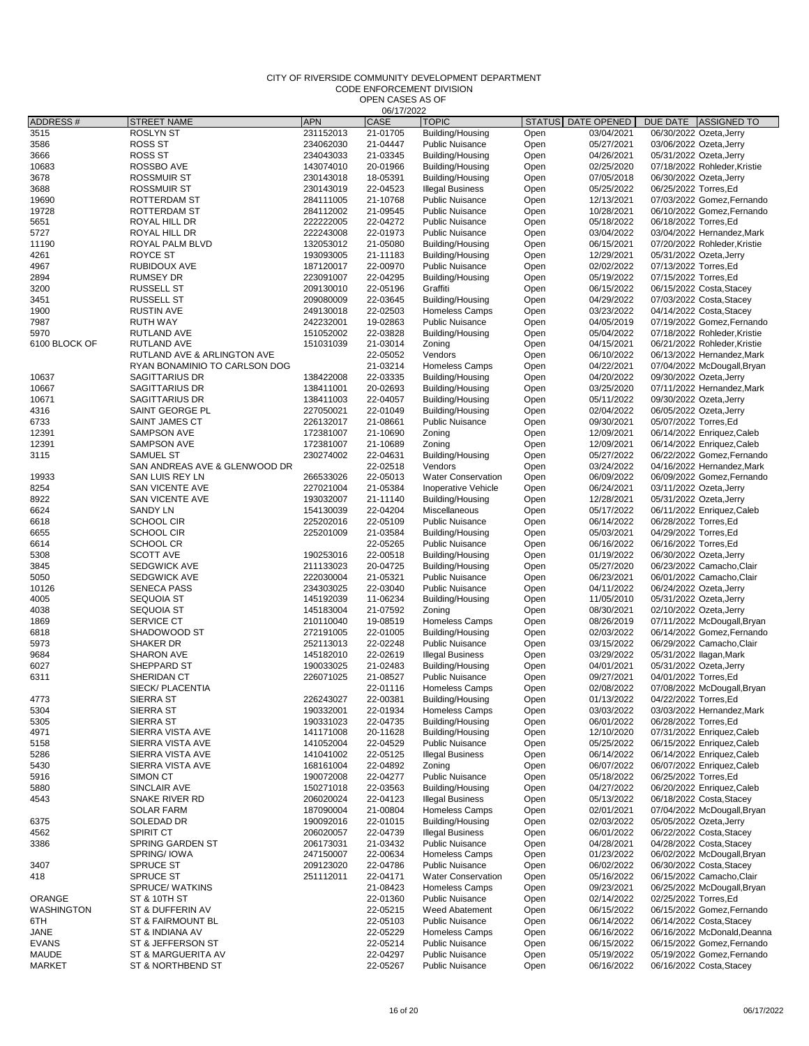CODE ENFORCEMENT DIVISION

|               |                               |            | 06/17/2022  |                           |                    |            |                         |                              |
|---------------|-------------------------------|------------|-------------|---------------------------|--------------------|------------|-------------------------|------------------------------|
| ADDRESS#      | <b>STREET NAME</b>            | <b>APN</b> | <b>CASE</b> | <b>TOPIC</b>              | STATUS DATE OPENED |            |                         | DUE DATE ASSIGNED TO         |
| 3515          | <b>ROSLYN ST</b>              | 231152013  | 21-01705    | Building/Housing          | Open               | 03/04/2021 |                         | 06/30/2022 Ozeta, Jerry      |
| 3586          | <b>ROSS ST</b>                | 234062030  | 21-04447    | <b>Public Nuisance</b>    | Open               | 05/27/2021 |                         | 03/06/2022 Ozeta, Jerry      |
| 3666          | <b>ROSS ST</b>                | 234043033  | 21-03345    | Building/Housing          | Open               | 04/26/2021 |                         | 05/31/2022 Ozeta, Jerry      |
| 10683         | ROSSBO AVE                    | 143074010  | 20-01966    | Building/Housing          | Open               | 02/25/2020 |                         | 07/18/2022 Rohleder, Kristie |
| 3678          | <b>ROSSMUIR ST</b>            | 230143018  | 18-05391    | Building/Housing          | Open               | 07/05/2018 |                         | 06/30/2022 Ozeta, Jerry      |
| 3688          | <b>ROSSMUIR ST</b>            | 230143019  | 22-04523    | <b>Illegal Business</b>   | Open               | 05/25/2022 | 06/25/2022 Torres, Ed   |                              |
| 19690         | <b>ROTTERDAM ST</b>           | 284111005  | 21-10768    | <b>Public Nuisance</b>    | Open               | 12/13/2021 |                         | 07/03/2022 Gomez, Fernando   |
| 19728         | ROTTERDAM ST                  | 284112002  | 21-09545    | <b>Public Nuisance</b>    | Open               | 10/28/2021 |                         | 06/10/2022 Gomez, Fernando   |
| 5651          | ROYAL HILL DR                 | 222222005  | 22-04272    | <b>Public Nuisance</b>    | Open               | 05/18/2022 | 06/18/2022 Torres, Ed   |                              |
| 5727          | ROYAL HILL DR                 | 222243008  | 22-01973    | <b>Public Nuisance</b>    | Open               | 03/04/2022 |                         | 03/04/2022 Hernandez, Mark   |
| 11190         | ROYAL PALM BLVD               | 132053012  | 21-05080    | Building/Housing          | Open               | 06/15/2021 |                         | 07/20/2022 Rohleder, Kristie |
| 4261          | <b>ROYCE ST</b>               | 193093005  | 21-11183    | Building/Housing          | Open               | 12/29/2021 |                         | 05/31/2022 Ozeta, Jerry      |
| 4967          | RUBIDOUX AVE                  | 187120017  | 22-00970    | <b>Public Nuisance</b>    | Open               | 02/02/2022 | 07/13/2022 Torres, Ed   |                              |
| 2894          | <b>RUMSEY DR</b>              | 223091007  | 22-04295    | Building/Housing          | Open               | 05/19/2022 | 07/15/2022 Torres, Ed   |                              |
| 3200          | <b>RUSSELL ST</b>             | 209130010  | 22-05196    | Graffiti                  | Open               | 06/15/2022 |                         | 06/15/2022 Costa, Stacey     |
| 3451          | <b>RUSSELL ST</b>             | 209080009  | 22-03645    | Building/Housing          | Open               | 04/29/2022 |                         | 07/03/2022 Costa, Stacey     |
| 1900          | <b>RUSTIN AVE</b>             | 249130018  | 22-02503    | <b>Homeless Camps</b>     | Open               | 03/23/2022 |                         | 04/14/2022 Costa, Stacey     |
| 7987          | <b>RUTH WAY</b>               | 242232001  | 19-02863    | <b>Public Nuisance</b>    | Open               | 04/05/2019 |                         | 07/19/2022 Gomez, Fernando   |
| 5970          | <b>RUTLAND AVE</b>            | 151052002  | 22-03828    | Building/Housing          | Open               | 05/04/2022 |                         | 07/18/2022 Rohleder, Kristie |
| 6100 BLOCK OF | <b>RUTLAND AVE</b>            | 151031039  | 21-03014    | Zoning                    | Open               | 04/15/2021 |                         | 06/21/2022 Rohleder, Kristie |
|               | RUTLAND AVE & ARLINGTON AVE   |            | 22-05052    | Vendors                   |                    | 06/10/2022 |                         | 06/13/2022 Hernandez, Mark   |
|               |                               |            | 21-03214    |                           | Open               |            |                         | 07/04/2022 McDougall, Bryan  |
|               | RYAN BONAMINIO TO CARLSON DOG |            |             | Homeless Camps            | Open               | 04/22/2021 |                         |                              |
| 10637         | SAGITTARIUS DR                | 138422008  | 22-03335    | Building/Housing          | Open               | 04/20/2022 |                         | 09/30/2022 Ozeta, Jerry      |
| 10667         | SAGITTARIUS DR                | 138411001  | 20-02693    | Building/Housing          | Open               | 03/25/2020 |                         | 07/11/2022 Hernandez, Mark   |
| 10671         | SAGITTARIUS DR                | 138411003  | 22-04057    | Building/Housing          | Open               | 05/11/2022 |                         | 09/30/2022 Ozeta, Jerry      |
| 4316          | SAINT GEORGE PL               | 227050021  | 22-01049    | Building/Housing          | Open               | 02/04/2022 |                         | 06/05/2022 Ozeta, Jerry      |
| 6733          | <b>SAINT JAMES CT</b>         | 226132017  | 21-08661    | <b>Public Nuisance</b>    | Open               | 09/30/2021 | 05/07/2022 Torres, Ed   |                              |
| 12391         | <b>SAMPSON AVE</b>            | 172381007  | 21-10690    | Zoning                    | Open               | 12/09/2021 |                         | 06/14/2022 Enriquez, Caleb   |
| 12391         | <b>SAMPSON AVE</b>            | 172381007  | 21-10689    | Zoning                    | Open               | 12/09/2021 |                         | 06/14/2022 Enriquez, Caleb   |
| 3115          | <b>SAMUEL ST</b>              | 230274002  | 22-04631    | Building/Housing          | Open               | 05/27/2022 |                         | 06/22/2022 Gomez, Fernando   |
|               | SAN ANDREAS AVE & GLENWOOD DR |            | 22-02518    | Vendors                   | Open               | 03/24/2022 |                         | 04/16/2022 Hernandez, Mark   |
| 19933         | SAN LUIS REY LN               | 266533026  | 22-05013    | <b>Water Conservation</b> | Open               | 06/09/2022 |                         | 06/09/2022 Gomez, Fernando   |
| 8254          | SAN VICENTE AVE               | 227021004  | 21-05384    | Inoperative Vehicle       | Open               | 06/24/2021 |                         | 03/11/2022 Ozeta, Jerry      |
| 8922          | <b>SAN VICENTE AVE</b>        | 193032007  | 21-11140    | Building/Housing          | Open               | 12/28/2021 | 05/31/2022 Ozeta, Jerry |                              |
| 6624          | <b>SANDY LN</b>               | 154130039  | 22-04204    | Miscellaneous             | Open               | 05/17/2022 |                         | 06/11/2022 Enriquez, Caleb   |
| 6618          | <b>SCHOOL CIR</b>             | 225202016  | 22-05109    | <b>Public Nuisance</b>    | Open               | 06/14/2022 | 06/28/2022 Torres, Ed   |                              |
| 6655          | <b>SCHOOL CIR</b>             | 225201009  | 21-03584    | Building/Housing          | Open               | 05/03/2021 | 04/29/2022 Torres, Ed   |                              |
| 6614          | <b>SCHOOL CR</b>              |            | 22-05265    | <b>Public Nuisance</b>    | Open               | 06/16/2022 | 06/16/2022 Torres, Ed   |                              |
| 5308          | <b>SCOTT AVE</b>              | 190253016  | 22-00518    | Building/Housing          | Open               | 01/19/2022 | 06/30/2022 Ozeta, Jerry |                              |
| 3845          | <b>SEDGWICK AVE</b>           | 211133023  | 20-04725    | Building/Housing          | Open               | 05/27/2020 |                         | 06/23/2022 Camacho, Clair    |
| 5050          | <b>SEDGWICK AVE</b>           | 222030004  | 21-05321    | <b>Public Nuisance</b>    | Open               | 06/23/2021 |                         | 06/01/2022 Camacho, Clair    |
| 10126         | <b>SENECA PASS</b>            | 234303025  | 22-03040    | <b>Public Nuisance</b>    | Open               | 04/11/2022 |                         | 06/24/2022 Ozeta, Jerry      |
| 4005          | <b>SEQUOIA ST</b>             | 145192039  | 11-06234    | Building/Housing          | Open               | 11/05/2010 | 05/31/2022 Ozeta, Jerry |                              |
| 4038          | SEQUOIA ST                    | 145183004  | 21-07592    | Zoning                    | Open               | 08/30/2021 | 02/10/2022 Ozeta, Jerry |                              |
| 1869          | <b>SERVICE CT</b>             | 210110040  | 19-08519    | <b>Homeless Camps</b>     | Open               | 08/26/2019 |                         | 07/11/2022 McDougall, Bryan  |
| 6818          | SHADOWOOD ST                  | 272191005  | 22-01005    | Building/Housing          | Open               | 02/03/2022 |                         | 06/14/2022 Gomez, Fernando   |
| 5973          | SHAKER DR                     | 252113013  | 22-02248    | <b>Public Nuisance</b>    | Open               | 03/15/2022 |                         | 06/29/2022 Camacho, Clair    |
| 9684          | <b>SHARON AVE</b>             | 145182010  | 22-02619    | <b>Illegal Business</b>   | Open               | 03/29/2022 |                         | 05/31/2022 Ilagan, Mark      |
| 6027          | SHEPPARD ST                   | 190033025  | 21-02483    | Building/Housing          | Open               | 04/01/2021 |                         | 05/31/2022 Ozeta, Jerry      |
| 6311          | SHERIDAN CT                   | 226071025  | 21-08527    | <b>Public Nuisance</b>    | Open               | 09/27/2021 | 04/01/2022 Torres, Ed   |                              |
|               | SIECK/ PLACENTIA              |            | 22-01116    | <b>Homeless Camps</b>     | Open               | 02/08/2022 |                         | 07/08/2022 McDougall, Bryan  |
| 4773          | SIERRA ST                     | 226243027  | 22-00381    | Building/Housing          | Open               | 01/13/2022 | 04/22/2022 Torres, Ed   |                              |
| 5304          | <b>SIERRA ST</b>              | 190332001  | 22-01934    | Homeless Camps            | Open               | 03/03/2022 |                         | 03/03/2022 Hernandez, Mark   |
| 5305          | <b>SIERRA ST</b>              | 190331023  | 22-04735    | Building/Housing          | Open               | 06/01/2022 | 06/28/2022 Torres, Ed   |                              |
| 4971          | SIERRA VISTA AVE              | 141171008  | 20-11628    | Building/Housing          | Open               | 12/10/2020 |                         | 07/31/2022 Enriquez, Caleb   |
| 5158          | SIERRA VISTA AVE              | 141052004  | 22-04529    | <b>Public Nuisance</b>    | Open               | 05/25/2022 |                         | 06/15/2022 Enriquez, Caleb   |
| 5286          | SIERRA VISTA AVE              | 141041002  | 22-05125    | <b>Illegal Business</b>   | Open               | 06/14/2022 |                         | 06/14/2022 Enriquez, Caleb   |
| 5430          | SIERRA VISTA AVE              | 168161004  | 22-04892    | Zoning                    | Open               | 06/07/2022 |                         | 06/07/2022 Enriquez, Caleb   |
| 5916          | SIMON CT                      | 190072008  | 22-04277    | <b>Public Nuisance</b>    | Open               | 05/18/2022 | 06/25/2022 Torres, Ed   |                              |
| 5880          | SINCLAIR AVE                  | 150271018  | 22-03563    | Building/Housing          | Open               | 04/27/2022 |                         | 06/20/2022 Enriquez, Caleb   |
| 4543          | SNAKE RIVER RD                | 206020024  | 22-04123    | <b>Illegal Business</b>   | Open               | 05/13/2022 |                         | 06/18/2022 Costa, Stacey     |
|               | <b>SOLAR FARM</b>             |            | 21-00804    | <b>Homeless Camps</b>     |                    |            |                         | 07/04/2022 McDougall, Bryan  |
|               |                               | 187090004  |             |                           | Open               | 02/01/2021 |                         |                              |
| 6375          | <b>SOLEDAD DR</b>             | 190092016  | 22-01015    | Building/Housing          | Open               | 02/03/2022 |                         | 05/05/2022 Ozeta, Jerry      |
| 4562          | <b>SPIRIT CT</b>              | 206020057  | 22-04739    | <b>Illegal Business</b>   | Open               | 06/01/2022 |                         | 06/22/2022 Costa, Stacey     |
| 3386          | SPRING GARDEN ST              | 206173031  | 21-03432    | <b>Public Nuisance</b>    | Open               | 04/28/2021 |                         | 04/28/2022 Costa, Stacey     |
|               | SPRING/IOWA                   | 247150007  | 22-00634    | Homeless Camps            | Open               | 01/23/2022 |                         | 06/02/2022 McDougall, Bryan  |
| 3407          | <b>SPRUCE ST</b>              | 209123020  | 22-04786    | <b>Public Nuisance</b>    | Open               | 06/02/2022 |                         | 06/30/2022 Costa, Stacey     |
| 418           | <b>SPRUCE ST</b>              | 251112011  | 22-04171    | <b>Water Conservation</b> | Open               | 05/16/2022 |                         | 06/15/2022 Camacho, Clair    |
|               | SPRUCE/WATKINS                |            | 21-08423    | <b>Homeless Camps</b>     | Open               | 09/23/2021 |                         | 06/25/2022 McDougall, Bryan  |
| ORANGE        | ST & 10TH ST                  |            | 22-01360    | <b>Public Nuisance</b>    | Open               | 02/14/2022 | 02/25/2022 Torres, Ed   |                              |
| WASHINGTON    | ST & DUFFERIN AV              |            | 22-05215    | Weed Abatement            | Open               | 06/15/2022 |                         | 06/15/2022 Gomez, Fernando   |
| 6TH           | ST & FAIRMOUNT BL             |            | 22-05103    | <b>Public Nuisance</b>    | Open               | 06/14/2022 |                         | 06/14/2022 Costa, Stacey     |
| JANE          | ST & INDIANA AV               |            | 22-05229    | Homeless Camps            | Open               | 06/16/2022 |                         | 06/16/2022 McDonald, Deanna  |
| <b>EVANS</b>  | ST & JEFFERSON ST             |            | 22-05214    | <b>Public Nuisance</b>    | Open               | 06/15/2022 |                         | 06/15/2022 Gomez, Fernando   |
| MAUDE         | ST & MARGUERITA AV            |            | 22-04297    | <b>Public Nuisance</b>    | Open               | 05/19/2022 |                         | 05/19/2022 Gomez, Fernando   |
| <b>MARKET</b> | ST & NORTHBEND ST             |            | 22-05267    | <b>Public Nuisance</b>    | Open               | 06/16/2022 |                         | 06/16/2022 Costa, Stacey     |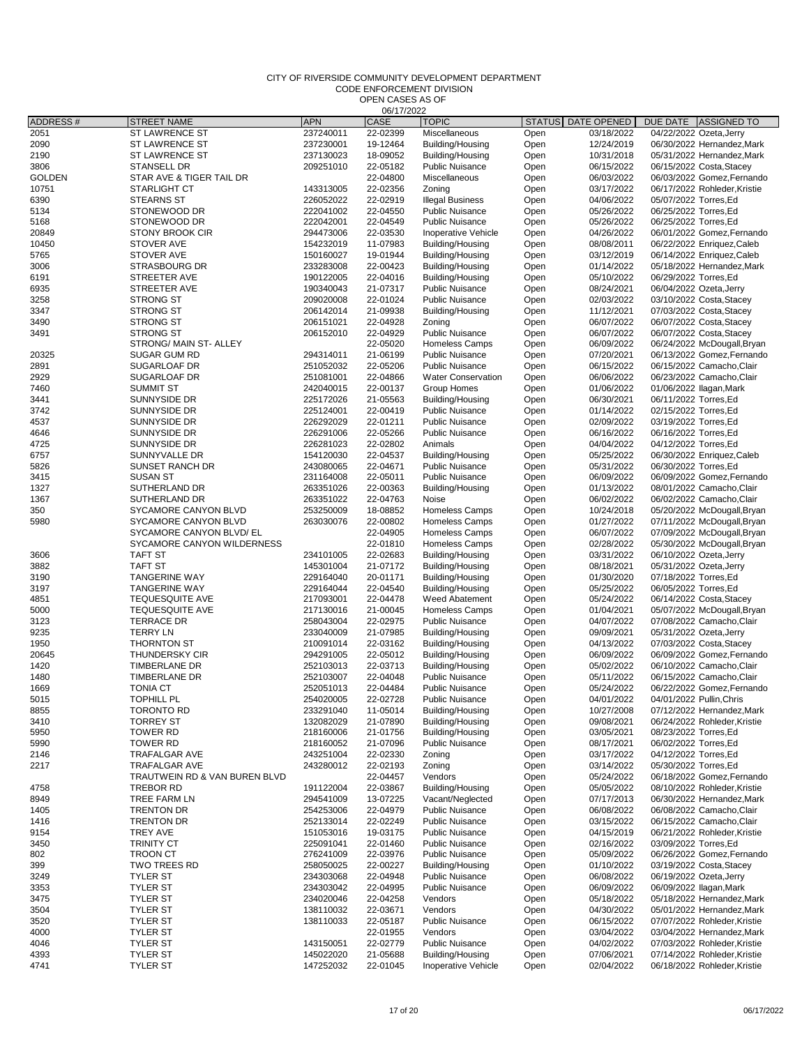CODE ENFORCEMENT DIVISION

| OPEN CASES AS OF |
|------------------|
| 06/17/2022       |

| ADDRESS#       | <b>STREET NAME</b>                             | <b>APN</b>             | <b><i>UUITIZUZZ</i></b><br>CASE | <b>TOPIC</b>                                        | <b>STATUS</b> | DATE OPENED              | DUE DATE ASSIGNED TO                                       |
|----------------|------------------------------------------------|------------------------|---------------------------------|-----------------------------------------------------|---------------|--------------------------|------------------------------------------------------------|
| 2051           | <b>ST LAWRENCE ST</b>                          | 237240011              | 22-02399                        | Miscellaneous                                       | Open          | 03/18/2022               | 04/22/2022 Ozeta, Jerry                                    |
| 2090           | <b>ST LAWRENCE ST</b>                          | 237230001              | 19-12464                        | Building/Housing                                    | Open          | 12/24/2019               | 06/30/2022 Hernandez, Mark                                 |
| 2190           | <b>ST LAWRENCE ST</b>                          | 237130023              | 18-09052                        | Building/Housing                                    | Open          | 10/31/2018               | 05/31/2022 Hernandez, Mark                                 |
| 3806           | <b>STANSELL DR</b>                             | 209251010              | 22-05182                        | <b>Public Nuisance</b>                              | Open          | 06/15/2022               | 06/15/2022 Costa, Stacey                                   |
| <b>GOLDEN</b>  | STAR AVE & TIGER TAIL DR                       |                        | 22-04800                        | Miscellaneous                                       | Open          | 06/03/2022               | 06/03/2022 Gomez, Fernando                                 |
| 10751          | <b>STARLIGHT CT</b>                            | 143313005              | 22-02356                        | Zoning                                              | Open          | 03/17/2022               | 06/17/2022 Rohleder, Kristie                               |
| 6390           | <b>STEARNS ST</b>                              | 226052022              | 22-02919                        | <b>Illegal Business</b>                             | Open          | 04/06/2022               | 05/07/2022 Torres, Ed                                      |
| 5134           | STONEWOOD DR                                   | 222041002              | 22-04550                        | <b>Public Nuisance</b>                              | Open          | 05/26/2022               | 06/25/2022 Torres, Ed                                      |
| 5168           | STONEWOOD DR                                   | 222042001              | 22-04549                        | <b>Public Nuisance</b>                              | Open          | 05/26/2022               | 06/25/2022 Torres, Ed                                      |
| 20849<br>10450 | STONY BROOK CIR<br><b>STOVER AVE</b>           | 294473006<br>154232019 | 22-03530<br>11-07983            | Inoperative Vehicle<br>Building/Housing             | Open<br>Open  | 04/26/2022<br>08/08/2011 | 06/01/2022 Gomez, Fernando<br>06/22/2022 Enriquez, Caleb   |
| 5765           | <b>STOVER AVE</b>                              | 150160027              | 19-01944                        | Building/Housing                                    | Open          | 03/12/2019               | 06/14/2022 Enriquez, Caleb                                 |
| 3006           | STRASBOURG DR                                  | 233283008              | 22-00423                        | Building/Housing                                    | Open          | 01/14/2022               | 05/18/2022 Hernandez, Mark                                 |
| 6191           | STREETER AVE                                   | 190122005              | 22-04016                        | Building/Housing                                    | Open          | 05/10/2022               | 06/29/2022 Torres, Ed                                      |
| 6935           | STREETER AVE                                   | 190340043              | 21-07317                        | <b>Public Nuisance</b>                              | Open          | 08/24/2021               | 06/04/2022 Ozeta, Jerry                                    |
| 3258           | STRONG ST                                      | 209020008              | 22-01024                        | <b>Public Nuisance</b>                              | Open          | 02/03/2022               | 03/10/2022 Costa, Stacey                                   |
| 3347           | <b>STRONG ST</b>                               | 206142014              | 21-09938                        | Building/Housing                                    | Open          | 11/12/2021               | 07/03/2022 Costa, Stacey                                   |
| 3490           | <b>STRONG ST</b>                               | 206151021              | 22-04928                        | Zoning                                              | Open          | 06/07/2022               | 06/07/2022 Costa, Stacey                                   |
| 3491           | <b>STRONG ST</b>                               | 206152010              | 22-04929                        | <b>Public Nuisance</b>                              | Open          | 06/07/2022               | 06/07/2022 Costa, Stacey                                   |
|                | STRONG/ MAIN ST- ALLEY                         |                        | 22-05020                        | <b>Homeless Camps</b>                               | Open          | 06/09/2022               | 06/24/2022 McDougall, Bryan                                |
| 20325          | SUGAR GUM RD                                   | 294314011              | 21-06199                        | <b>Public Nuisance</b>                              | Open          | 07/20/2021               | 06/13/2022 Gomez, Fernando                                 |
| 2891<br>2929   | SUGARLOAF DR<br>SUGARLOAF DR                   | 251052032<br>251081001 | 22-05206<br>22-04866            | <b>Public Nuisance</b><br><b>Water Conservation</b> | Open<br>Open  | 06/15/2022<br>06/06/2022 | 06/15/2022 Camacho, Clair<br>06/23/2022 Camacho, Clair     |
| 7460           | <b>SUMMIT ST</b>                               | 242040015              | 22-00137                        | Group Homes                                         | Open          | 01/06/2022               | 01/06/2022 Ilagan, Mark                                    |
| 3441           | SUNNYSIDE DR                                   | 225172026              | 21-05563                        | Building/Housing                                    | Open          | 06/30/2021               | 06/11/2022 Torres, Ed                                      |
| 3742           | SUNNYSIDE DR                                   | 225124001              | 22-00419                        | <b>Public Nuisance</b>                              | Open          | 01/14/2022               | 02/15/2022 Torres, Ed                                      |
| 4537           | SUNNYSIDE DR                                   | 226292029              | 22-01211                        | <b>Public Nuisance</b>                              | Open          | 02/09/2022               | 03/19/2022 Torres, Ed                                      |
| 4646           | SUNNYSIDE DR                                   | 226291006              | 22-05266                        | <b>Public Nuisance</b>                              | Open          | 06/16/2022               | 06/16/2022 Torres, Ed                                      |
| 4725           | <b>SUNNYSIDE DR</b>                            | 226281023              | 22-02802                        | Animals                                             | Open          | 04/04/2022               | 04/12/2022 Torres, Ed                                      |
| 6757           | SUNNYVALLE DR                                  | 154120030              | 22-04537                        | Building/Housing                                    | Open          | 05/25/2022               | 06/30/2022 Enriquez, Caleb                                 |
| 5826           | SUNSET RANCH DR                                | 243080065              | 22-04671                        | <b>Public Nuisance</b>                              | Open          | 05/31/2022               | 06/30/2022 Torres, Ed                                      |
| 3415           | <b>SUSAN ST</b>                                | 231164008              | 22-05011                        | <b>Public Nuisance</b>                              | Open          | 06/09/2022               | 06/09/2022 Gomez.Fernando                                  |
| 1327           | SUTHERLAND DR                                  | 263351026              | 22-00363                        | Building/Housing                                    | Open          | 01/13/2022               | 08/01/2022 Camacho, Clair                                  |
| 1367           | SUTHERLAND DR                                  | 263351022              | 22-04763                        | Noise                                               | Open          | 06/02/2022               | 06/02/2022 Camacho, Clair                                  |
| 350<br>5980    | SYCAMORE CANYON BLVD<br>SYCAMORE CANYON BLVD   | 253250009<br>263030076 | 18-08852<br>22-00802            | <b>Homeless Camps</b><br><b>Homeless Camps</b>      | Open<br>Open  | 10/24/2018<br>01/27/2022 | 05/20/2022 McDougall, Bryan<br>07/11/2022 McDougall, Bryan |
|                | SYCAMORE CANYON BLVD/ EL                       |                        | 22-04905                        | <b>Homeless Camps</b>                               | Open          | 06/07/2022               | 07/09/2022 McDougall, Bryan                                |
|                | SYCAMORE CANYON WILDERNESS                     |                        | 22-01810                        | <b>Homeless Camps</b>                               | Open          | 02/28/2022               | 05/30/2022 McDougall, Bryan                                |
| 3606           | <b>TAFT ST</b>                                 | 234101005              | 22-02683                        | Building/Housing                                    | Open          | 03/31/2022               | 06/10/2022 Ozeta, Jerry                                    |
| 3882           | <b>TAFT ST</b>                                 | 145301004              | 21-07172                        | Building/Housing                                    | Open          | 08/18/2021               | 05/31/2022 Ozeta, Jerry                                    |
| 3190           | <b>TANGERINE WAY</b>                           | 229164040              | 20-01171                        | Building/Housing                                    | Open          | 01/30/2020               | 07/18/2022 Torres, Ed                                      |
| 3197           | <b>TANGERINE WAY</b>                           | 229164044              | 22-04540                        | Building/Housing                                    | Open          | 05/25/2022               | 06/05/2022 Torres, Ed                                      |
| 4851           | <b>TEQUESQUITE AVE</b>                         | 217093001              | 22-04478                        | Weed Abatement                                      | Open          | 05/24/2022               | 06/14/2022 Costa, Stacey                                   |
| 5000           | <b>TEQUESQUITE AVE</b>                         | 217130016              | 21-00045                        | <b>Homeless Camps</b>                               | Open          | 01/04/2021               | 05/07/2022 McDougall, Bryan                                |
| 3123           | <b>TERRACE DR</b>                              | 258043004              | 22-02975                        | <b>Public Nuisance</b>                              | Open          | 04/07/2022               | 07/08/2022 Camacho, Clair                                  |
| 9235<br>1950   | <b>TERRY LN</b><br><b>THORNTON ST</b>          | 233040009<br>210091014 | 21-07985<br>22-03162            | Building/Housing<br>Building/Housing                | Open          | 09/09/2021<br>04/13/2022 | 05/31/2022 Ozeta, Jerry<br>07/03/2022 Costa, Stacey        |
| 20645          | THUNDERSKY CIR                                 | 294291005              | 22-05012                        | Building/Housing                                    | Open<br>Open  | 06/09/2022               | 06/09/2022 Gomez, Fernando                                 |
| 1420           | <b>TIMBERLANE DR</b>                           | 252103013              | 22-03713                        | Building/Housing                                    | Open          | 05/02/2022               | 06/10/2022 Camacho, Clair                                  |
| 1480           | TIMBERLANE DR                                  | 252103007              | 22-04048                        | <b>Public Nuisance</b>                              | Open          | 05/11/2022               | 06/15/2022 Camacho, Clair                                  |
| 1669           | <b>TONIA CT</b>                                | 252051013              | 22-04484                        | <b>Public Nuisance</b>                              | Open          | 05/24/2022               | 06/22/2022 Gomez, Fernando                                 |
| 5015           | <b>TOPHILL PL</b>                              | 254020005              | 22-02728                        | <b>Public Nuisance</b>                              | Open          | 04/01/2022               | 04/01/2022 Pullin, Chris                                   |
| 8855           | TORONTO RD                                     | 233291040              | 11-05014                        | Building/Housing                                    | Open          | 10/27/2008               | 07/12/2022 Hernandez, Mark                                 |
| 3410           | <b>TORREY ST</b>                               | 132082029              | 21-07890                        | Building/Housing                                    | Open          | 09/08/2021               | 06/24/2022 Rohleder, Kristie                               |
| 5950           | <b>TOWER RD</b>                                | 218160006              | 21-01756                        | Building/Housing                                    | Open          | 03/05/2021               | 08/23/2022 Torres, Ed                                      |
| 5990           | <b>TOWER RD</b>                                | 218160052              | 21-07096                        | <b>Public Nuisance</b>                              | Open          | 08/17/2021               | 06/02/2022 Torres, Ed                                      |
| 2146           | TRAFALGAR AVE                                  | 243251004              | 22-02330                        | Zoning                                              | Open          | 03/17/2022               | 04/12/2022 Torres, Ed                                      |
| 2217           | TRAFALGAR AVE<br>TRAUTWEIN RD & VAN BUREN BLVD | 243280012              | 22-02193<br>22-04457            | Zoning<br>Vendors                                   | Open<br>Open  | 03/14/2022<br>05/24/2022 | 05/30/2022 Torres, Ed<br>06/18/2022 Gomez, Fernando        |
| 4758           | TREBOR RD                                      | 191122004              | 22-03867                        | Building/Housing                                    | Open          | 05/05/2022               | 08/10/2022 Rohleder, Kristie                               |
| 8949           | TREE FARM LN                                   | 294541009              | 13-07225                        | Vacant/Neglected                                    | Open          | 07/17/2013               | 06/30/2022 Hernandez, Mark                                 |
| 1405           | <b>TRENTON DR</b>                              | 254253006              | 22-04979                        | <b>Public Nuisance</b>                              | Open          | 06/08/2022               | 06/08/2022 Camacho, Clair                                  |
| 1416           | <b>TRENTON DR</b>                              | 252133014              | 22-02249                        | <b>Public Nuisance</b>                              | Open          | 03/15/2022               | 06/15/2022 Camacho, Clair                                  |
| 9154           | <b>TREY AVE</b>                                | 151053016              | 19-03175                        | <b>Public Nuisance</b>                              | Open          | 04/15/2019               | 06/21/2022 Rohleder, Kristie                               |
| 3450           | <b>TRINITY CT</b>                              | 225091041              | 22-01460                        | <b>Public Nuisance</b>                              | Open          | 02/16/2022               | 03/09/2022 Torres, Ed                                      |
| 802            | <b>TROON CT</b>                                | 276241009              | 22-03976                        | <b>Public Nuisance</b>                              | Open          | 05/09/2022               | 06/26/2022 Gomez, Fernando                                 |
| 399            | <b>TWO TREES RD</b>                            | 258050025              | 22-00227                        | Building/Housing                                    | Open          | 01/10/2022               | 03/19/2022 Costa, Stacey                                   |
| 3249           | <b>TYLER ST</b>                                | 234303068              | 22-04948                        | <b>Public Nuisance</b>                              | Open          | 06/08/2022               | 06/19/2022 Ozeta, Jerry                                    |
| 3353           | <b>TYLER ST</b>                                | 234303042              | 22-04995                        | <b>Public Nuisance</b>                              | Open          | 06/09/2022               | 06/09/2022 Ilagan, Mark                                    |
| 3475<br>3504   | <b>TYLER ST</b><br><b>TYLER ST</b>             | 234020046<br>138110032 | 22-04258<br>22-03671            | Vendors<br>Vendors                                  | Open<br>Open  | 05/18/2022<br>04/30/2022 | 05/18/2022 Hernandez, Mark<br>05/01/2022 Hernandez, Mark   |
| 3520           | <b>TYLER ST</b>                                | 138110033              | 22-05187                        | <b>Public Nuisance</b>                              | Open          | 06/15/2022               | 07/07/2022 Rohleder, Kristie                               |
| 4000           | <b>TYLER ST</b>                                |                        | 22-01955                        | Vendors                                             | Open          | 03/04/2022               | 03/04/2022 Hernandez, Mark                                 |
| 4046           | <b>TYLER ST</b>                                | 143150051              | 22-02779                        | <b>Public Nuisance</b>                              | Open          | 04/02/2022               | 07/03/2022 Rohleder, Kristie                               |
| 4393           | <b>TYLER ST</b>                                | 145022020              | 21-05688                        | Building/Housing                                    | Open          | 07/06/2021               | 07/14/2022 Rohleder, Kristie                               |
| 4741           | <b>TYLER ST</b>                                | 147252032              | 22-01045                        | Inoperative Vehicle                                 | Open          | 02/04/2022               | 06/18/2022 Rohleder, Kristie                               |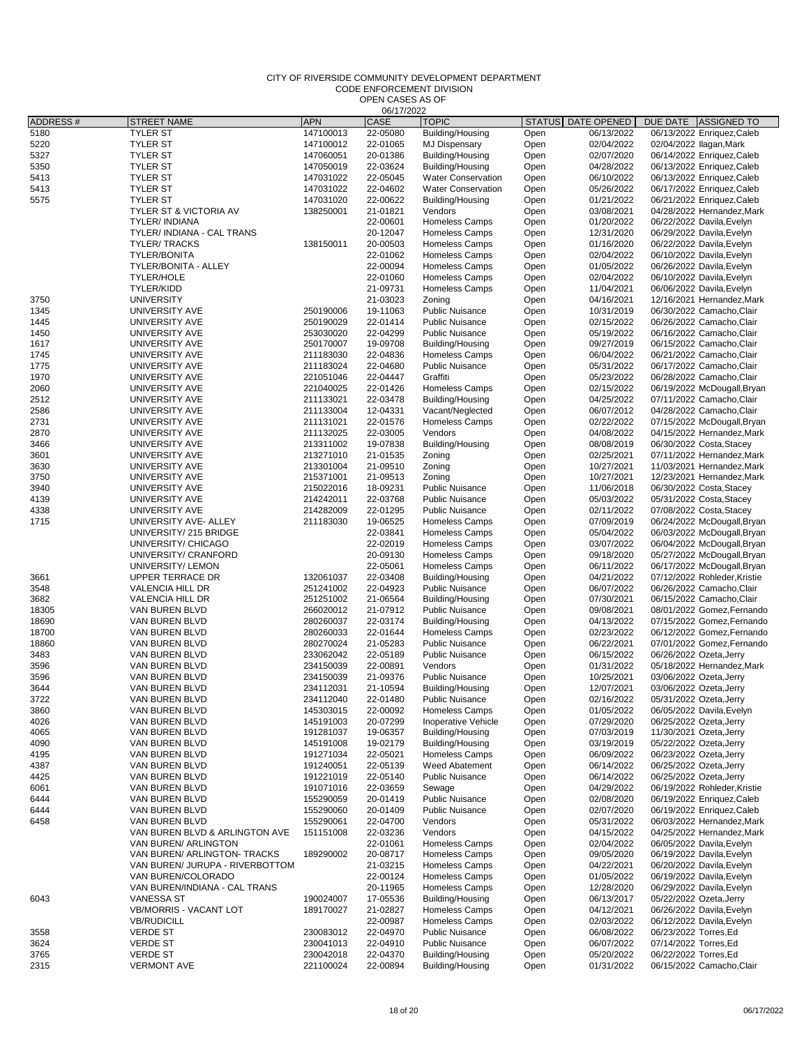CODE ENFORCEMENT DIVISION

|          |                                 |            | 06/17/2022  |                           |               |                    |                                |
|----------|---------------------------------|------------|-------------|---------------------------|---------------|--------------------|--------------------------------|
| ADDRESS# | <b>STREET NAME</b>              | <b>APN</b> | <b>CASE</b> | <b>TOPIC</b>              | <b>STATUS</b> | <b>DATE OPENED</b> | DUE DATE<br><b>ASSIGNED TO</b> |
| 5180     | <b>TYLER ST</b>                 | 147100013  | 22-05080    | Building/Housing          | Open          | 06/13/2022         | 06/13/2022 Enriquez, Caleb     |
| 5220     | <b>TYLER ST</b>                 | 147100012  | 22-01065    | <b>MJ Dispensary</b>      | Open          | 02/04/2022         | 02/04/2022 Ilagan, Mark        |
| 5327     | <b>TYLER ST</b>                 | 147060051  | 20-01386    | Building/Housing          | Open          | 02/07/2020         | 06/14/2022 Enriquez, Caleb     |
| 5350     | <b>TYLER ST</b>                 | 147050019  | 22-03624    | Building/Housing          | Open          | 04/28/2022         | 06/13/2022 Enriquez, Caleb     |
|          |                                 |            |             |                           |               |                    |                                |
| 5413     | <b>TYLER ST</b>                 | 147031022  | 22-05045    | <b>Water Conservation</b> | Open          | 06/10/2022         | 06/13/2022 Enriquez, Caleb     |
| 5413     | <b>TYLER ST</b>                 | 147031022  | 22-04602    | <b>Water Conservation</b> | Open          | 05/26/2022         | 06/17/2022 Enriquez, Caleb     |
| 5575     | <b>TYLER ST</b>                 | 147031020  | 22-00622    | Building/Housing          | Open          | 01/21/2022         | 06/21/2022 Enriquez, Caleb     |
|          | TYLER ST & VICTORIA AV          | 138250001  | 21-01821    | Vendors                   | Open          | 03/08/2021         | 04/28/2022 Hernandez, Mark     |
|          | <b>TYLER/ INDIANA</b>           |            | 22-00601    | <b>Homeless Camps</b>     | Open          | 01/20/2022         | 06/22/2022 Davila, Evelyn      |
|          | TYLER/ INDIANA - CAL TRANS      |            | 20-12047    | <b>Homeless Camps</b>     | Open          | 12/31/2020         | 06/29/2022 Davila, Evelyn      |
|          | <b>TYLER/TRACKS</b>             | 138150011  | 20-00503    | <b>Homeless Camps</b>     | Open          | 01/16/2020         | 06/22/2022 Davila, Evelyn      |
|          | <b>TYLER/BONITA</b>             |            | 22-01062    | <b>Homeless Camps</b>     | Open          | 02/04/2022         | 06/10/2022 Davila, Evelyn      |
|          | TYLER/BONITA - ALLEY            |            | 22-00094    | <b>Homeless Camps</b>     | Open          | 01/05/2022         | 06/26/2022 Davila, Evelyn      |
|          | TYLER/HOLE                      |            | 22-01060    | <b>Homeless Camps</b>     | Open          | 02/04/2022         | 06/10/2022 Davila, Evelyn      |
|          | TYLER/KIDD                      |            | 21-09731    | <b>Homeless Camps</b>     |               | 11/04/2021         |                                |
|          |                                 |            |             |                           | Open          |                    | 06/06/2022 Davila, Evelyn      |
| 3750     | <b>UNIVERSITY</b>               |            | 21-03023    | Zoning                    | Open          | 04/16/2021         | 12/16/2021 Hernandez, Mark     |
| 1345     | UNIVERSITY AVE                  | 250190006  | 19-11063    | <b>Public Nuisance</b>    | Open          | 10/31/2019         | 06/30/2022 Camacho, Clair      |
| 1445     | UNIVERSITY AVE                  | 250190029  | 22-01414    | <b>Public Nuisance</b>    | Open          | 02/15/2022         | 06/26/2022 Camacho, Clair      |
| 1450     | UNIVERSITY AVE                  | 253030020  | 22-04299    | <b>Public Nuisance</b>    | Open          | 05/19/2022         | 06/16/2022 Camacho, Clair      |
| 1617     | UNIVERSITY AVE                  | 250170007  | 19-09708    | Building/Housing          | Open          | 09/27/2019         | 06/15/2022 Camacho, Clair      |
| 1745     | UNIVERSITY AVE                  | 211183030  | 22-04836    | <b>Homeless Camps</b>     | Open          | 06/04/2022         | 06/21/2022 Camacho, Clair      |
| 1775     | UNIVERSITY AVE                  | 211183024  | 22-04680    | <b>Public Nuisance</b>    | Open          | 05/31/2022         | 06/17/2022 Camacho.Clair       |
| 1970     | UNIVERSITY AVE                  | 221051046  | 22-04447    | Graffiti                  | Open          | 05/23/2022         | 06/28/2022 Camacho, Clair      |
| 2060     | UNIVERSITY AVE                  | 221040025  | 22-01426    | <b>Homeless Camps</b>     | Open          | 02/15/2022         | 06/19/2022 McDougall, Bryan    |
| 2512     | UNIVERSITY AVE                  | 211133021  | 22-03478    | Building/Housing          |               | 04/25/2022         | 07/11/2022 Camacho, Clair      |
|          |                                 |            |             |                           | Open          |                    |                                |
| 2586     | UNIVERSITY AVE                  | 211133004  | 12-04331    | Vacant/Neglected          | Open          | 06/07/2012         | 04/28/2022 Camacho, Clair      |
| 2731     | UNIVERSITY AVE                  | 211131021  | 22-01576    | <b>Homeless Camps</b>     | Open          | 02/22/2022         | 07/15/2022 McDougall, Bryan    |
| 2870     | UNIVERSITY AVE                  | 211132025  | 22-03005    | Vendors                   | Open          | 04/08/2022         | 04/15/2022 Hernandez, Mark     |
| 3466     | UNIVERSITY AVE                  | 213311002  | 19-07838    | Building/Housing          | Open          | 08/08/2019         | 06/30/2022 Costa, Stacey       |
| 3601     | UNIVERSITY AVE                  | 213271010  | 21-01535    | Zoning                    | Open          | 02/25/2021         | 07/11/2022 Hernandez, Mark     |
| 3630     | UNIVERSITY AVE                  | 213301004  | 21-09510    | Zoning                    | Open          | 10/27/2021         | 11/03/2021 Hernandez, Mark     |
| 3750     | UNIVERSITY AVE                  | 215371001  | 21-09513    | Zoning                    | Open          | 10/27/2021         | 12/23/2021 Hernandez, Mark     |
| 3940     | UNIVERSITY AVE                  | 215022016  | 18-09231    | <b>Public Nuisance</b>    | Open          | 11/06/2018         | 06/30/2022 Costa, Stacey       |
| 4139     | UNIVERSITY AVE                  | 214242011  | 22-03768    | <b>Public Nuisance</b>    | Open          | 05/03/2022         | 05/31/2022 Costa, Stacey       |
| 4338     | UNIVERSITY AVE                  | 214282009  | 22-01295    | <b>Public Nuisance</b>    | Open          | 02/11/2022         | 07/08/2022 Costa, Stacey       |
|          | UNIVERSITY AVE- ALLEY           |            |             |                           |               |                    |                                |
| 1715     |                                 | 211183030  | 19-06525    | <b>Homeless Camps</b>     | Open          | 07/09/2019         | 06/24/2022 McDougall, Bryan    |
|          | UNIVERSITY/ 215 BRIDGE          |            | 22-03841    | <b>Homeless Camps</b>     | Open          | 05/04/2022         | 06/03/2022 McDougall, Bryan    |
|          | UNIVERSITY/ CHICAGO             |            | 22-02019    | <b>Homeless Camps</b>     | Open          | 03/07/2022         | 06/04/2022 McDougall, Bryan    |
|          | UNIVERSITY/ CRANFORD            |            | 20-09130    | <b>Homeless Camps</b>     | Open          | 09/18/2020         | 05/27/2022 McDougall, Bryan    |
|          | UNIVERSITY/LEMON                |            | 22-05061    | <b>Homeless Camps</b>     | Open          | 06/11/2022         | 06/17/2022 McDougall, Bryan    |
| 3661     | UPPER TERRACE DR                | 132061037  | 22-03408    | Building/Housing          | Open          | 04/21/2022         | 07/12/2022 Rohleder, Kristie   |
| 3548     | <b>VALENCIA HILL DR</b>         | 251241002  | 22-04923    | <b>Public Nuisance</b>    | Open          | 06/07/2022         | 06/26/2022 Camacho, Clair      |
| 3682     | <b>VALENCIA HILL DR</b>         | 251251002  | 21-06564    | Building/Housing          | Open          | 07/30/2021         | 06/15/2022 Camacho, Clair      |
| 18305    | VAN BUREN BLVD                  | 266020012  | 21-07912    | <b>Public Nuisance</b>    | Open          | 09/08/2021         | 08/01/2022 Gomez, Fernando     |
| 18690    | VAN BUREN BLVD                  | 280260037  | 22-03174    | Building/Housing          | Open          | 04/13/2022         | 07/15/2022 Gomez, Fernando     |
| 18700    | VAN BUREN BLVD                  | 280260033  | 22-01644    | <b>Homeless Camps</b>     | Open          | 02/23/2022         | 06/12/2022 Gomez, Fernando     |
| 18860    | VAN BUREN BLVD                  | 280270024  | 21-05283    | <b>Public Nuisance</b>    | Open          | 06/22/2021         | 07/01/2022 Gomez, Fernando     |
|          |                                 |            | 22-05189    |                           |               |                    | 06/26/2022 Ozeta, Jerry        |
| 3483     | VAN BUREN BLVD                  | 233062042  |             | <b>Public Nuisance</b>    | Open          | 06/15/2022         |                                |
| 3596     | VAN BUREN BLVD                  | 234150039  | 22-00891    | Vendors                   | Open          | 01/31/2022         | 05/18/2022 Hernandez, Mark     |
| 3596     | VAN BUREN BLVD                  | 234150039  | 21-09376    | <b>Public Nuisance</b>    | Open          | 10/25/2021         | 03/06/2022 Ozeta, Jerry        |
| 3644     | VAN BUREN BLVD                  | 234112031  | 21-10594    | Building/Housing          | Open          | 12/07/2021         | 03/06/2022 Ozeta, Jerry        |
| 3722     | VAN BUREN BLVD                  | 234112040  | 22-01480    | <b>Public Nuisance</b>    | Open          | 02/16/2022         | 05/31/2022 Ozeta, Jerry        |
| 3860     | VAN BUREN BLVD                  | 145303015  | 22-00092    | Homeless Camps            | Open          | 01/05/2022         | 06/05/2022 Davila, Evelyn      |
| 4026     | VAN BUREN BLVD                  | 145191003  | 20-07299    | Inoperative Vehicle       | Open          | 07/29/2020         | 06/25/2022 Ozeta, Jerry        |
| 4065     | VAN BUREN BLVD                  | 191281037  | 19-06357    | Building/Housing          | Open          | 07/03/2019         | 11/30/2021 Ozeta, Jerry        |
| 4090     | VAN BUREN BLVD                  | 145191008  | 19-02179    | Building/Housing          | Open          | 03/19/2019         | 05/22/2022 Ozeta, Jerry        |
| 4195     | VAN BUREN BLVD                  | 191271034  | 22-05021    | Homeless Camps            | Open          | 06/09/2022         | 06/23/2022 Ozeta, Jerry        |
| 4387     | VAN BUREN BLVD                  | 191240051  | 22-05139    | <b>Weed Abatement</b>     | Open          | 06/14/2022         | 06/25/2022 Ozeta, Jerry        |
| 4425     | VAN BUREN BLVD                  | 191221019  | 22-05140    | <b>Public Nuisance</b>    | Open          | 06/14/2022         | 06/25/2022 Ozeta, Jerry        |
|          |                                 |            |             |                           |               |                    | 06/19/2022 Rohleder, Kristie   |
| 6061     | VAN BUREN BLVD                  | 191071016  | 22-03659    | Sewage                    | Open          | 04/29/2022         |                                |
| 6444     | VAN BUREN BLVD                  | 155290059  | 20-01419    | <b>Public Nuisance</b>    | Open          | 02/08/2020         | 06/19/2022 Enriquez, Caleb     |
| 6444     | VAN BUREN BLVD                  | 155290060  | 20-01409    | <b>Public Nuisance</b>    | Open          | 02/07/2020         | 06/19/2022 Enriquez, Caleb     |
| 6458     | VAN BUREN BLVD                  | 155290061  | 22-04700    | Vendors                   | Open          | 05/31/2022         | 06/03/2022 Hernandez, Mark     |
|          | VAN BUREN BLVD & ARLINGTON AVE  | 151151008  | 22-03236    | Vendors                   | Open          | 04/15/2022         | 04/25/2022 Hernandez, Mark     |
|          | VAN BUREN/ ARLINGTON            |            | 22-01061    | <b>Homeless Camps</b>     | Open          | 02/04/2022         | 06/05/2022 Davila, Evelyn      |
|          | VAN BUREN/ ARLINGTON- TRACKS    | 189290002  | 20-08717    | Homeless Camps            | Open          | 09/05/2020         | 06/19/2022 Davila, Evelyn      |
|          | VAN BUREN/ JURUPA - RIVERBOTTOM |            | 21-03215    | Homeless Camps            | Open          | 04/22/2021         | 06/20/2022 Davila, Evelyn      |
|          | VAN BUREN/COLORADO              |            | 22-00124    | <b>Homeless Camps</b>     | Open          | 01/05/2022         | 06/19/2022 Davila, Evelyn      |
|          | VAN BUREN/INDIANA - CAL TRANS   |            | 20-11965    | <b>Homeless Camps</b>     | Open          | 12/28/2020         | 06/29/2022 Davila, Evelyn      |
| 6043     | <b>VANESSA ST</b>               | 190024007  | 17-05536    | Building/Housing          | Open          | 06/13/2017         | 05/22/2022 Ozeta, Jerry        |
|          |                                 |            |             |                           |               |                    |                                |
|          | VB/MORRIS - VACANT LOT          | 189170027  | 21-02827    | Homeless Camps            | Open          | 04/12/2021         | 06/26/2022 Davila, Evelyn      |
|          | <b>VB/RUDICILL</b>              |            | 22-00987    | Homeless Camps            | Open          | 02/03/2022         | 06/12/2022 Davila, Evelyn      |
| 3558     | <b>VERDE ST</b>                 | 230083012  | 22-04970    | <b>Public Nuisance</b>    | Open          | 06/08/2022         | 06/23/2022 Torres, Ed          |
| 3624     | <b>VERDE ST</b>                 | 230041013  | 22-04910    | <b>Public Nuisance</b>    | Open          | 06/07/2022         | 07/14/2022 Torres, Ed          |
| 3765     | <b>VERDE ST</b>                 | 230042018  | 22-04370    | Building/Housing          | Open          | 05/20/2022         | 06/22/2022 Torres, Ed          |
| 2315     | <b>VERMONT AVE</b>              | 221100024  | 22-00894    | Building/Housing          | Open          | 01/31/2022         | 06/15/2022 Camacho, Clair      |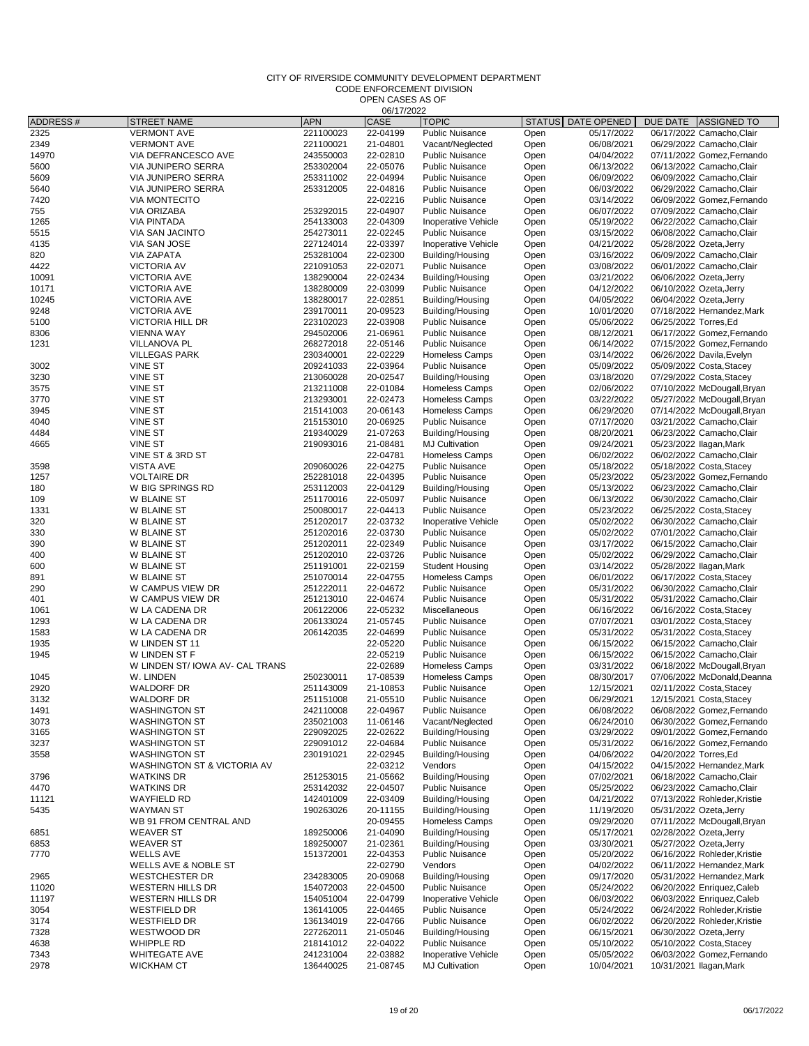#### CITY OF RIVERSIDE COMMUNITY DEVELOPMENT DEPARTMENT CODE ENFORCEMENT DIVISION

|              |                                                  |                        | 06/17/2022           |                                                  |                    |                          |                                                        |                              |
|--------------|--------------------------------------------------|------------------------|----------------------|--------------------------------------------------|--------------------|--------------------------|--------------------------------------------------------|------------------------------|
| ADDRESS#     | <b>STREET NAME</b>                               | <b>APN</b>             | CASE                 | <b>TOPIC</b>                                     | STATUS DATE OPENED |                          | DUE DATE                                               | <b>ASSIGNED TO</b>           |
| 2325         | <b>VERMONT AVE</b>                               | 221100023              | 22-04199             | <b>Public Nuisance</b>                           | Open               | 05/17/2022               | 06/17/2022 Camacho, Clair                              |                              |
| 2349         | <b>VERMONT AVE</b>                               | 221100021              | 21-04801             | Vacant/Neglected                                 | Open               | 06/08/2021               | 06/29/2022 Camacho.Clair                               | 07/11/2022 Gomez, Fernando   |
| 14970        | VIA DEFRANCESCO AVE<br><b>VIA JUNIPERO SERRA</b> | 243550003              | 22-02810             | <b>Public Nuisance</b>                           | Open               | 04/04/2022               |                                                        |                              |
| 5600<br>5609 | VIA JUNIPERO SERRA                               | 253302004<br>253311002 | 22-05076<br>22-04994 | <b>Public Nuisance</b><br><b>Public Nuisance</b> | Open<br>Open       | 06/13/2022<br>06/09/2022 | 06/13/2022 Camacho, Clair<br>06/09/2022 Camacho, Clair |                              |
| 5640         | VIA JUNIPERO SERRA                               | 253312005              | 22-04816             | <b>Public Nuisance</b>                           | Open               | 06/03/2022               | 06/29/2022 Camacho, Clair                              |                              |
| 7420         | <b>VIA MONTECITO</b>                             |                        | 22-02216             | <b>Public Nuisance</b>                           | Open               | 03/14/2022               |                                                        | 06/09/2022 Gomez.Fernando    |
| 755          | VIA ORIZABA                                      | 253292015              | 22-04907             | <b>Public Nuisance</b>                           | Open               | 06/07/2022               | 07/09/2022 Camacho, Clair                              |                              |
| 1265         | <b>VIA PINTADA</b>                               | 254133003              | 22-04309             | Inoperative Vehicle                              | Open               | 05/19/2022               | 06/22/2022 Camacho, Clair                              |                              |
| 5515         | VIA SAN JACINTO                                  | 254273011              | 22-02245             | <b>Public Nuisance</b>                           | Open               | 03/15/2022               | 06/08/2022 Camacho, Clair                              |                              |
| 4135         | VIA SAN JOSE                                     | 227124014              | 22-03397             | Inoperative Vehicle                              | Open               | 04/21/2022               | 05/28/2022 Ozeta, Jerry                                |                              |
| 820          | <b>VIA ZAPATA</b>                                | 253281004              | 22-02300             | Building/Housing                                 | Open               | 03/16/2022               | 06/09/2022 Camacho, Clair                              |                              |
| 4422         | <b>VICTORIA AV</b>                               | 221091053              | 22-02071             | <b>Public Nuisance</b>                           | Open               | 03/08/2022               | 06/01/2022 Camacho, Clair                              |                              |
| 10091        | <b>VICTORIA AVE</b>                              | 138290004              | 22-02434             | Building/Housing                                 | Open               | 03/21/2022               | 06/06/2022 Ozeta, Jerry                                |                              |
| 10171        | <b>VICTORIA AVE</b>                              | 138280009              | 22-03099             | <b>Public Nuisance</b>                           | Open               | 04/12/2022               | 06/10/2022 Ozeta, Jerry                                |                              |
| 10245        | <b>VICTORIA AVE</b>                              | 138280017              | 22-02851             | Building/Housing                                 | Open               | 04/05/2022               | 06/04/2022 Ozeta, Jerry                                |                              |
| 9248         | <b>VICTORIA AVE</b>                              | 239170011              | 20-09523             | Building/Housing                                 | Open               | 10/01/2020               |                                                        | 07/18/2022 Hernandez, Mark   |
| 5100         | <b>VICTORIA HILL DR</b>                          | 223102023              | 22-03908             | <b>Public Nuisance</b>                           | Open               | 05/06/2022               | 06/25/2022 Torres, Ed                                  |                              |
| 8306         | <b>VIENNA WAY</b>                                | 294502006              | 21-06961             | Public Nuisance                                  | Open               | 08/12/2021               |                                                        | 06/17/2022 Gomez, Fernando   |
| 1231         | VILLANOVA PL                                     | 268272018              | 22-05146             | <b>Public Nuisance</b>                           | Open               | 06/14/2022               |                                                        | 07/15/2022 Gomez, Fernando   |
|              | <b>VILLEGAS PARK</b>                             | 230340001              | 22-02229             | <b>Homeless Camps</b>                            | Open               | 03/14/2022               | 06/26/2022 Davila, Evelyn                              |                              |
| 3002         | <b>VINE ST</b>                                   | 209241033              | 22-03964             | <b>Public Nuisance</b>                           | Open               | 05/09/2022               | 05/09/2022 Costa, Stacey                               |                              |
| 3230         | <b>VINE ST</b>                                   | 213060028              | 20-02547             | Building/Housing                                 | Open               | 03/18/2020               | 07/29/2022 Costa, Stacey                               |                              |
| 3575         | <b>VINE ST</b>                                   | 213211008              | 22-01084             | <b>Homeless Camps</b>                            | Open               | 02/06/2022               |                                                        | 07/10/2022 McDougall, Bryan  |
| 3770         | <b>VINE ST</b>                                   | 213293001              | 22-02473             | <b>Homeless Camps</b>                            | Open               | 03/22/2022               |                                                        | 05/27/2022 McDougall, Bryan  |
| 3945         | <b>VINE ST</b>                                   | 215141003              | 20-06143             | <b>Homeless Camps</b>                            | Open               | 06/29/2020               |                                                        | 07/14/2022 McDougall, Bryan  |
| 4040         | <b>VINE ST</b>                                   | 215153010              | 20-06925             | <b>Public Nuisance</b>                           | Open               | 07/17/2020               | 03/21/2022 Camacho, Clair                              |                              |
| 4484         | <b>VINE ST</b>                                   | 219340029              | 21-07263             | Building/Housing                                 | Open               | 08/20/2021               | 06/23/2022 Camacho, Clair                              |                              |
| 4665         | <b>VINE ST</b>                                   | 219093016              | 21-08481             | <b>MJ Cultivation</b>                            | Open               | 09/24/2021               | 05/23/2022 Ilagan, Mark                                |                              |
|              | VINE ST & 3RD ST                                 |                        | 22-04781             | <b>Homeless Camps</b>                            | Open               | 06/02/2022               | 06/02/2022 Camacho, Clair                              |                              |
| 3598         | <b>VISTA AVE</b>                                 | 209060026              | 22-04275             | <b>Public Nuisance</b>                           | Open               | 05/18/2022               | 05/18/2022 Costa, Stacey                               |                              |
| 1257         | <b>VOLTAIRE DR</b>                               | 252281018              | 22-04395             | <b>Public Nuisance</b>                           | Open               | 05/23/2022               |                                                        | 05/23/2022 Gomez, Fernando   |
| 180          | W BIG SPRINGS RD                                 | 253112003              | 22-04129             | Building/Housing                                 | Open               | 05/13/2022               | 06/23/2022 Camacho, Clair                              |                              |
| 109          | W BLAINE ST                                      | 251170016              | 22-05097             | <b>Public Nuisance</b>                           | Open               | 06/13/2022               | 06/30/2022 Camacho, Clair                              |                              |
| 1331         | W BLAINE ST                                      | 250080017              | 22-04413             | <b>Public Nuisance</b>                           | Open               | 05/23/2022               | 06/25/2022 Costa, Stacey                               |                              |
| 320          | W BLAINE ST                                      | 251202017              | 22-03732             | Inoperative Vehicle                              | Open               | 05/02/2022               | 06/30/2022 Camacho, Clair                              |                              |
| 330          | W BLAINE ST                                      | 251202016              | 22-03730             | <b>Public Nuisance</b>                           | Open               | 05/02/2022               | 07/01/2022 Camacho, Clair                              |                              |
| 390          | W BLAINE ST                                      | 251202011              | 22-02349             | <b>Public Nuisance</b>                           | Open               | 03/17/2022               | 06/15/2022 Camacho, Clair                              |                              |
| 400          | W BLAINE ST                                      | 251202010              | 22-03726             | <b>Public Nuisance</b>                           | Open               | 05/02/2022               | 06/29/2022 Camacho, Clair                              |                              |
| 600          | W BLAINE ST<br>W BLAINE ST                       | 251191001              | 22-02159             | <b>Student Housing</b>                           | Open               | 03/14/2022               | 05/28/2022 Ilagan, Mark                                |                              |
| 891<br>290   | W CAMPUS VIEW DR                                 | 251070014<br>251222011 | 22-04755<br>22-04672 | <b>Homeless Camps</b><br><b>Public Nuisance</b>  | Open<br>Open       | 06/01/2022<br>05/31/2022 | 06/17/2022 Costa, Stacey<br>06/30/2022 Camacho, Clair  |                              |
| 401          | W CAMPUS VIEW DR                                 | 251213010              | 22-04674             | <b>Public Nuisance</b>                           | Open               | 05/31/2022               | 05/31/2022 Camacho, Clair                              |                              |
| 1061         | W LA CADENA DR                                   | 206122006              | 22-05232             | Miscellaneous                                    | Open               | 06/16/2022               | 06/16/2022 Costa, Stacey                               |                              |
| 1293         | W LA CADENA DR                                   | 206133024              | 21-05745             | <b>Public Nuisance</b>                           | Open               | 07/07/2021               | 03/01/2022 Costa, Stacey                               |                              |
| 1583         | W LA CADENA DR                                   | 206142035              | 22-04699             | <b>Public Nuisance</b>                           | Open               | 05/31/2022               | 05/31/2022 Costa, Stacey                               |                              |
| 1935         | W LINDEN ST 11                                   |                        | 22-05220             | <b>Public Nuisance</b>                           | Open               | 06/15/2022               | 06/15/2022 Camacho, Clair                              |                              |
| 1945         | W LINDEN ST F                                    |                        | 22-05219             | <b>Public Nuisance</b>                           | Open               | 06/15/2022               | 06/15/2022 Camacho, Clair                              |                              |
|              | W LINDEN ST/ IOWA AV- CAL TRANS                  |                        | 22-02689             | <b>Homeless Camps</b>                            | Open               | 03/31/2022               |                                                        | 06/18/2022 McDougall, Bryan  |
| 1045         | W. LINDEN                                        | 250230011              | 17-08539             | <b>Homeless Camps</b>                            | Open               | 08/30/2017               |                                                        | 07/06/2022 McDonald, Deanna  |
| 2920         | <b>WALDORF DR</b>                                | 251143009              | 21-10853             | <b>Public Nuisance</b>                           | Open               | 12/15/2021               | 02/11/2022 Costa, Stacey                               |                              |
| 3132         | <b>WALDORF DR</b>                                | 251151008              | 21-05510             | <b>Public Nuisance</b>                           | Open               | 06/29/2021               | 12/15/2021 Costa, Stacey                               |                              |
| 1491         | <b>WASHINGTON ST</b>                             | 242110008              | 22-04967             | <b>Public Nuisance</b>                           | Open               | 06/08/2022               |                                                        | 06/08/2022 Gomez, Fernando   |
| 3073         | <b>WASHINGTON ST</b>                             | 235021003              | 11-06146             | Vacant/Neglected                                 | Open               | 06/24/2010               |                                                        | 06/30/2022 Gomez, Fernando   |
| 3165         | <b>WASHINGTON ST</b>                             | 229092025              | 22-02622             | Building/Housing                                 | Open               | 03/29/2022               |                                                        | 09/01/2022 Gomez, Fernando   |
| 3237         | <b>WASHINGTON ST</b>                             | 229091012              | 22-04684             | <b>Public Nuisance</b>                           | Open               | 05/31/2022               |                                                        | 06/16/2022 Gomez, Fernando   |
| 3558         | <b>WASHINGTON ST</b>                             | 230191021              | 22-02945             | Building/Housing                                 | Open               | 04/06/2022               | 04/20/2022 Torres, Ed                                  |                              |
|              | WASHINGTON ST & VICTORIA AV                      |                        | 22-03212             | Vendors                                          | Open               | 04/15/2022               |                                                        | 04/15/2022 Hernandez, Mark   |
| 3796         | <b>WATKINS DR</b>                                | 251253015              | 21-05662             | Building/Housing                                 | Open               | 07/02/2021               | 06/18/2022 Camacho, Clair                              |                              |
| 4470         | <b>WATKINS DR</b>                                | 253142032              | 22-04507             | <b>Public Nuisance</b>                           | Open               | 05/25/2022               | 06/23/2022 Camacho, Clair                              |                              |
| 11121        | <b>WAYFIELD RD</b>                               | 142401009              | 22-03409             | Building/Housing                                 | Open               | 04/21/2022               |                                                        | 07/13/2022 Rohleder, Kristie |
| 5435         | <b>WAYMAN ST</b>                                 | 190263026              | 20-11155             | Building/Housing                                 | Open               | 11/19/2020               | 05/31/2022 Ozeta, Jerry                                |                              |
|              | WB 91 FROM CENTRAL AND                           |                        | 20-09455             | Homeless Camps                                   | Open               | 09/29/2020               |                                                        | 07/11/2022 McDougall, Bryan  |
| 6851         | <b>WEAVER ST</b>                                 | 189250006              | 21-04090             | Building/Housing                                 | Open               | 05/17/2021               | 02/28/2022 Ozeta, Jerry                                |                              |
| 6853         | <b>WEAVER ST</b>                                 | 189250007              | 21-02361             | Building/Housing                                 | Open               | 03/30/2021               | 05/27/2022 Ozeta, Jerry                                |                              |
| 7770         | <b>WELLS AVE</b>                                 | 151372001              | 22-04353             | <b>Public Nuisance</b>                           | Open               | 05/20/2022               |                                                        | 06/16/2022 Rohleder, Kristie |
|              | WELLS AVE & NOBLE ST                             |                        | 22-02790             | Vendors                                          | Open               | 04/02/2022               |                                                        | 06/11/2022 Hernandez, Mark   |
| 2965         | <b>WESTCHESTER DR</b>                            | 234283005              | 20-09068             | Building/Housing                                 | Open               | 09/17/2020               |                                                        | 05/31/2022 Hernandez, Mark   |
| 11020        | <b>WESTERN HILLS DR</b>                          | 154072003              | 22-04500             | <b>Public Nuisance</b>                           | Open               | 05/24/2022               |                                                        | 06/20/2022 Enriquez, Caleb   |
| 11197        | <b>WESTERN HILLS DR</b>                          | 154051004              | 22-04799             | Inoperative Vehicle                              | Open               | 06/03/2022               |                                                        | 06/03/2022 Enriquez, Caleb   |
| 3054         | <b>WESTFIELD DR</b>                              | 136141005              | 22-04465             | <b>Public Nuisance</b>                           | Open               | 05/24/2022               |                                                        | 06/24/2022 Rohleder, Kristie |
| 3174         | <b>WESTFIELD DR</b>                              | 136134019              | 22-04766             | <b>Public Nuisance</b>                           | Open               | 06/02/2022               |                                                        | 06/20/2022 Rohleder, Kristie |
| 7328<br>4638 | WESTWOOD DR<br>WHIPPLE RD                        | 227262011<br>218141012 | 21-05046<br>22-04022 | Building/Housing<br><b>Public Nuisance</b>       | Open<br>Open       | 06/15/2021<br>05/10/2022 | 06/30/2022 Ozeta, Jerry<br>05/10/2022 Costa, Stacey    |                              |
| 7343         | <b>WHITEGATE AVE</b>                             | 241231004              | 22-03882             | Inoperative Vehicle                              | Open               | 05/05/2022               |                                                        | 06/03/2022 Gomez, Fernando   |
| 2978         | <b>WICKHAM CT</b>                                | 136440025              | 21-08745             | <b>MJ Cultivation</b>                            | Open               | 10/04/2021               | 10/31/2021 Ilagan, Mark                                |                              |
|              |                                                  |                        |                      |                                                  |                    |                          |                                                        |                              |